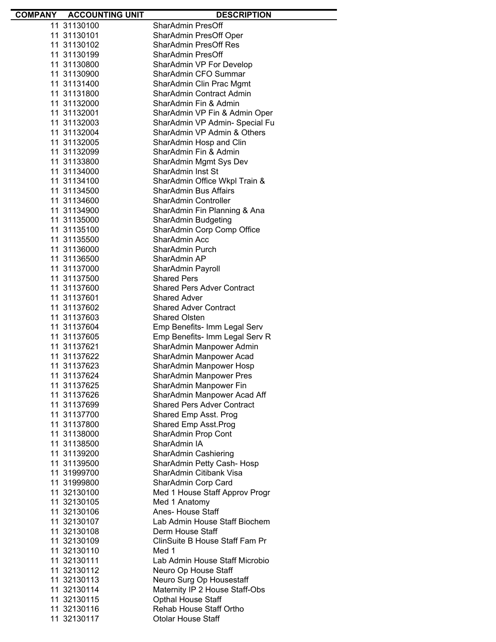| <b>COMPANY ACCOUNTING UNIT</b> | <b>DESCRIPTION</b>                |
|--------------------------------|-----------------------------------|
| 11 31130100                    | <b>SharAdmin PresOff</b>          |
| 11 31130101                    | SharAdmin PresOff Oper            |
| 11 31130102                    | <b>SharAdmin PresOff Res</b>      |
| 11 31130199                    | <b>SharAdmin PresOff</b>          |
| 11 31130800                    | SharAdmin VP For Develop          |
| 11 31130900                    | SharAdmin CFO Summar              |
| 11 31131400                    | SharAdmin Clin Prac Mgmt          |
| 11 31131800                    | SharAdmin Contract Admin          |
| 11 31132000                    | SharAdmin Fin & Admin             |
| 11 31132001                    | SharAdmin VP Fin & Admin Oper     |
| 11 31132003                    | SharAdmin VP Admin- Special Fu    |
| 11 31132004                    | SharAdmin VP Admin & Others       |
| 11 31132005                    | SharAdmin Hosp and Clin           |
| 11 31132099                    | SharAdmin Fin & Admin             |
| 11 31133800                    | SharAdmin Mgmt Sys Dev            |
| 11 31134000                    | SharAdmin Inst St                 |
| 11 31134100                    | SharAdmin Office Wkpl Train &     |
| 11 31134500                    | <b>SharAdmin Bus Affairs</b>      |
| 11 31134600                    | <b>SharAdmin Controller</b>       |
| 11 31134900                    | SharAdmin Fin Planning & Ana      |
| 11 31135000                    | <b>SharAdmin Budgeting</b>        |
| 11 31135100                    | SharAdmin Corp Comp Office        |
| 11 31135500                    | SharAdmin Acc                     |
| 11 31136000                    | SharAdmin Purch                   |
|                                | SharAdmin AP                      |
| 11 31136500                    |                                   |
| 11 31137000                    | SharAdmin Payroll                 |
| 11 31137500                    | <b>Shared Pers</b>                |
| 11 31137600                    | <b>Shared Pers Adver Contract</b> |
| 11 31137601                    | <b>Shared Adver</b>               |
| 11 31137602                    | <b>Shared Adver Contract</b>      |
| 11 31137603                    | <b>Shared Olsten</b>              |
| 11 31137604                    | Emp Benefits- Imm Legal Serv      |
| 11 31137605                    | Emp Benefits- Imm Legal Serv R    |
| 11 31137621                    | SharAdmin Manpower Admin          |
| 11 31137622                    | SharAdmin Manpower Acad           |
| 11 31137623                    | SharAdmin Manpower Hosp           |
| 11 31137624                    | <b>SharAdmin Manpower Pres</b>    |
| 11 31137625                    | SharAdmin Manpower Fin            |
| 11 31137626                    | SharAdmin Manpower Acad Aff       |
| 11 31137699                    | <b>Shared Pers Adver Contract</b> |
| 11 31137700                    | Shared Emp Asst. Prog             |
| 11 31137800                    | Shared Emp Asst.Prog              |
| 11 31138000                    | SharAdmin Prop Cont               |
| 11 31138500                    | SharAdmin IA                      |
| 11 31139200                    | SharAdmin Cashiering              |
| 11 31139500                    | SharAdmin Petty Cash- Hosp        |
| 11 31999700                    | SharAdmin Citibank Visa           |
| 11 31999800                    | SharAdmin Corp Card               |
| 11 32130100                    | Med 1 House Staff Approv Progr    |
| 11 32130105                    | Med 1 Anatomy                     |
| 11 32130106                    | <b>Anes-House Staff</b>           |
| 11 32130107                    | Lab Admin House Staff Biochem     |
| 11 32130108                    | Derm House Staff                  |
| 11 32130109                    | ClinSuite B House Staff Fam Pr    |
| 11 32130110                    | Med 1                             |
| 11 32130111                    | Lab Admin House Staff Microbio    |
| 11 32130112                    | Neuro Op House Staff              |
| 11 32130113                    | Neuro Surg Op Housestaff          |
| 11 32130114                    | Maternity IP 2 House Staff-Obs    |
| 11 32130115                    | <b>Opthal House Staff</b>         |
| 11 32130116                    | Rehab House Staff Ortho           |
| 11 32130117                    | <b>Otolar House Staff</b>         |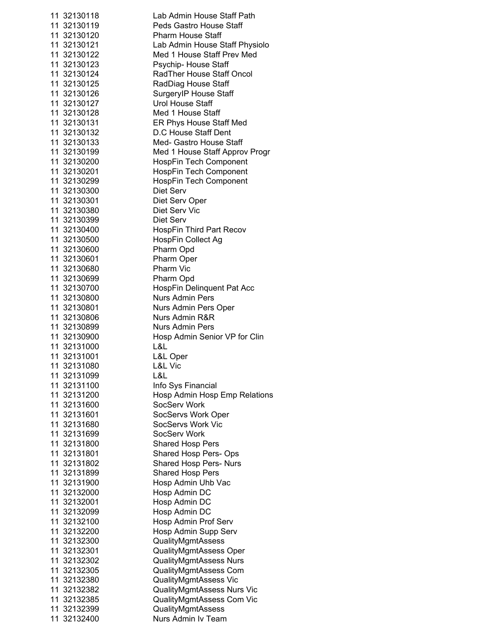| 11 32130118 | Lab Admin House Staff Path     |
|-------------|--------------------------------|
| 11 32130119 | Peds Gastro House Staff        |
| 11 32130120 | <b>Pharm House Staff</b>       |
| 11 32130121 | Lab Admin House Staff Physiolo |
| 11 32130122 | Med 1 House Staff Prev Med     |
| 11 32130123 | Psychip-House Staff            |
| 11 32130124 | RadTher House Staff Oncol      |
| 11 32130125 | RadDiag House Staff            |
| 11 32130126 | SurgerylP House Staff          |
| 11 32130127 | <b>Urol House Staff</b>        |
| 11 32130128 | Med 1 House Staff              |
| 11 32130131 | ER Phys House Staff Med        |
| 11 32130132 | D.C House Staff Dent           |
| 11 32130133 | Med- Gastro House Staff        |
| 11 32130199 | Med 1 House Staff Approv Progr |
| 11 32130200 | HospFin Tech Component         |
| 11 32130201 | HospFin Tech Component         |
| 11 32130299 | HospFin Tech Component         |
| 11 32130300 | Diet Serv                      |
| 11 32130301 | Diet Serv Oper                 |
| 11 32130380 | Diet Serv Vic                  |
| 11 32130399 | Diet Serv                      |
| 11 32130400 | HospFin Third Part Recov       |
| 11 32130500 | HospFin Collect Ag             |
| 11 32130600 | Pharm Opd                      |
| 11 32130601 | Pharm Oper                     |
| 11 32130680 | <b>Pharm Vic</b>               |
| 11 32130699 | Pharm Opd                      |
| 11 32130700 | HospFin Delinquent Pat Acc     |
| 11 32130800 | <b>Nurs Admin Pers</b>         |
| 11 32130801 | Nurs Admin Pers Oper           |
| 11 32130806 | Nurs Admin R&R                 |
| 11 32130899 | Nurs Admin Pers                |
| 11 32130900 | Hosp Admin Senior VP for Clin  |
| 11 32131000 | L&L                            |
| 11 32131001 | L&L Oper                       |
| 11 32131080 | L&L Vic                        |
| 11 32131099 | L&L                            |
| 11 32131100 | Info Sys Financial             |
| 11 32131200 | Hosp Admin Hosp Emp Relations  |
| 11 32131600 | <b>SocServ Work</b>            |
| 11 32131601 | SocServs Work Oper             |
| 11 32131680 | <b>SocServs Work Vic</b>       |
| 11 32131699 | <b>SocServ Work</b>            |
| 11 32131800 | <b>Shared Hosp Pers</b>        |
| 11 32131801 | Shared Hosp Pers- Ops          |
| 11 32131802 | <b>Shared Hosp Pers- Nurs</b>  |
| 11 32131899 | <b>Shared Hosp Pers</b>        |
| 11 32131900 | Hosp Admin Uhb Vac             |
| 11 32132000 | Hosp Admin DC                  |
| 11 32132001 | Hosp Admin DC                  |
| 11 32132099 | Hosp Admin DC                  |
| 11 32132100 | Hosp Admin Prof Serv           |
| 11 32132200 | Hosp Admin Supp Serv           |
| 11 32132300 | QualityMgmtAssess              |
| 11 32132301 | <b>QualityMgmtAssess Oper</b>  |
| 11 32132302 | <b>QualityMgmtAssess Nurs</b>  |
| 11 32132305 | QualityMgmtAssess Com          |
| 11 32132380 | <b>QualityMgmtAssess Vic</b>   |
| 11 32132382 | QualityMgmtAssess Nurs Vic     |
| 11 32132385 | QualityMgmtAssess Com Vic      |
| 11 32132399 | QualityMgmtAssess              |
| 11 32132400 | Nurs Admin Iv Team             |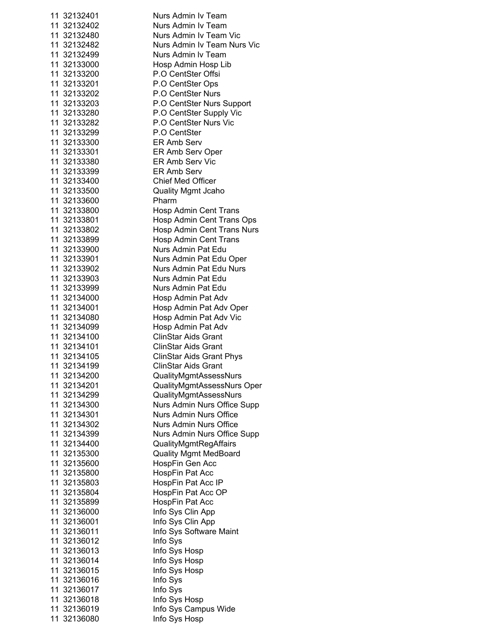| 11 32132401 | Nurs Admin Iv Team              |
|-------------|---------------------------------|
| 11 32132402 | Nurs Admin Iv Team              |
| 11 32132480 | Nurs Admin Iv Team Vic          |
| 11 32132482 | Nurs Admin Iv Team Nurs Vic     |
| 11 32132499 | Nurs Admin Iv Team              |
| 11 32133000 | Hosp Admin Hosp Lib             |
| 11 32133200 | P.O CentSter Offsi              |
| 11 32133201 | P.O CentSter Ops                |
| 11 32133202 | P.O CentSter Nurs               |
| 11 32133203 | P.O CentSter Nurs Support       |
| 11 32133280 | P.O CentSter Supply Vic         |
| 11 32133282 | P.O CentSter Nurs Vic           |
| 11 32133299 | P.O CentSter                    |
| 11 32133300 | <b>ER Amb Serv</b>              |
| 11 32133301 | ER Amb Serv Oper                |
| 11 32133380 | ER Amb Serv Vic                 |
| 11 32133399 | <b>ER Amb Serv</b>              |
| 11 32133400 | <b>Chief Med Officer</b>        |
| 11 32133500 | <b>Quality Mgmt Jcaho</b>       |
| 11 32133600 | Pharm                           |
| 11 32133800 | Hosp Admin Cent Trans           |
| 11 32133801 | Hosp Admin Cent Trans Ops       |
| 11 32133802 | Hosp Admin Cent Trans Nurs      |
| 11 32133899 | <b>Hosp Admin Cent Trans</b>    |
| 11 32133900 | Nurs Admin Pat Edu              |
| 11 32133901 | Nurs Admin Pat Edu Oper         |
| 11 32133902 | Nurs Admin Pat Edu Nurs         |
| 11 32133903 | Nurs Admin Pat Edu              |
| 11 32133999 | Nurs Admin Pat Edu              |
| 11 32134000 | Hosp Admin Pat Adv              |
| 11 32134001 | Hosp Admin Pat Adv Oper         |
| 11 32134080 | Hosp Admin Pat Adv Vic          |
| 11 32134099 | Hosp Admin Pat Adv              |
| 11 32134100 | ClinStar Aids Grant             |
| 11 32134101 | ClinStar Aids Grant             |
| 11 32134105 | <b>ClinStar Aids Grant Phys</b> |
| 11 32134199 | ClinStar Aids Grant             |
| 11 32134200 | QualityMgmtAssessNurs           |
| 11 32134201 | QualityMgmtAssessNurs Oper      |
| 11 32134299 | QualityMgmtAssessNurs           |
| 11 32134300 | Nurs Admin Nurs Office Supp     |
| 11 32134301 | Nurs Admin Nurs Office          |
| 11 32134302 | Nurs Admin Nurs Office          |
| 11 32134399 | Nurs Admin Nurs Office Supp     |
| 11 32134400 | QualityMgmtRegAffairs           |
| 11 32135300 | <b>Quality Mgmt MedBoard</b>    |
| 11 32135600 | HospFin Gen Acc                 |
| 11 32135800 | HospFin Pat Acc                 |
| 11 32135803 | HospFin Pat Acc IP              |
| 11 32135804 | HospFin Pat Acc OP              |
| 11 32135899 | HospFin Pat Acc                 |
| 11 32136000 | Info Sys Clin App               |
| 11 32136001 | Info Sys Clin App               |
| 11 32136011 | Info Sys Software Maint         |
| 11 32136012 | Info Sys                        |
| 11 32136013 | Info Sys Hosp                   |
| 11 32136014 | Info Sys Hosp                   |
| 11 32136015 | Info Sys Hosp                   |
| 11 32136016 | Info Sys                        |
| 11 32136017 | Info Sys                        |
| 11 32136018 | Info Sys Hosp                   |
| 11 32136019 | Info Sys Campus Wide            |
| 11 32136080 | Info Sys Hosp                   |
|             |                                 |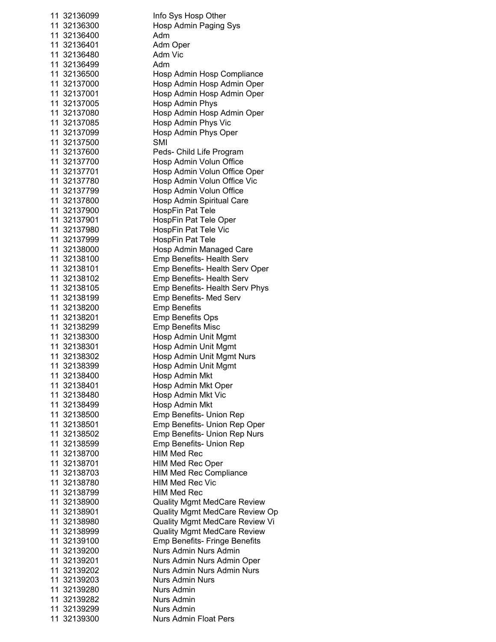| 11 32136099 | Info Sys Hosp Other                  |
|-------------|--------------------------------------|
| 11 32136300 | Hosp Admin Paging Sys                |
| 11 32136400 | Adm                                  |
| 11 32136401 | Adm Oper                             |
| 11 32136480 | Adm Vic                              |
| 11 32136499 | Adm                                  |
| 11 32136500 |                                      |
| 11 32137000 | Hosp Admin Hosp Compliance           |
| 11 32137001 | Hosp Admin Hosp Admin Oper           |
| 11 32137005 | Hosp Admin Hosp Admin Oper           |
|             | Hosp Admin Phys                      |
| 11 32137080 | Hosp Admin Hosp Admin Oper           |
| 11 32137085 | Hosp Admin Phys Vic                  |
| 11 32137099 | Hosp Admin Phys Oper                 |
| 11 32137500 | SMI                                  |
| 11 32137600 | Peds- Child Life Program             |
| 11 32137700 | Hosp Admin Volun Office              |
| 11 32137701 | Hosp Admin Volun Office Oper         |
| 11 32137780 | Hosp Admin Volun Office Vic          |
| 11 32137799 | Hosp Admin Volun Office              |
| 11 32137800 | Hosp Admin Spiritual Care            |
| 11 32137900 | HospFin Pat Tele                     |
| 11 32137901 | HospFin Pat Tele Oper                |
| 11 32137980 | HospFin Pat Tele Vic                 |
| 11 32137999 | HospFin Pat Tele                     |
| 11 32138000 | Hosp Admin Managed Care              |
| 11 32138100 | Emp Benefits- Health Serv            |
| 11 32138101 | Emp Benefits- Health Serv Oper       |
| 11 32138102 | Emp Benefits- Health Serv            |
| 11 32138105 | Emp Benefits- Health Serv Phys       |
| 11 32138199 | Emp Benefits- Med Serv               |
| 11 32138200 | <b>Emp Benefits</b>                  |
| 11 32138201 | <b>Emp Benefits Ops</b>              |
| 11 32138299 | <b>Emp Benefits Misc</b>             |
| 11 32138300 | Hosp Admin Unit Mgmt                 |
| 11 32138301 | Hosp Admin Unit Mgmt                 |
| 11 32138302 | Hosp Admin Unit Mgmt Nurs            |
| 11 32138399 | Hosp Admin Unit Mgmt                 |
| 11 32138400 | Hosp Admin Mkt                       |
| 11 32138401 | Hosp Admin Mkt Oper                  |
| 11 32138480 | Hosp Admin Mkt Vic                   |
| 11 32138499 | Hosp Admin Mkt                       |
| 11 32138500 | Emp Benefits- Union Rep              |
| 11 32138501 | Emp Benefits- Union Rep Oper         |
| 11 32138502 | Emp Benefits- Union Rep Nurs         |
| 11 32138599 | Emp Benefits- Union Rep              |
| 11 32138700 | <b>HIM Med Rec</b>                   |
| 11 32138701 | <b>HIM Med Rec Oper</b>              |
| 11 32138703 | <b>HIM Med Rec Compliance</b>        |
| 11 32138780 | <b>HIM Med Rec Vic</b>               |
| 11 32138799 | <b>HIM Med Rec</b>                   |
| 11 32138900 | <b>Quality Mgmt MedCare Review</b>   |
| 11 32138901 | Quality Mgmt MedCare Review Op       |
| 11 32138980 | Quality Mgmt MedCare Review Vi       |
| 11 32138999 | <b>Quality Mgmt MedCare Review</b>   |
| 11 32139100 | <b>Emp Benefits- Fringe Benefits</b> |
| 11 32139200 | Nurs Admin Nurs Admin                |
| 11 32139201 | Nurs Admin Nurs Admin Oper           |
| 11 32139202 | Nurs Admin Nurs Admin Nurs           |
| 11 32139203 | <b>Nurs Admin Nurs</b>               |
| 11 32139280 | Nurs Admin                           |
| 11 32139282 | Nurs Admin                           |
| 11 32139299 | Nurs Admin                           |
| 11 32139300 | <b>Nurs Admin Float Pers</b>         |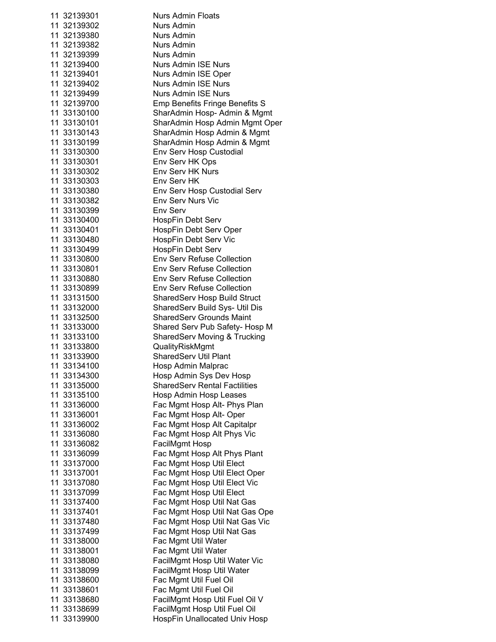| 11 32139301                | <b>Nurs Admin Floats</b>                |
|----------------------------|-----------------------------------------|
| 11 32139302                | Nurs Admin                              |
| 11 32139380                | Nurs Admin                              |
| 11 32139382                | Nurs Admin                              |
| 11 32139399                | Nurs Admin                              |
| 11 32139400                | <b>Nurs Admin ISE Nurs</b>              |
| 11 32139401                | Nurs Admin ISE Oper                     |
| 11 32139402                | <b>Nurs Admin ISE Nurs</b>              |
| 11 32139499                | <b>Nurs Admin ISE Nurs</b>              |
| 11 32139700                | Emp Benefits Fringe Benefits S          |
| 11 33130100                | SharAdmin Hosp- Admin & Mgmt            |
| 11 33130101                | SharAdmin Hosp Admin Mgmt Oper          |
| 11 33130143                | SharAdmin Hosp Admin & Mgmt             |
| 11 33130199                | SharAdmin Hosp Admin & Mgmt             |
| 11 33130300                | Env Serv Hosp Custodial                 |
| 11 33130301                | Env Serv HK Ops                         |
| 11 33130302                | <b>Env Serv HK Nurs</b>                 |
| 11 33130303                | Env Serv HK                             |
| 11 33130380                | Env Serv Hosp Custodial Serv            |
| 11 33130382                | Env Serv Nurs Vic                       |
| 11 33130399                | <b>Env Serv</b>                         |
| 11 33130400                | HospFin Debt Serv                       |
| 11 33130401                | HospFin Debt Serv Oper                  |
| 11 33130480                | HospFin Debt Serv Vic                   |
| 11 33130499                | HospFin Debt Serv                       |
| 11 33130800                | <b>Env Serv Refuse Collection</b>       |
| 11 33130801                | <b>Env Serv Refuse Collection</b>       |
| 11 33130880                | <b>Env Serv Refuse Collection</b>       |
| 11 33130899                | <b>Env Serv Refuse Collection</b>       |
| 11 33131500                | <b>SharedServ Hosp Build Struct</b>     |
| 11 33132000                | SharedServ Build Sys- Util Dis          |
| 11 33132500                | <b>SharedServ Grounds Maint</b>         |
| 11 33133000                | Shared Serv Pub Safety- Hosp M          |
| 11 33133100                | <b>SharedServ Moving &amp; Trucking</b> |
| 11 33133800                | QualityRiskMgmt                         |
| 11 33133900                | <b>SharedServ Util Plant</b>            |
| 11 33134100                | Hosp Admin Malprac                      |
| 11 33134300                | Hosp Admin Sys Dev Hosp                 |
| 11 33135000                | <b>SharedServ Rental Factilities</b>    |
| 11 33135100                | Hosp Admin Hosp Leases                  |
| 11 33136000                | Fac Mgmt Hosp Alt- Phys Plan            |
| 11 33136001                | Fac Mgmt Hosp Alt- Oper                 |
| 11 33136002                | Fac Mgmt Hosp Alt Capitalpr             |
| 11 33136080                | Fac Mgmt Hosp Alt Phys Vic              |
| 11 33136082                | <b>FacilMgmt Hosp</b>                   |
| 11 33136099                | Fac Mgmt Hosp Alt Phys Plant            |
| 11 33137000                | Fac Mgmt Hosp Util Elect                |
| 11 33137001                | Fac Mgmt Hosp Util Elect Oper           |
| 11 33137080                | Fac Mgmt Hosp Util Elect Vic            |
| 11 33137099                | Fac Mgmt Hosp Util Elect                |
| 11 33137400                | Fac Mgmt Hosp Util Nat Gas              |
| 11 33137401                | Fac Mgmt Hosp Util Nat Gas Ope          |
| 11 33137480                | Fac Mgmt Hosp Util Nat Gas Vic          |
| 11 33137499                | Fac Mgmt Hosp Util Nat Gas              |
| 11 33138000                | Fac Mgmt Util Water                     |
| 11 33138001                | Fac Mgmt Util Water                     |
| 11 33138080<br>11 33138099 | FacilMgmt Hosp Util Water Vic           |
| 11 33138600                | FacilMgmt Hosp Util Water               |
|                            | Fac Mgmt Util Fuel Oil                  |
| 11 33138601<br>11 33138680 | Fac Mgmt Util Fuel Oil                  |
|                            | FacilMgmt Hosp Util Fuel Oil V          |
| 11 33138699                | FacilMgmt Hosp Util Fuel Oil            |
| 11 33139900                | <b>HospFin Unallocated Univ Hosp</b>    |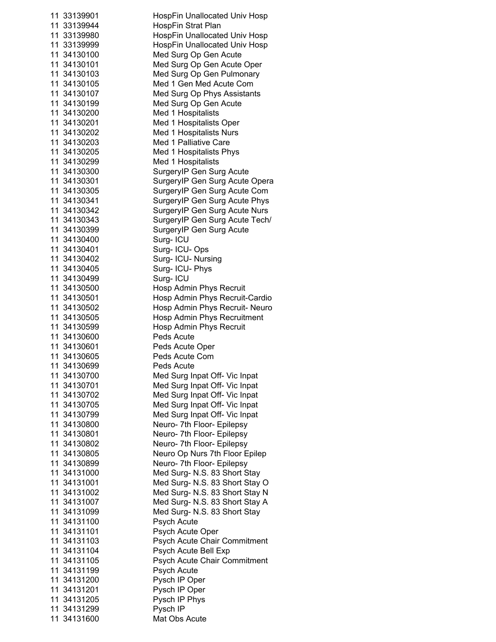| 11 33139901 | HospFin Unallocated Univ Hosp  |
|-------------|--------------------------------|
| 11 33139944 | HospFin Strat Plan             |
|             |                                |
| 11 33139980 | HospFin Unallocated Univ Hosp  |
| 11 33139999 | HospFin Unallocated Univ Hosp  |
| 11 34130100 | Med Surg Op Gen Acute          |
| 11 34130101 | Med Surg Op Gen Acute Oper     |
| 11 34130103 | Med Surg Op Gen Pulmonary      |
| 11 34130105 | Med 1 Gen Med Acute Com        |
| 11 34130107 | Med Surg Op Phys Assistants    |
| 11 34130199 | Med Surg Op Gen Acute          |
| 11 34130200 | Med 1 Hospitalists             |
| 11 34130201 | Med 1 Hospitalists Oper        |
| 11 34130202 | Med 1 Hospitalists Nurs        |
| 11 34130203 | Med 1 Palliative Care          |
|             |                                |
| 11 34130205 | Med 1 Hospitalists Phys        |
| 11 34130299 | Med 1 Hospitalists             |
| 11 34130300 | SurgerylP Gen Surg Acute       |
| 11 34130301 | SurgerylP Gen Surg Acute Opera |
| 11 34130305 | SurgerylP Gen Surg Acute Com   |
| 11 34130341 | SurgerylP Gen Surg Acute Phys  |
| 11 34130342 | SurgerylP Gen Surg Acute Nurs  |
| 11 34130343 | SurgerylP Gen Surg Acute Tech/ |
| 11 34130399 | SurgerylP Gen Surg Acute       |
| 11 34130400 | Surg-ICU                       |
| 11 34130401 | Surg- ICU-Ops                  |
| 11 34130402 | Surg- ICU- Nursing             |
| 11 34130405 | Surg- ICU- Phys                |
| 11 34130499 |                                |
|             | Surg-ICU                       |
| 11 34130500 | Hosp Admin Phys Recruit        |
| 11 34130501 | Hosp Admin Phys Recruit-Cardio |
| 11 34130502 | Hosp Admin Phys Recruit- Neuro |
| 11 34130505 | Hosp Admin Phys Recruitment    |
| 11 34130599 | Hosp Admin Phys Recruit        |
| 11 34130600 | Peds Acute                     |
| 11 34130601 | Peds Acute Oper                |
| 11 34130605 | Peds Acute Com                 |
| 11 34130699 | Peds Acute                     |
| 11 34130700 | Med Surg Inpat Off- Vic Inpat  |
| 11 34130701 | Med Surg Inpat Off- Vic Inpat  |
| 11 34130702 | Med Surg Inpat Off- Vic Inpat  |
| 11 34130705 | Med Surg Inpat Off- Vic Inpat  |
| 11 34130799 | Med Surg Inpat Off- Vic Inpat  |
| 11 34130800 | Neuro- 7th Floor- Epilepsy     |
| 11 34130801 | Neuro- 7th Floor- Epilepsy     |
| 11 34130802 | Neuro- 7th Floor- Epilepsy     |
| 11 34130805 | Neuro Op Nurs 7th Floor Epilep |
| 11 34130899 |                                |
|             | Neuro- 7th Floor- Epilepsy     |
| 11 34131000 | Med Surg- N.S. 83 Short Stay   |
| 11 34131001 | Med Surg- N.S. 83 Short Stay O |
| 11 34131002 | Med Surg- N.S. 83 Short Stay N |
| 11 34131007 | Med Surg- N.S. 83 Short Stay A |
| 11 34131099 | Med Surg- N.S. 83 Short Stay   |
| 11 34131100 | Psych Acute                    |
| 11 34131101 | Psych Acute Oper               |
| 11 34131103 | Psych Acute Chair Commitment   |
| 11 34131104 | Psych Acute Bell Exp           |
| 11 34131105 | Psych Acute Chair Commitment   |
| 11 34131199 | Psych Acute                    |
| 11 34131200 | Pysch IP Oper                  |
| 11 34131201 | Pysch IP Oper                  |
| 11 34131205 |                                |
|             | Pysch IP Phys                  |
| 11 34131299 | Pysch IP                       |
| 11 34131600 | Mat Obs Acute                  |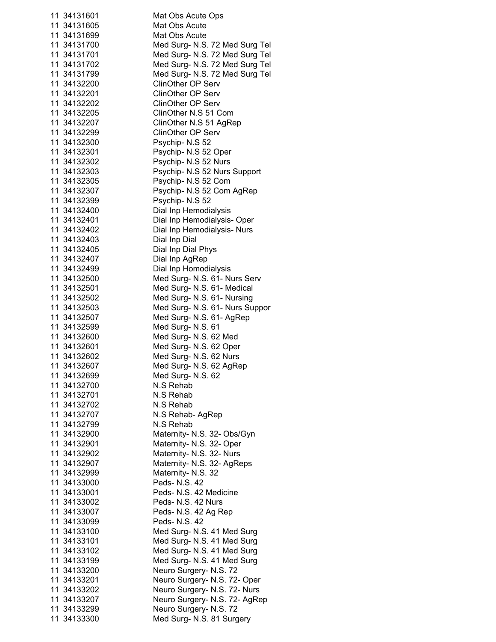| 11 34131601                | Mat Obs Acute Ops                                 |
|----------------------------|---------------------------------------------------|
| 11 34131605                | Mat Obs Acute                                     |
| 11 34131699                | Mat Obs Acute                                     |
| 11 34131700                | Med Surg- N.S. 72 Med Surg Tel                    |
| 11 34131701                | Med Surg- N.S. 72 Med Surg Tel                    |
| 11 34131702                | Med Surg- N.S. 72 Med Surg Tel                    |
| 11 34131799                | Med Surg- N.S. 72 Med Surg Tel                    |
| 11 34132200                | ClinOther OP Serv                                 |
| 11 34132201                | <b>ClinOther OP Serv</b>                          |
| 11 34132202                | <b>ClinOther OP Serv</b>                          |
| 11 34132205                | ClinOther N.S 51 Com                              |
| 11 34132207                | ClinOther N.S 51 AgRep                            |
| 11 34132299                | ClinOther OP Serv                                 |
| 11 34132300                | Psychip-N.S 52                                    |
| 11 34132301                | Psychip- N.S 52 Oper                              |
| 11 34132302                | Psychip- N.S 52 Nurs                              |
| 11 34132303                | Psychip- N.S 52 Nurs Support                      |
| 11 34132305                | Psychip- N.S 52 Com                               |
| 11 34132307                | Psychip- N.S 52 Com AgRep                         |
| 11 34132399                | Psychip-N.S 52                                    |
| 11 34132400                | Dial Inp Hemodialysis                             |
| 11 34132401                | Dial Inp Hemodialysis- Oper                       |
| 11 34132402                | Dial Inp Hemodialysis- Nurs                       |
| 11 34132403                | Dial Inp Dial                                     |
| 11 34132405                | Dial Inp Dial Phys                                |
| 11 34132407                | Dial Inp AgRep                                    |
| 11 34132499                | Dial Inp Homodialysis                             |
| 11 34132500                | Med Surg- N.S. 61- Nurs Serv                      |
| 11 34132501                | Med Surg- N.S. 61- Medical                        |
| 11 34132502                | Med Surg- N.S. 61- Nursing                        |
| 11 34132503                | Med Surg- N.S. 61- Nurs Suppor                    |
| 11 34132507                |                                                   |
| 11 34132599                | Med Surg- N.S. 61- AgRep<br>Med Surg-N.S. 61      |
|                            |                                                   |
| 11 34132600                | Med Surg- N.S. 62 Med                             |
| 11 34132601                | Med Surg- N.S. 62 Oper                            |
| 11 34132602<br>11 34132607 | Med Surg- N.S. 62 Nurs<br>Med Surg- N.S. 62 AgRep |
| 11 34132699                | Med Surg-N.S. 62                                  |
| 11 34132700                | N.S Rehab                                         |
| 11 34132701                | N.S Rehab                                         |
| 11 34132702                | N.S Rehab                                         |
| 11 34132707                | N.S Rehab- AgRep                                  |
| 11 34132799                | N.S Rehab                                         |
|                            |                                                   |
| 11 34132900<br>11 34132901 | Maternity- N.S. 32- Obs/Gyn                       |
|                            | Maternity- N.S. 32- Oper                          |
| 11 34132902                | Maternity- N.S. 32- Nurs                          |
| 11 34132907                | Maternity- N.S. 32- AgReps                        |
| 11 34132999                | Maternity- N.S. 32                                |
| 11 34133000                | Peds- N.S. 42                                     |
| 11 34133001                | Peds- N.S. 42 Medicine                            |
| 11 34133002                | Peds- N.S. 42 Nurs                                |
| 11 34133007                | Peds- N.S. 42 Ag Rep                              |
| 11 34133099                | Peds- N.S. 42                                     |
| 11 34133100                | Med Surg- N.S. 41 Med Surg                        |
| 11 34133101                | Med Surg- N.S. 41 Med Surg                        |
| 11 34133102                | Med Surg- N.S. 41 Med Surg                        |
| 11 34133199                | Med Surg- N.S. 41 Med Surg                        |
| 11 34133200                | Neuro Surgery- N.S. 72                            |
| 11 34133201                | Neuro Surgery- N.S. 72- Oper                      |
| 11 34133202                | Neuro Surgery- N.S. 72- Nurs                      |
| 11 34133207                | Neuro Surgery- N.S. 72- AgRep                     |
| 11 34133299                | Neuro Surgery- N.S. 72                            |
| 11 34133300                | Med Surg- N.S. 81 Surgery                         |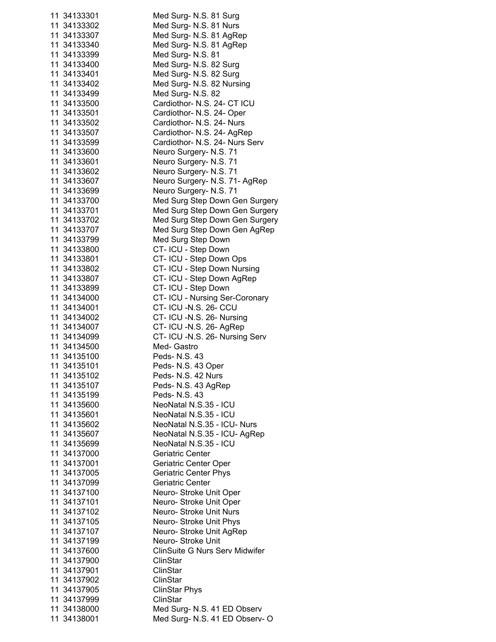| 11 34133301 | Med Surg- N.S. 81 Surg                |
|-------------|---------------------------------------|
| 11 34133302 | Med Surg- N.S. 81 Nurs                |
| 11 34133307 | Med Surg- N.S. 81 AgRep               |
| 11 34133340 | Med Surg- N.S. 81 AgRep               |
| 11 34133399 | Med Surg-N.S. 81                      |
| 11 34133400 | Med Surg- N.S. 82 Surg                |
| 11 34133401 | Med Surg- N.S. 82 Surg                |
| 11 34133402 | Med Surg- N.S. 82 Nursing             |
| 11 34133499 | Med Surg-N.S. 82                      |
| 11 34133500 | Cardiothor- N.S. 24- CT ICU           |
| 11 34133501 | Cardiothor- N.S. 24- Oper             |
| 11 34133502 | Cardiothor- N.S. 24- Nurs             |
| 11 34133507 | Cardiothor- N.S. 24- AgRep            |
| 11 34133599 | Cardiothor- N.S. 24- Nurs Serv        |
| 11 34133600 | Neuro Surgery- N.S. 71                |
| 11 34133601 | Neuro Surgery- N.S. 71                |
| 11 34133602 | Neuro Surgery- N.S. 71                |
| 11 34133607 | Neuro Surgery- N.S. 71- AgRep         |
| 11 34133699 | Neuro Surgery- N.S. 71                |
| 11 34133700 | Med Surg Step Down Gen Surgery        |
| 11 34133701 | Med Surg Step Down Gen Surgery        |
| 11 34133702 | Med Surg Step Down Gen Surgery        |
| 11 34133707 | Med Surg Step Down Gen AgRep          |
| 11 34133799 | Med Surg Step Down                    |
| 11 34133800 | CT- ICU - Step Down                   |
| 11 34133801 | CT-ICU - Step Down Ops                |
| 11 34133802 | CT- ICU - Step Down Nursing           |
| 11 34133807 | CT-ICU - Step Down AgRep              |
| 11 34133899 | CT- ICU - Step Down                   |
| 11 34134000 | CT- ICU - Nursing Ser-Coronary        |
| 11 34134001 | CT-ICU-N.S. 26- CCU                   |
| 11 34134002 | CT- ICU -N.S. 26- Nursing             |
| 11 34134007 | CT-ICU-N.S. 26-AgRep                  |
| 11 34134099 | CT- ICU -N.S. 26- Nursing Serv        |
| 11 34134500 | Med- Gastro                           |
| 11 34135100 | Peds- N.S. 43                         |
| 11 34135101 | Peds- N.S. 43 Oper                    |
| 11 34135102 | Peds- N.S. 42 Nurs                    |
| 11 34135107 | Peds- N.S. 43 AgRep                   |
| 11 34135199 | Peds- N.S. 43                         |
| 11 34135600 | NeoNatal N.S.35 - ICU                 |
| 11 34135601 | NeoNatal N.S.35 - ICU                 |
| 11 34135602 | NeoNatal N.S.35 - ICU- Nurs           |
| 11 34135607 | NeoNatal N.S.35 - ICU- AgRep          |
| 11 34135699 | NeoNatal N.S.35 - ICU                 |
| 11 34137000 | <b>Geriatric Center</b>               |
| 11 34137001 | Geriatric Center Oper                 |
| 11 34137005 | <b>Geriatric Center Phys</b>          |
| 11 34137099 | <b>Geriatric Center</b>               |
| 11 34137100 | Neuro- Stroke Unit Oper               |
| 11 34137101 | Neuro- Stroke Unit Oper               |
| 11 34137102 | Neuro- Stroke Unit Nurs               |
| 11 34137105 | Neuro- Stroke Unit Phys               |
| 11 34137107 | Neuro- Stroke Unit AgRep              |
| 11 34137199 | Neuro- Stroke Unit                    |
| 11 34137600 | <b>ClinSuite G Nurs Serv Midwifer</b> |
| 11 34137900 | ClinStar                              |
| 11 34137901 | ClinStar                              |
|             |                                       |
| 11 34137902 | ClinStar                              |
| 11 34137905 | <b>ClinStar Phys</b>                  |
| 11 34137999 | ClinStar                              |
| 11 34138000 | Med Surg- N.S. 41 ED Observ           |
| 11 34138001 | Med Surg- N.S. 41 ED Observ- O        |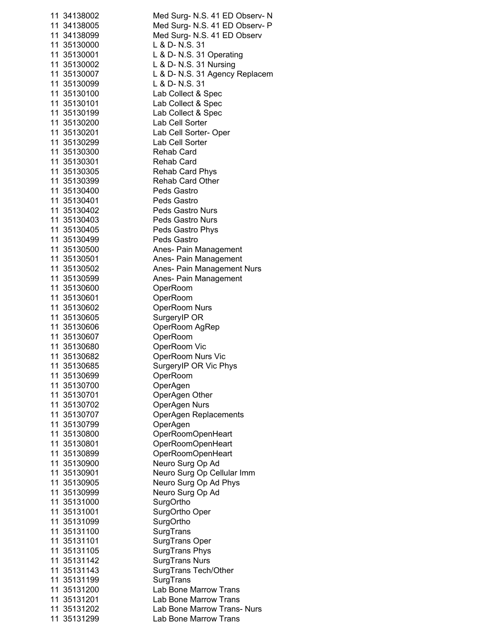| 11 34138002 | Med Surg- N.S. 41 ED Observ- N |
|-------------|--------------------------------|
| 11 34138005 | Med Surg- N.S. 41 ED Observ- P |
|             |                                |
| 11 34138099 | Med Surg- N.S. 41 ED Observ    |
| 11 35130000 | L & D- N.S. 31                 |
| 11 35130001 | L & D- N.S. 31 Operating       |
|             |                                |
| 11 35130002 | L & D- N.S. 31 Nursing         |
| 11 35130007 | L & D- N.S. 31 Agency Replacem |
|             |                                |
| 11 35130099 | L & D- N.S. 31                 |
| 11 35130100 | Lab Collect & Spec             |
| 11 35130101 | Lab Collect & Spec             |
|             |                                |
| 11 35130199 | Lab Collect & Spec             |
| 11 35130200 | Lab Cell Sorter                |
| 11 35130201 | Lab Cell Sorter-Oper           |
|             |                                |
| 11 35130299 | Lab Cell Sorter                |
| 11 35130300 | <b>Rehab Card</b>              |
| 11 35130301 | <b>Rehab Card</b>              |
|             |                                |
| 11 35130305 | <b>Rehab Card Phys</b>         |
| 11 35130399 | <b>Rehab Card Other</b>        |
| 11 35130400 | Peds Gastro                    |
|             |                                |
| 11 35130401 | Peds Gastro                    |
| 11 35130402 | <b>Peds Gastro Nurs</b>        |
| 11 35130403 | <b>Peds Gastro Nurs</b>        |
|             |                                |
| 11 35130405 | Peds Gastro Phys               |
| 11 35130499 | Peds Gastro                    |
| 11 35130500 |                                |
|             | Anes- Pain Management          |
| 11 35130501 | Anes- Pain Management          |
| 11 35130502 | Anes- Pain Management Nurs     |
| 11 35130599 | Anes- Pain Management          |
|             |                                |
| 11 35130600 | OperRoom                       |
| 11 35130601 | OperRoom                       |
| 11 35130602 | OperRoom Nurs                  |
|             |                                |
| 11 35130605 | SurgerylP OR                   |
| 11 35130606 | OperRoom AgRep                 |
| 11 35130607 | OperRoom                       |
|             |                                |
| 11 35130680 | OperRoom Vic                   |
| 11 35130682 | OperRoom Nurs Vic              |
| 11 35130685 | SurgeryIP OR Vic Phys          |
|             |                                |
| 11 35130699 | OperRoom                       |
| 11 35130700 | OperAgen                       |
| 11 35130701 | OperAgen Other                 |
|             |                                |
| 11 35130702 | OperAgen Nurs                  |
| 11 35130707 | OperAgen Replacements          |
| 11 35130799 | OperAgen                       |
|             |                                |
| 11 35130800 | OperRoomOpenHeart              |
| 11 35130801 | OperRoomOpenHeart              |
| 11 35130899 | OperRoomOpenHeart              |
|             |                                |
| 11 35130900 | Neuro Surg Op Ad               |
| 11 35130901 | Neuro Surg Op Cellular Imm     |
| 11 35130905 | Neuro Surg Op Ad Phys          |
|             |                                |
| 11 35130999 | Neuro Surg Op Ad               |
| 11 35131000 | SurgOrtho                      |
| 11 35131001 | SurgOrtho Oper                 |
| 11 35131099 |                                |
|             | SurgOrtho                      |
| 11 35131100 | SurgTrans                      |
| 11 35131101 | SurgTrans Oper                 |
| 11 35131105 |                                |
|             | SurgTrans Phys                 |
| 11 35131142 | <b>SurgTrans Nurs</b>          |
| 11 35131143 | SurgTrans Tech/Other           |
| 11 35131199 | SurgTrans                      |
|             |                                |
| 11 35131200 | Lab Bone Marrow Trans          |
| 11 35131201 | <b>Lab Bone Marrow Trans</b>   |
| 11 35131202 | Lab Bone Marrow Trans- Nurs    |
|             |                                |
| 11 35131299 | Lab Bone Marrow Trans          |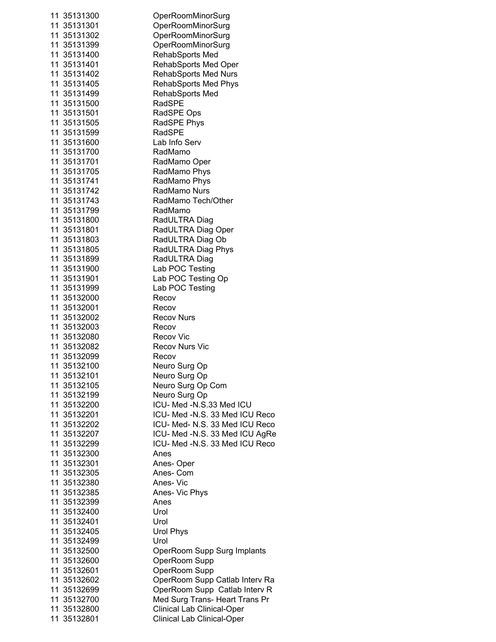| 11 35131300                | OperRoomMinorSurg                            |
|----------------------------|----------------------------------------------|
| 11 35131301                | OperRoomMinorSurg                            |
| 11 35131302                | OperRoomMinorSurg                            |
| 11 35131399                | OperRoomMinorSurg                            |
| 11 35131400<br>11 35131401 | RehabSports Med<br>RehabSports Med Oper      |
| 11 35131402                | <b>RehabSports Med Nurs</b>                  |
| 11 35131405                | <b>RehabSports Med Phys</b>                  |
| 11 35131499                | RehabSports Med                              |
| 11 35131500                | RadSPE                                       |
| 11 35131501                | RadSPE Ops                                   |
| 11 35131505                | RadSPE Phys                                  |
| 11 35131599<br>11 35131600 | RadSPE<br>Lab Info Serv                      |
| 11 35131700                | RadMamo                                      |
| 11 35131701                | RadMamo Oper                                 |
| 11 35131705                | RadMamo Phys                                 |
| 11 35131741                | RadMamo Phys                                 |
| 11 35131742                | RadMamo Nurs                                 |
| 11 35131743                | RadMamo Tech/Other                           |
| 11 35131799                | RadMamo                                      |
| 11 35131800<br>11 35131801 | RadULTRA Diag<br>RadULTRA Diag Oper          |
| 11 35131803                | RadULTRA Diag Ob                             |
| 11 35131805                | RadULTRA Diag Phys                           |
| 11 35131899                | RadULTRA Diag                                |
| 11 35131900                | Lab POC Testing                              |
| 11 35131901                | Lab POC Testing Op                           |
| 11 35131999                | Lab POC Testing                              |
| 11 35132000                | Recov                                        |
| 11 35132001<br>11 35132002 | Recov<br><b>Recov Nurs</b>                   |
| 11 35132003                | Recov                                        |
| 11 35132080                | Recov Vic                                    |
| 11 35132082                | <b>Recov Nurs Vic</b>                        |
| 11 35132099                | Recov                                        |
| 11 35132100                | Neuro Surg Op                                |
| 11 35132101                | Neuro Surg Op                                |
| 11 35132105<br>11 35132199 | Neuro Surg Op Com<br>Neuro Surg Op           |
| 11 35132200                | ICU- Med -N.S.33 Med ICU                     |
| 11 35132201                | ICU- Med -N.S. 33 Med ICU Reco               |
| 11 35132202                | ICU- Med- N.S. 33 Med ICU Reco               |
| 11 35132207                | ICU- Med -N.S. 33 Med ICU AgRe               |
| 11 35132299                | ICU- Med -N.S. 33 Med ICU Reco               |
| 11 35132300                | Anes                                         |
| 11 35132301                | Anes-Oper                                    |
| 11 35132305<br>11 35132380 | Anes- Com<br>Anes- Vic                       |
| 11 35132385                | Anes- Vic Phys                               |
| 11 35132399                | Anes                                         |
| 11 35132400                | Urol                                         |
| 11 35132401                | Urol                                         |
| 11 35132405                | <b>Urol Phys</b>                             |
| 11 35132499                | Urol                                         |
| 11 35132500<br>11 35132600 | OperRoom Supp Surg Implants<br>OperRoom Supp |
| 11 35132601                | OperRoom Supp                                |
| 11 35132602                | OperRoom Supp Catlab Interv Ra               |
| 11 35132699                | OperRoom Supp Catlab Interv R                |
| 11 35132700                | Med Surg Trans- Heart Trans Pr               |
| 11 35132800                | Clinical Lab Clinical-Oper                   |
| 11 35132801                | Clinical Lab Clinical-Oper                   |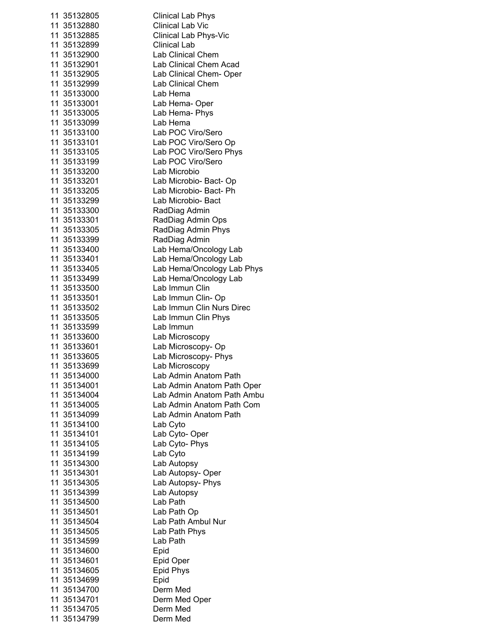| 11 35132805 | <b>Clinical Lab Phys</b>     |
|-------------|------------------------------|
| 11 35132880 | <b>Clinical Lab Vic</b>      |
| 11 35132885 | <b>Clinical Lab Phys-Vic</b> |
| 11 35132899 | <b>Clinical Lab</b>          |
| 11 35132900 | <b>Lab Clinical Chem</b>     |
| 11 35132901 | Lab Clinical Chem Acad       |
| 11 35132905 | Lab Clinical Chem- Oper      |
| 11 35132999 | Lab Clinical Chem            |
| 11 35133000 | Lab Hema                     |
| 11 35133001 | Lab Hema- Oper               |
| 11 35133005 | Lab Hema- Phys               |
| 11 35133099 | Lab Hema                     |
| 11 35133100 | Lab POC Viro/Sero            |
| 11 35133101 | Lab POC Viro/Sero Op         |
| 11 35133105 | Lab POC Viro/Sero Phys       |
| 11 35133199 | Lab POC Viro/Sero            |
| 11 35133200 | Lab Microbio                 |
| 11 35133201 | Lab Microbio- Bact- Op       |
| 11 35133205 | Lab Microbio- Bact- Ph       |
| 11 35133299 | Lab Microbio- Bact           |
| 11 35133300 | RadDiag Admin                |
| 11 35133301 | RadDiag Admin Ops            |
| 11 35133305 | RadDiag Admin Phys           |
| 11 35133399 | RadDiag Admin                |
| 11 35133400 | Lab Hema/Oncology Lab        |
| 11 35133401 | Lab Hema/Oncology Lab        |
| 11 35133405 | Lab Hema/Oncology Lab Phys   |
| 11 35133499 | Lab Hema/Oncology Lab        |
| 11 35133500 | Lab Immun Clin               |
| 11 35133501 | Lab Immun Clin-Op            |
| 11 35133502 | Lab Immun Clin Nurs Direc    |
| 11 35133505 | Lab Immun Clin Phys          |
| 11 35133599 | Lab Immun                    |
| 11 35133600 | Lab Microscopy               |
| 11 35133601 | Lab Microscopy- Op           |
| 11 35133605 | Lab Microscopy- Phys         |
| 11 35133699 | Lab Microscopy               |
| 11 35134000 | Lab Admin Anatom Path        |
| 11 35134001 | Lab Admin Anatom Path Oper   |
| 11 35134004 | Lab Admin Anatom Path Ambu   |
| 11 35134005 | Lab Admin Anatom Path Com    |
| 11 35134099 | Lab Admin Anatom Path        |
| 11 35134100 | Lab Cyto                     |
| 11 35134101 | Lab Cyto-Oper                |
| 11 35134105 | Lab Cyto- Phys               |
| 11 35134199 | Lab Cyto                     |
| 11 35134300 | Lab Autopsy                  |
| 11 35134301 | Lab Autopsy- Oper            |
| 11 35134305 | Lab Autopsy- Phys            |
| 11 35134399 | Lab Autopsy                  |
| 11 35134500 | Lab Path                     |
| 11 35134501 | Lab Path Op                  |
| 11 35134504 | Lab Path Ambul Nur           |
| 11 35134505 | Lab Path Phys                |
| 11 35134599 | Lab Path                     |
| 11 35134600 | Epid                         |
| 11 35134601 | Epid Oper                    |
| 11 35134605 | <b>Epid Phys</b>             |
| 11 35134699 | Epid                         |
| 11 35134700 | Derm Med                     |
| 11 35134701 | Derm Med Oper                |
| 11 35134705 | Derm Med                     |
| 11 35134799 | Derm Med                     |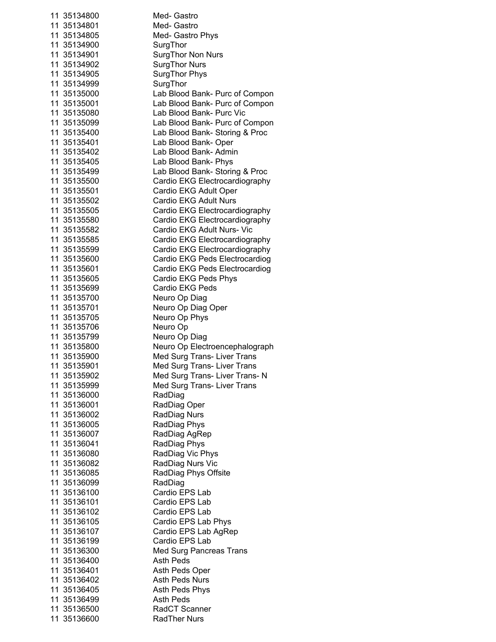| 11 35134800                | Med- Gastro                    |
|----------------------------|--------------------------------|
| 11 35134801                | Med- Gastro                    |
| 11 35134805                | Med- Gastro Phys               |
| 11 35134900                | SurgThor                       |
| 11 35134901                | SurgThor Non Nurs              |
| 11 35134902                | <b>SurgThor Nurs</b>           |
| 11 35134905                | <b>SurgThor Phys</b>           |
| 11 35134999                | SurgThor                       |
| 11 35135000                | Lab Blood Bank- Purc of Compon |
| 11 35135001                | Lab Blood Bank- Purc of Compon |
| 11 35135080                | Lab Blood Bank- Purc Vic       |
| 11 35135099                | Lab Blood Bank- Purc of Compon |
| 11 35135400                | Lab Blood Bank- Storing & Proc |
| 11 35135401                | Lab Blood Bank-Oper            |
| 11 35135402                | Lab Blood Bank- Admin          |
| 11 35135405                | Lab Blood Bank- Phys           |
| 11 35135499                | Lab Blood Bank- Storing & Proc |
| 11 35135500                | Cardio EKG Electrocardiography |
| 11 35135501                | Cardio EKG Adult Oper          |
| 11 35135502                | <b>Cardio EKG Adult Nurs</b>   |
| 11 35135505                | Cardio EKG Electrocardiography |
| 11 35135580                | Cardio EKG Electrocardiography |
| 11 35135582                | Cardio EKG Adult Nurs- Vic     |
| 11 35135585                | Cardio EKG Electrocardiography |
| 11 35135599                | Cardio EKG Electrocardiography |
| 11 35135600                | Cardio EKG Peds Electrocardiog |
| 11 35135601                | Cardio EKG Peds Electrocardiog |
| 11 35135605                | Cardio EKG Peds Phys           |
| 11 35135699                | Cardio EKG Peds                |
| 11 35135700                | Neuro Op Diag                  |
| 11 35135701                | Neuro Op Diag Oper             |
| 11 35135705                | Neuro Op Phys                  |
| 11 35135706                | Neuro Op                       |
| 11 35135799                | Neuro Op Diag                  |
| 11 35135800                | Neuro Op Electroencephalograph |
| 11 35135900                | Med Surg Trans- Liver Trans    |
| 11 35135901                | Med Surg Trans- Liver Trans    |
| 11 35135902                | Med Surg Trans- Liver Trans- N |
| 11 35135999                | Med Surg Trans- Liver Trans    |
| 11 35136000                | RadDiag                        |
| 11 35136001                | RadDiag Oper                   |
| 11 35136002                | RadDiag Nurs                   |
| 11 35136005                | RadDiag Phys                   |
| 11 35136007                | RadDiag AgRep                  |
| 11 35136041                | RadDiag Phys                   |
| 11 35136080                | RadDiag Vic Phys               |
| 11 35136082                | RadDiag Nurs Vic               |
| 11 35136085                | RadDiag Phys Offsite           |
| 11 35136099                | RadDiag                        |
| 11 35136100                | Cardio EPS Lab                 |
| 11 35136101                | Cardio EPS Lab                 |
|                            |                                |
| 11 35136102                | Cardio EPS Lab                 |
| 11 35136105                | Cardio EPS Lab Phys            |
| 11 35136107                | Cardio EPS Lab AgRep           |
| 11 35136199                | Cardio EPS Lab                 |
| 11 35136300                | Med Surg Pancreas Trans        |
| 11 35136400                | <b>Asth Peds</b>               |
| 11 35136401                | Asth Peds Oper                 |
| 11 35136402                | <b>Asth Peds Nurs</b>          |
| 11 35136405                | Asth Peds Phys                 |
| 11 35136499                | <b>Asth Peds</b>               |
| 11 35136500<br>11 35136600 | RadCT Scanner                  |
|                            | RadTher Nurs                   |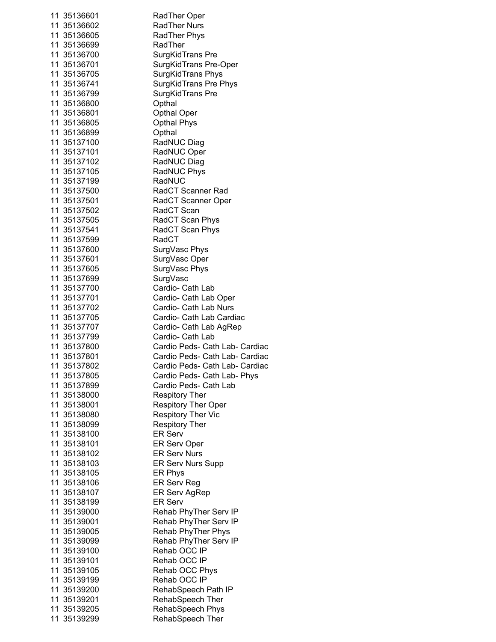|  | 11 35136601                | RadTher Oper                                                     |
|--|----------------------------|------------------------------------------------------------------|
|  | 11 35136602                | <b>RadTher Nurs</b>                                              |
|  | 11 35136605                | RadTher Phys                                                     |
|  | 11 35136699                | RadTher                                                          |
|  | 11 35136700                | SurgKidTrans Pre                                                 |
|  | 11 35136701                | SurgKidTrans Pre-Oper                                            |
|  | 11 35136705                | SurgKidTrans Phys                                                |
|  | 11 35136741                | SurgKidTrans Pre Phys                                            |
|  | 11 35136799                | SurgKidTrans Pre                                                 |
|  | 11 35136800                | Opthal                                                           |
|  | 11 35136801                | <b>Opthal Oper</b>                                               |
|  | 11 35136805                | <b>Opthal Phys</b>                                               |
|  | 11 35136899                | Opthal                                                           |
|  | 11 35137100                | RadNUC Diag                                                      |
|  | 11 35137101                | RadNUC Oper                                                      |
|  | 11 35137102                | RadNUC Diag                                                      |
|  |                            |                                                                  |
|  | 11 35137105                | RadNUC Phys                                                      |
|  | 11 35137199                | RadNUC<br><b>RadCT Scanner Rad</b>                               |
|  | 11 35137500                |                                                                  |
|  | 11 35137501                | RadCT Scanner Oper                                               |
|  | 11 35137502                | RadCT Scan                                                       |
|  | 11 35137505                | RadCT Scan Phys                                                  |
|  | 11 35137541                | RadCT Scan Phys                                                  |
|  | 11 35137599                | RadCT                                                            |
|  | 11 35137600                | SurgVasc Phys                                                    |
|  | 11 35137601                | SurgVasc Oper                                                    |
|  | 11 35137605                | SurgVasc Phys                                                    |
|  | 11 35137699                | <b>SurgVasc</b>                                                  |
|  | 11 35137700                | Cardio- Cath Lab                                                 |
|  | 11 35137701                | Cardio- Cath Lab Oper<br>Cardio- Cath Lab Nurs                   |
|  | 11 35137702                |                                                                  |
|  | 11 35137705                | Cardio- Cath Lab Cardiac                                         |
|  | 11 35137707<br>11 35137799 | Cardio- Cath Lab AgRep<br>Cardio- Cath Lab                       |
|  |                            |                                                                  |
|  | 11 35137800                | Cardio Peds- Cath Lab- Cardiac                                   |
|  | 11 35137801<br>11 35137802 | Cardio Peds- Cath Lab- Cardiac<br>Cardio Peds- Cath Lab- Cardiac |
|  |                            |                                                                  |
|  | 11 35137805<br>11 35137899 | Cardio Peds- Cath Lab- Phys<br>Cardio Peds- Cath Lab             |
|  | 11 35138000                | <b>Respitory Ther</b>                                            |
|  | 11 35138001                | <b>Respitory Ther Oper</b>                                       |
|  | 11 35138080                | Respitory Ther Vic                                               |
|  | 11 35138099                | <b>Respitory Ther</b>                                            |
|  | 11 35138100                | <b>ER Serv</b>                                                   |
|  | 11 35138101                | <b>ER Serv Oper</b>                                              |
|  | 11 35138102                | <b>ER Serv Nurs</b>                                              |
|  | 11 35138103                | <b>ER Serv Nurs Supp</b>                                         |
|  | 11 35138105                | ER Phys                                                          |
|  | 11 35138106                | <b>ER Serv Reg</b>                                               |
|  | 11 35138107                | ER Serv AgRep                                                    |
|  | 11 35138199                | <b>ER Serv</b>                                                   |
|  | 11 35139000                | Rehab PhyTher Serv IP                                            |
|  | 11 35139001                | Rehab PhyTher Serv IP                                            |
|  | 11 35139005                | Rehab PhyTher Phys                                               |
|  | 11 35139099                | Rehab PhyTher Serv IP                                            |
|  | 11 35139100                | Rehab OCC IP                                                     |
|  | 11 35139101                | Rehab OCC IP                                                     |
|  | 11 35139105                | Rehab OCC Phys                                                   |
|  | 11 35139199                | Rehab OCC IP                                                     |
|  | 11 35139200                | RehabSpeech Path IP                                              |
|  | 11 35139201                | RehabSpeech Ther                                                 |
|  | 11 35139205                | RehabSpeech Phys                                                 |
|  | 11 35139299                | RehabSpeech Ther                                                 |
|  |                            |                                                                  |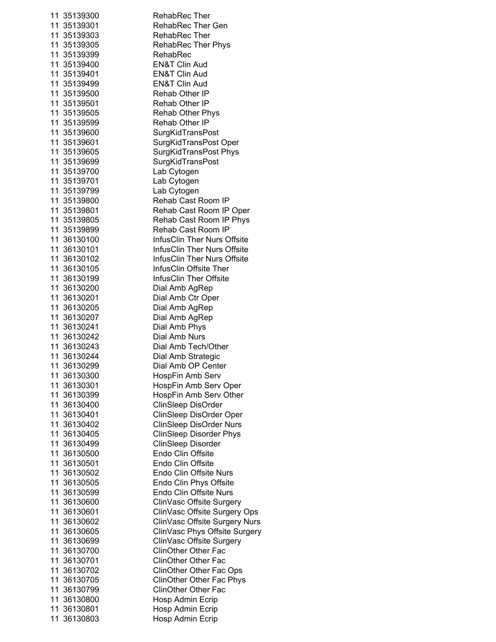| 11 35139300 | RehabRec Ther                      |
|-------------|------------------------------------|
| 11 35139301 | <b>RehabRec Ther Gen</b>           |
| 11 35139303 | RehabRec Ther                      |
| 11 35139305 | <b>RehabRec Ther Phys</b>          |
| 11 35139399 | RehabRec                           |
| 11 35139400 | <b>EN&amp;T Clin Aud</b>           |
| 11 35139401 | <b>EN&amp;T Clin Aud</b>           |
| 11 35139499 | <b>EN&amp;T Clin Aud</b>           |
| 11 35139500 | <b>Rehab Other IP</b>              |
| 11 35139501 | <b>Rehab Other IP</b>              |
| 11 35139505 | <b>Rehab Other Phys</b>            |
| 11 35139599 | Rehab Other IP                     |
| 11 35139600 | <b>SurgKidTransPost</b>            |
| 11 35139601 | SurgKidTransPost Oper              |
| 11 35139605 | SurgKidTransPost Phys              |
| 11 35139699 | <b>SurgKidTransPost</b>            |
| 11 35139700 | Lab Cytogen                        |
| 11 35139701 | Lab Cytogen                        |
| 11 35139799 | Lab Cytogen                        |
| 11 35139800 | <b>Rehab Cast Room IP</b>          |
| 11 35139801 | Rehab Cast Room IP Oper            |
| 11 35139805 | Rehab Cast Room IP Phys            |
| 11 35139899 | <b>Rehab Cast Room IP</b>          |
| 11 36130100 | <b>InfusClin Ther Nurs Offsite</b> |
| 11 36130101 | <b>InfusClin Ther Nurs Offsite</b> |
| 11 36130102 | <b>InfusClin Ther Nurs Offsite</b> |
| 11 36130105 | <b>InfusClin Offsite Ther</b>      |
| 11 36130199 | <b>InfusClin Ther Offsite</b>      |
| 11 36130200 | Dial Amb AgRep                     |
| 11 36130201 | Dial Amb Ctr Oper                  |
| 11 36130205 | Dial Amb AgRep                     |
| 11 36130207 | Dial Amb AgRep                     |
| 11 36130241 | Dial Amb Phys                      |
| 11 36130242 | Dial Amb Nurs                      |
| 11 36130243 | Dial Amb Tech/Other                |
| 11 36130244 | Dial Amb Strategic                 |
| 11 36130299 | Dial Amb OP Center                 |
| 11 36130300 | HospFin Amb Serv                   |
| 11 36130301 | HospFin Amb Serv Oper              |
| 11 36130399 | HospFin Amb Serv Other             |
| 11 36130400 | ClinSleep DisOrder                 |
| 11 36130401 | ClinSleep DisOrder Oper            |
| 11 36130402 | <b>ClinSleep DisOrder Nurs</b>     |
| 11 36130405 | <b>ClinSleep Disorder Phys</b>     |
| 11 36130499 | ClinSleep Disorder                 |
| 11 36130500 | Endo Clin Offsite                  |
| 11 36130501 | Endo Clin Offsite                  |
| 11 36130502 | <b>Endo Clin Offsite Nurs</b>      |
| 11 36130505 | Endo Clin Phys Offsite             |
| 11 36130599 | <b>Endo Clin Offsite Nurs</b>      |
| 11 36130600 | ClinVasc Offsite Surgery           |
| 11 36130601 | ClinVasc Offsite Surgery Ops       |
| 11 36130602 | ClinVasc Offsite Surgery Nurs      |
| 11 36130605 | ClinVasc Phys Offsite Surgery      |
| 11 36130699 | ClinVasc Offsite Surgery           |
| 11 36130700 | <b>ClinOther Other Fac</b>         |
| 11 36130701 | <b>ClinOther Other Fac</b>         |
| 11 36130702 | ClinOther Other Fac Ops            |
| 11 36130705 | ClinOther Other Fac Phys           |
| 11 36130799 | <b>ClinOther Other Fac</b>         |
| 11 36130800 | Hosp Admin Ecrip                   |
| 11 36130801 | Hosp Admin Ecrip                   |
| 11 36130803 | Hosp Admin Ecrip                   |
|             |                                    |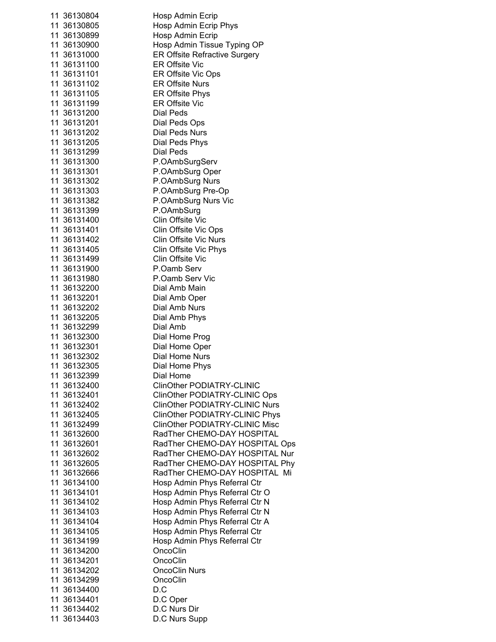| 11 36130804 | Hosp Admin Ecrip                      |
|-------------|---------------------------------------|
| 11 36130805 | Hosp Admin Ecrip Phys                 |
| 11 36130899 | Hosp Admin Ecrip                      |
|             |                                       |
| 11 36130900 | Hosp Admin Tissue Typing OP           |
| 11 36131000 | <b>ER Offsite Refractive Surgery</b>  |
| 11 36131100 | <b>ER Offsite Vic</b>                 |
| 11 36131101 | ER Offsite Vic Ops                    |
| 11 36131102 | <b>ER Offsite Nurs</b>                |
| 11 36131105 | <b>ER Offsite Phys</b>                |
| 11 36131199 | <b>ER Offsite Vic</b>                 |
| 11 36131200 | Dial Peds                             |
| 11 36131201 | Dial Peds Ops                         |
| 11 36131202 | Dial Peds Nurs                        |
| 11 36131205 | Dial Peds Phys                        |
| 11 36131299 | Dial Peds                             |
| 11 36131300 | P.OAmbSurgServ                        |
| 11 36131301 | P.OAmbSurg Oper                       |
| 11 36131302 | P.OAmbSurg Nurs                       |
| 11 36131303 | P.OAmbSurg Pre-Op                     |
| 11 36131382 | P.OAmbSurg Nurs Vic                   |
| 11 36131399 | P.OAmbSurg                            |
| 11 36131400 | Clin Offsite Vic                      |
| 11 36131401 | Clin Offsite Vic Ops                  |
| 11 36131402 | Clin Offsite Vic Nurs                 |
| 11 36131405 | Clin Offsite Vic Phys                 |
| 11 36131499 | <b>Clin Offsite Vic</b>               |
| 11 36131900 | P.Oamb Serv                           |
| 11 36131980 | P.Oamb Serv Vic                       |
| 11 36132200 | Dial Amb Main                         |
| 11 36132201 | Dial Amb Oper                         |
| 11 36132202 | Dial Amb Nurs                         |
| 11 36132205 | Dial Amb Phys                         |
| 11 36132299 | Dial Amb                              |
| 11 36132300 | Dial Home Prog                        |
| 11 36132301 | Dial Home Oper                        |
| 11 36132302 | Dial Home Nurs                        |
| 11 36132305 | Dial Home Phys                        |
| 11 36132399 | Dial Home                             |
| 11 36132400 | <b>ClinOther PODIATRY-CLINIC</b>      |
| 11 36132401 | ClinOther PODIATRY-CLINIC Ops         |
| 11 36132402 | <b>ClinOther PODIATRY-CLINIC Nurs</b> |
| 11 36132405 | ClinOther PODIATRY-CLINIC Phys        |
| 11 36132499 | ClinOther PODIATRY-CLINIC Misc        |
| 11 36132600 | RadTher CHEMO-DAY HOSPITAL            |
| 11 36132601 | RadTher CHEMO-DAY HOSPITAL Ops        |
| 11 36132602 | RadTher CHEMO-DAY HOSPITAL Nur        |
| 11 36132605 | RadTher CHEMO-DAY HOSPITAL Phy        |
| 11 36132666 | RadTher CHEMO-DAY HOSPITAL Mi         |
| 11 36134100 | Hosp Admin Phys Referral Ctr          |
| 11 36134101 | Hosp Admin Phys Referral Ctr O        |
| 11 36134102 | Hosp Admin Phys Referral Ctr N        |
| 11 36134103 | Hosp Admin Phys Referral Ctr N        |
| 11 36134104 | Hosp Admin Phys Referral Ctr A        |
| 11 36134105 | Hosp Admin Phys Referral Ctr          |
| 11 36134199 | Hosp Admin Phys Referral Ctr          |
| 11 36134200 | OncoClin                              |
| 11 36134201 | OncoClin                              |
| 11 36134202 | <b>OncoClin Nurs</b>                  |
| 11 36134299 | OncoClin                              |
| 11 36134400 | D.C                                   |
| 11 36134401 | D.C Oper                              |
| 11 36134402 | D.C Nurs Dir                          |
| 11 36134403 | D.C Nurs Supp                         |
|             |                                       |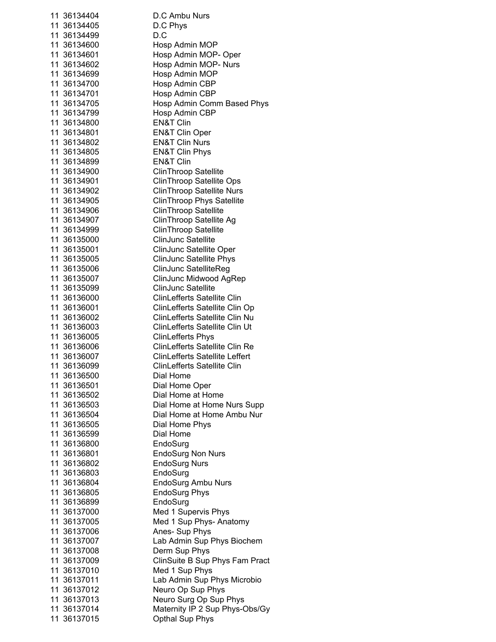| 11 36134404 | D.C Ambu Nurs                         |
|-------------|---------------------------------------|
| 11 36134405 | D.C Phys                              |
| 11 36134499 | D.C                                   |
| 11 36134600 | Hosp Admin MOP                        |
| 11 36134601 | Hosp Admin MOP- Oper                  |
| 11 36134602 | Hosp Admin MOP- Nurs                  |
| 11 36134699 | Hosp Admin MOP                        |
|             |                                       |
| 11 36134700 | Hosp Admin CBP                        |
| 11 36134701 | Hosp Admin CBP                        |
| 11 36134705 | Hosp Admin Comm Based Phys            |
| 11 36134799 | Hosp Admin CBP                        |
| 11 36134800 | <b>EN&amp;T Clin</b>                  |
| 11 36134801 | <b>EN&amp;T Clin Oper</b>             |
| 11 36134802 | <b>EN&amp;T Clin Nurs</b>             |
| 11 36134805 | <b>EN&amp;T Clin Phys</b>             |
| 11 36134899 | EN&T Clin                             |
| 11 36134900 | <b>ClinThroop Satellite</b>           |
| 11 36134901 | ClinThroop Satellite Ops              |
| 11 36134902 | <b>ClinThroop Satellite Nurs</b>      |
| 11 36134905 | ClinThroop Phys Satellite             |
| 11 36134906 | ClinThroop Satellite                  |
| 11 36134907 | ClinThroop Satellite Ag               |
| 11 36134999 | ClinThroop Satellite                  |
| 11 36135000 | ClinJunc Satellite                    |
| 11 36135001 | ClinJunc Satellite Oper               |
| 11 36135005 | ClinJunc Satellite Phys               |
| 11 36135006 | ClinJunc SatelliteReg                 |
| 11 36135007 | ClinJunc Midwood AgRep                |
| 11 36135099 | ClinJunc Satellite                    |
| 11 36136000 | <b>ClinLefferts Satellite Clin</b>    |
| 11 36136001 | ClinLefferts Satellite Clin Op        |
| 11 36136002 | ClinLefferts Satellite Clin Nu        |
| 11 36136003 | ClinLefferts Satellite Clin Ut        |
| 11 36136005 | <b>ClinLefferts Phys</b>              |
| 11 36136006 | <b>ClinLefferts Satellite Clin Re</b> |
| 11 36136007 | <b>ClinLefferts Satellite Leffert</b> |
| 11 36136099 | <b>ClinLefferts Satellite Clin</b>    |
| 11 36136500 | Dial Home                             |
| 11 36136501 | Dial Home Oper                        |
| 11 36136502 | Dial Home at Home                     |
| 11 36136503 | Dial Home at Home Nurs Supp           |
| 11 36136504 | Dial Home at Home Ambu Nur            |
| 11 36136505 | Dial Home Phys                        |
| 11 36136599 | Dial Home                             |
| 11 36136800 | EndoSurg                              |
| 11 36136801 | <b>EndoSurg Non Nurs</b>              |
| 11 36136802 | <b>EndoSurg Nurs</b>                  |
| 11 36136803 | EndoSurg                              |
| 11 36136804 | EndoSurg Ambu Nurs                    |
| 11 36136805 | <b>EndoSurg Phys</b>                  |
| 11 36136899 | EndoSurg                              |
| 11 36137000 | Med 1 Supervis Phys                   |
| 11 36137005 | Med 1 Sup Phys- Anatomy               |
| 11 36137006 | Anes- Sup Phys                        |
| 11 36137007 | Lab Admin Sup Phys Biochem            |
| 11 36137008 | Derm Sup Phys                         |
| 11 36137009 | ClinSuite B Sup Phys Fam Pract        |
| 11 36137010 | Med 1 Sup Phys                        |
| 11 36137011 | Lab Admin Sup Phys Microbio           |
| 11 36137012 |                                       |
| 11 36137013 | Neuro Op Sup Phys                     |
|             | Neuro Surg Op Sup Phys                |
| 11 36137014 | Maternity IP 2 Sup Phys-Obs/Gy        |
| 11 36137015 | <b>Opthal Sup Phys</b>                |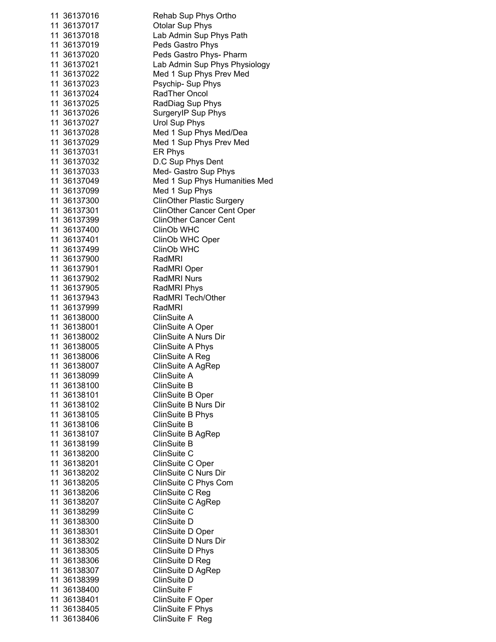| 11 36137016 | Rehab Sup Phys Ortho              |
|-------------|-----------------------------------|
| 11 36137017 | Otolar Sup Phys                   |
| 11 36137018 | Lab Admin Sup Phys Path           |
| 11 36137019 | Peds Gastro Phys                  |
| 11 36137020 | Peds Gastro Phys- Pharm           |
| 11 36137021 | Lab Admin Sup Phys Physiology     |
| 11 36137022 | Med 1 Sup Phys Prev Med           |
| 11 36137023 | Psychip- Sup Phys                 |
| 11 36137024 | RadTher Oncol                     |
| 11 36137025 | RadDiag Sup Phys                  |
| 11 36137026 | SurgerylP Sup Phys                |
| 11 36137027 | Urol Sup Phys                     |
| 11 36137028 | Med 1 Sup Phys Med/Dea            |
| 11 36137029 | Med 1 Sup Phys Prev Med           |
| 11 36137031 | ER Phys                           |
| 11 36137032 | D.C Sup Phys Dent                 |
| 11 36137033 | Med- Gastro Sup Phys              |
| 11 36137049 | Med 1 Sup Phys Humanities Med     |
| 11 36137099 | Med 1 Sup Phys                    |
| 11 36137300 | <b>ClinOther Plastic Surgery</b>  |
| 11 36137301 | <b>ClinOther Cancer Cent Oper</b> |
| 11 36137399 | <b>ClinOther Cancer Cent</b>      |
| 11 36137400 | ClinOb WHC                        |
| 11 36137401 | ClinOb WHC Oper                   |
| 11 36137499 | ClinOb WHC                        |
|             |                                   |
| 11 36137900 | RadMRI                            |
| 11 36137901 | RadMRI Oper                       |
| 11 36137902 | <b>RadMRI Nurs</b>                |
| 11 36137905 | RadMRI Phys                       |
| 11 36137943 | RadMRI Tech/Other                 |
| 11 36137999 | RadMRI                            |
| 11 36138000 | ClinSuite A                       |
| 11 36138001 | ClinSuite A Oper                  |
| 11 36138002 | ClinSuite A Nurs Dir              |
| 11 36138005 | ClinSuite A Phys                  |
| 11 36138006 | ClinSuite A Reg                   |
| 11 36138007 | ClinSuite A AgRep                 |
| 11 36138099 | ClinSuite A                       |
| 11 36138100 | <b>ClinSuite B</b>                |
| 11 36138101 | ClinSuite B Oper                  |
| 11 36138102 | <b>ClinSuite B Nurs Dir</b>       |
| 11 36138105 | <b>ClinSuite B Phys</b>           |
| 11 36138106 | <b>ClinSuite B</b>                |
| 11 36138107 | ClinSuite B AgRep                 |
| 11 36138199 | <b>ClinSuite B</b>                |
| 11 36138200 | ClinSuite C                       |
| 11 36138201 | ClinSuite C Oper                  |
| 11 36138202 | ClinSuite C Nurs Dir              |
| 11 36138205 | ClinSuite C Phys Com              |
| 11 36138206 | ClinSuite C Reg                   |
| 11 36138207 | ClinSuite C AgRep                 |
| 11 36138299 | ClinSuite C                       |
| 11 36138300 | ClinSuite D                       |
| 11 36138301 | ClinSuite D Oper                  |
| 11 36138302 | ClinSuite D Nurs Dir              |
| 11 36138305 | ClinSuite D Phys                  |
| 11 36138306 | ClinSuite D Reg                   |
| 11 36138307 | ClinSuite D AgRep                 |
| 11 36138399 | ClinSuite D                       |
| 11 36138400 | <b>ClinSuite F</b>                |
| 11 36138401 | <b>ClinSuite F Oper</b>           |
| 11 36138405 | <b>ClinSuite F Phys</b>           |
| 11 36138406 | ClinSuite F Reg                   |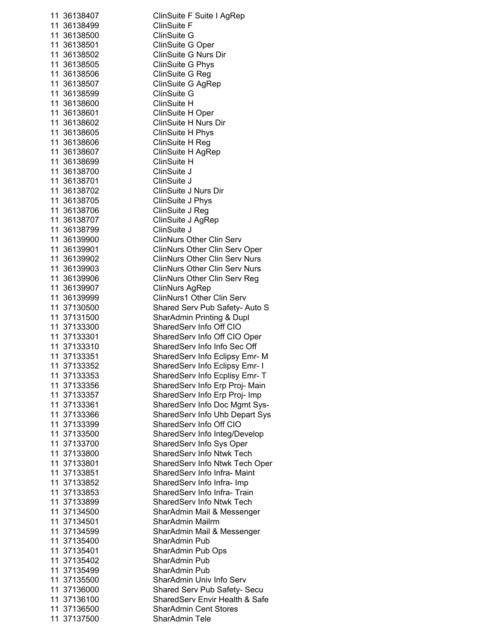| 11 36138407 | ClinSuite F Suite I AgRep            |
|-------------|--------------------------------------|
| 11 36138499 | <b>ClinSuite F</b>                   |
| 11 36138500 | <b>ClinSuite G</b>                   |
| 11 36138501 | <b>ClinSuite G Oper</b>              |
| 11 36138502 | <b>ClinSuite G Nurs Dir</b>          |
|             |                                      |
| 11 36138505 | ClinSuite G Phys                     |
| 11 36138506 | ClinSuite G Reg                      |
| 11 36138507 | ClinSuite G AgRep                    |
| 11 36138599 | <b>ClinSuite G</b>                   |
| 11 36138600 | <b>ClinSuite H</b>                   |
|             |                                      |
| 11 36138601 | ClinSuite H Oper                     |
| 11 36138602 | <b>ClinSuite H Nurs Dir</b>          |
| 11 36138605 | <b>ClinSuite H Phys</b>              |
| 11 36138606 | <b>ClinSuite H Reg</b>               |
| 11 36138607 |                                      |
|             | ClinSuite H AgRep                    |
| 11 36138699 | ClinSuite H                          |
| 11 36138700 | ClinSuite J                          |
| 11 36138701 | ClinSuite J                          |
| 11 36138702 | ClinSuite J Nurs Dir                 |
| 11 36138705 |                                      |
|             | <b>ClinSuite J Phys</b>              |
| 11 36138706 | ClinSuite J Reg                      |
| 11 36138707 | ClinSuite J AgRep                    |
| 11 36138799 | ClinSuite J                          |
| 11 36139900 | <b>ClinNurs Other Clin Serv</b>      |
|             |                                      |
| 11 36139901 | ClinNurs Other Clin Serv Oper        |
| 11 36139902 | <b>ClinNurs Other Clin Serv Nurs</b> |
| 11 36139903 | <b>ClinNurs Other Clin Serv Nurs</b> |
| 11 36139906 | ClinNurs Other Clin Serv Reg         |
| 11 36139907 | ClinNurs AgRep                       |
|             | ClinNurs1 Other Clin Serv            |
| 11 36139999 |                                      |
| 11 37130500 | Shared Serv Pub Safety- Auto S       |
| 11 37131500 | SharAdmin Printing & Dupl            |
| 11 37133300 | SharedServ Info Off CIO              |
| 11 37133301 | SharedServ Info Off CIO Oper         |
|             |                                      |
| 11 37133310 | SharedServ Info Info Sec Off         |
| 11 37133351 | SharedServ Info Eclipsy Emr- M       |
| 11 37133352 | SharedServ Info Eclipsy Emr- I       |
| 11 37133353 | SharedServ Info Ecplisy Emr- T       |
| 11 37133356 | SharedServ Info Erp Proj- Main       |
| 11 37133357 |                                      |
|             | SharedServ Info Erp Proj- Imp        |
| 11 37133361 | SharedServ Info Doc Mgmt Sys-        |
| 11 37133366 | SharedServ Info Uhb Depart Sys       |
| 11 37133399 | SharedServ Info Off CIO              |
| 11 37133500 | SharedServ Info Integ/Develop        |
| 11 37133700 | SharedServ Info Sys Oper             |
|             |                                      |
| 11 37133800 | <b>SharedServ Info Ntwk Tech</b>     |
| 11 37133801 | SharedServ Info Ntwk Tech Oper       |
| 11 37133851 | SharedServ Info Infra- Maint         |
| 11 37133852 | SharedServ Info Infra- Imp           |
| 11 37133853 | SharedServ Info Infra- Train         |
|             |                                      |
| 11 37133899 | <b>SharedServ Info Ntwk Tech</b>     |
| 11 37134500 | SharAdmin Mail & Messenger           |
| 11 37134501 | SharAdmin Mailrm                     |
| 11 37134599 | SharAdmin Mail & Messenger           |
| 11 37135400 | SharAdmin Pub                        |
|             |                                      |
| 11 37135401 | SharAdmin Pub Ops                    |
| 11 37135402 | SharAdmin Pub                        |
| 11 37135499 | SharAdmin Pub                        |
| 11 37135500 | SharAdmin Univ Info Serv             |
| 11 37136000 | Shared Serv Pub Safety- Secu         |
|             |                                      |
| 11 37136100 | SharedServ Envir Health & Safe       |
| 11 37136500 | <b>SharAdmin Cent Stores</b>         |
| 11 37137500 | SharAdmin Tele                       |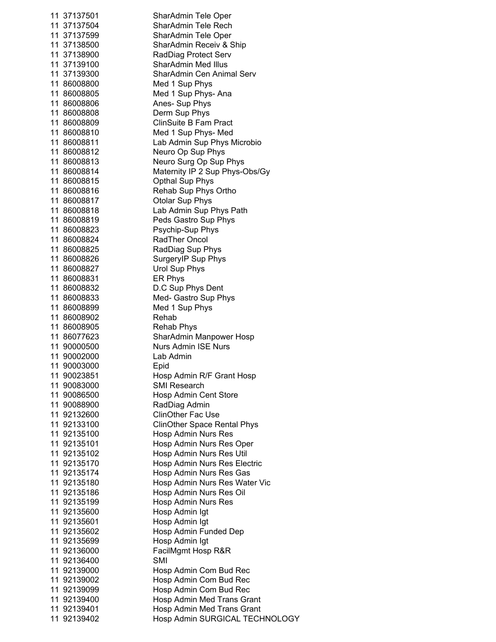| 11 37137501                | SharAdmin Tele Oper                |
|----------------------------|------------------------------------|
| 11 37137504                | SharAdmin Tele Rech                |
| 11 37137599                | <b>SharAdmin Tele Oper</b>         |
| 11 37138500                | SharAdmin Receiv & Ship            |
| 11 37138900                | RadDiag Protect Serv               |
| 11 37139100                | <b>SharAdmin Med Illus</b>         |
| 11 37139300                | SharAdmin Cen Animal Serv          |
| 11 86008800                | Med 1 Sup Phys                     |
| 11 86008805                | Med 1 Sup Phys-Ana                 |
| 11 86008806                | Anes- Sup Phys                     |
|                            | Derm Sup Phys                      |
| 11 86008808                |                                    |
| 11 86008809                | <b>ClinSuite B Fam Pract</b>       |
| 11 86008810                | Med 1 Sup Phys- Med                |
| 11 86008811                | Lab Admin Sup Phys Microbio        |
| 11 86008812                | Neuro Op Sup Phys                  |
| 11 86008813                | Neuro Surg Op Sup Phys             |
| 11 86008814                | Maternity IP 2 Sup Phys-Obs/Gy     |
| 11 86008815                | <b>Opthal Sup Phys</b>             |
| 11 86008816                | Rehab Sup Phys Ortho               |
| 11 86008817                | <b>Otolar Sup Phys</b>             |
| 11 86008818                | Lab Admin Sup Phys Path            |
| 11 86008819                | Peds Gastro Sup Phys               |
| 11 86008823                | Psychip-Sup Phys                   |
| 11 86008824                | RadTher Oncol                      |
| 11 86008825                | RadDiag Sup Phys                   |
| 11 86008826                | SurgerylP Sup Phys                 |
| 11 86008827                | Urol Sup Phys                      |
| 11 86008831                | ER Phys                            |
| 11 86008832                | D.C Sup Phys Dent                  |
| 11 86008833                | Med- Gastro Sup Phys               |
| 11 86008899                | Med 1 Sup Phys                     |
| 11 86008902                | Rehab                              |
| 11 86008905                | <b>Rehab Phys</b>                  |
| 11 86077623                | SharAdmin Manpower Hosp            |
| 11 90000500                | <b>Nurs Admin ISE Nurs</b>         |
| 11 90002000                | Lab Admin                          |
| 11 90003000                | Epid                               |
| 11 90023851                | Hosp Admin R/F Grant Hosp          |
| 11 90083000                | SMI Research                       |
| 11 90086500                | Hosp Admin Cent Store              |
| 11 90088900                | RadDiag Admin                      |
| 11 92132600                | <b>ClinOther Fac Use</b>           |
| 11 92133100                | <b>ClinOther Space Rental Phys</b> |
| 11 92135100                | Hosp Admin Nurs Res                |
| 11 92135101                | Hosp Admin Nurs Res Oper           |
| 11 92135102                | Hosp Admin Nurs Res Util           |
| 11 92135170                | Hosp Admin Nurs Res Electric       |
| 11 92135174                | Hosp Admin Nurs Res Gas            |
| 11 92135180                | Hosp Admin Nurs Res Water Vic      |
| 11 92135186                | Hosp Admin Nurs Res Oil            |
| 11 92135199                | Hosp Admin Nurs Res                |
| 11 92135600                | Hosp Admin Igt                     |
|                            |                                    |
| 11 92135601<br>11 92135602 | Hosp Admin Igt                     |
| 11 92135699                | Hosp Admin Funded Dep              |
|                            | Hosp Admin Igt                     |
| 11 92136000                | FacilMgmt Hosp R&R                 |
| 11 92136400                | SMI                                |
| 11 92139000                | Hosp Admin Com Bud Rec             |
| 11 92139002                | Hosp Admin Com Bud Rec             |
| 11 92139099                | Hosp Admin Com Bud Rec             |
| 11 92139400                | Hosp Admin Med Trans Grant         |
| 11 92139401                | Hosp Admin Med Trans Grant         |
| 11 92139402                | Hosp Admin SURGICAL TECHNOLOGY     |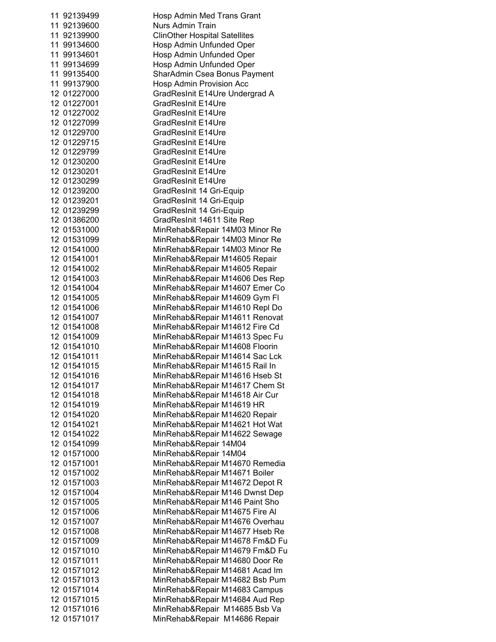| 11 92139499 | Hosp Admin Med Trans Grant           |
|-------------|--------------------------------------|
| 11 92139600 | <b>Nurs Admin Train</b>              |
| 11 92139900 | <b>ClinOther Hospital Satellites</b> |
| 11 99134600 | Hosp Admin Unfunded Oper             |
| 11 99134601 | Hosp Admin Unfunded Oper             |
| 11 99134699 | Hosp Admin Unfunded Oper             |
|             |                                      |
| 11 99135400 | SharAdmin Csea Bonus Payment         |
| 11 99137900 | Hosp Admin Provision Acc             |
| 12 01227000 | GradResInit E14Ure Undergrad A       |
| 12 01227001 | <b>GradResInit E14Ure</b>            |
| 12 01227002 | GradResInit E14Ure                   |
| 12 01227099 | <b>GradResInit E14Ure</b>            |
| 12 01229700 | <b>GradResInit E14Ure</b>            |
| 12 01229715 | <b>GradResInit E14Ure</b>            |
| 12 01229799 | <b>GradResInit E14Ure</b>            |
| 12 01230200 | <b>GradResInit E14Ure</b>            |
| 12 01230201 | <b>GradResInit E14Ure</b>            |
| 12 01230299 | <b>GradResInit E14Ure</b>            |
| 12 01239200 | GradResInit 14 Gri-Equip             |
| 12 01239201 | GradResInit 14 Gri-Equip             |
| 12 01239299 | GradResInit 14 Gri-Equip             |
| 12 01386200 | GradResInit 14611 Site Rep           |
| 12 01531000 | MinRehab&Repair 14M03 Minor Re       |
| 12 01531099 | MinRehab&Repair 14M03 Minor Re       |
| 12 01541000 | MinRehab&Repair 14M03 Minor Re       |
| 12 01541001 | MinRehab&Repair M14605 Repair        |
| 12 01541002 | MinRehab&Repair M14605 Repair        |
| 12 01541003 | MinRehab&Repair M14606 Des Rep       |
| 12 01541004 | MinRehab&Repair M14607 Emer Co       |
| 12 01541005 | MinRehab&Repair M14609 Gym Fl        |
| 12 01541006 | MinRehab&Repair M14610 Repl Do       |
| 12 01541007 | MinRehab&Repair M14611 Renovat       |
| 12 01541008 | MinRehab&Repair M14612 Fire Cd       |
| 12 01541009 | MinRehab&Repair M14613 Spec Fu       |
| 12 01541010 |                                      |
|             | MinRehab&Repair M14608 Floorin       |
| 12 01541011 | MinRehab&Repair M14614 Sac Lck       |
| 12 01541015 | MinRehab&Repair M14615 Rail In       |
| 12 01541016 | MinRehab&Repair M14616 Hseb St       |
| 12 01541017 | MinRehab&Repair M14617 Chem St       |
| 12 01541018 | MinRehab&Repair M14618 Air Cur       |
| 12 01541019 | MinRehab&Repair M14619 HR            |
| 12 01541020 | MinRehab&Repair M14620 Repair        |
| 12 01541021 | MinRehab&Repair M14621 Hot Wat       |
| 12 01541022 | MinRehab&Repair M14622 Sewage        |
| 12 01541099 | MinRehab&Repair 14M04                |
| 12 01571000 | MinRehab&Repair 14M04                |
| 12 01571001 | MinRehab&Repair M14670 Remedia       |
| 12 01571002 | MinRehab&Repair M14671 Boiler        |
| 12 01571003 | MinRehab&Repair M14672 Depot R       |
| 12 01571004 | MinRehab&Repair M146 Dwnst Dep       |
| 12 01571005 | MinRehab&Repair M146 Paint Sho       |
| 12 01571006 | MinRehab&Repair M14675 Fire Al       |
| 12 01571007 | MinRehab&Repair M14676 Overhau       |
| 12 01571008 | MinRehab&Repair M14677 Hseb Re       |
| 12 01571009 | MinRehab&Repair M14678 Fm&D Fu       |
| 12 01571010 | MinRehab&Repair M14679 Fm&D Fu       |
| 12 01571011 | MinRehab&Repair M14680 Door Re       |
| 12 01571012 | MinRehab&Repair M14681 Acad Im       |
| 12 01571013 | MinRehab&Repair M14682 Bsb Pum       |
| 12 01571014 | MinRehab&Repair M14683 Campus        |
| 12 01571015 | MinRehab&Repair M14684 Aud Rep       |
| 12 01571016 | MinRehab&Repair M14685 Bsb Va        |
| 12 01571017 | MinRehab&Repair M14686 Repair        |
|             |                                      |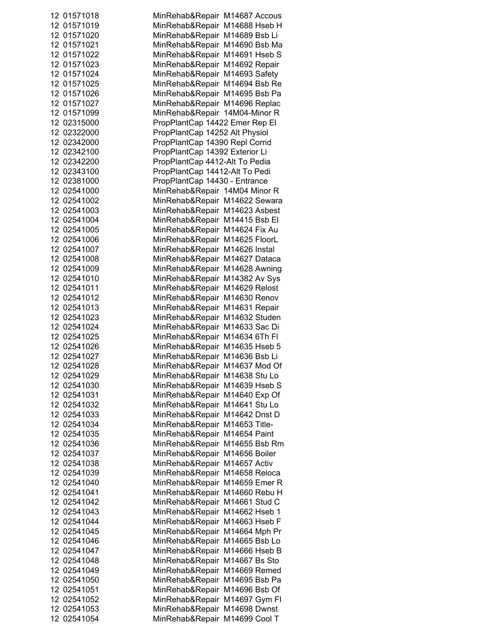| 12 01571018 | MinRehab&Repair M14687 Accous  |
|-------------|--------------------------------|
| 12 01571019 | MinRehab&Repair M14688 Hseb H  |
| 12 01571020 | MinRehab&Repair M14689 Bsb Li  |
| 12 01571021 | MinRehab&Repair M14690 Bsb Ma  |
| 12 01571022 | MinRehab&Repair M14691 Hseb S  |
| 12 01571023 | MinRehab&Repair M14692 Repair  |
| 12 01571024 | MinRehab&Repair M14693 Safety  |
| 12 01571025 | MinRehab&Repair M14694 Bsb Re  |
| 12 01571026 | MinRehab&Repair M14695 Bsb Pa  |
| 12 01571027 | MinRehab&Repair M14696 Replac  |
| 12 01571099 | MinRehab&Repair 14M04-Minor R  |
| 12 02315000 | PropPlantCap 14422 Emer Rep El |
| 12 02322000 | PropPlantCap 14252 Alt Physiol |
| 12 02342000 | PropPlantCap 14390 Repl Corrid |
| 12 02342100 | PropPlantCap 14392 Exterior Li |
| 12 02342200 | PropPlantCap 4412-Alt To Pedia |
| 12 02343100 | PropPlantCap 14412-Alt To Pedi |
| 12 02381000 | PropPlantCap 14430 - Entrance  |
| 12 02541000 | MinRehab&Repair 14M04 Minor R  |
| 12 02541002 | MinRehab&Repair M14622 Sewara  |
| 12 02541003 | MinRehab&Repair M14623 Asbest  |
| 12 02541004 | MinRehab&Repair M14415 Bsb El  |
| 12 02541005 | MinRehab&Repair M14624 Fix Au  |
| 12 02541006 | MinRehab&Repair M14625 FloorL  |
| 12 02541007 | MinRehab&Repair M14626 Instal  |
| 12 02541008 | MinRehab&Repair M14627 Dataca  |
| 12 02541009 | MinRehab&Repair M14628 Awning  |
| 12 02541010 | MinRehab&Repair M14382 Av Sys  |
| 12 02541011 | MinRehab&Repair M14629 Relost  |
| 12 02541012 | MinRehab&Repair M14630 Renov   |
| 12 02541013 | MinRehab&Repair M14631 Repair  |
| 12 02541023 | MinRehab&Repair M14632 Studen  |
| 12 02541024 | MinRehab&Repair M14633 Sac Di  |
| 12 02541025 | MinRehab&Repair M14634 6Th FI  |
| 12 02541026 | MinRehab&Repair M14635 Hseb 5  |
| 12 02541027 | MinRehab&Repair M14636 Bsb Li  |
| 12 02541028 | MinRehab&Repair M14637 Mod Of  |
| 12 02541029 | MinRehab&Repair M14638 Stu Lo  |
| 12 02541030 | MinRehab&Repair M14639 Hseb S  |
| 12 02541031 | MinRehab&Repair M14640 Exp Of  |
| 12 02541032 | MinRehab&Repair M14641 Stu Lo  |
| 12 02541033 | MinRehab&Repair M14642 Dnst D  |
| 12 02541034 | MinRehab&Repair M14653 Title-  |
| 12 02541035 | MinRehab&Repair M14654 Paint   |
| 12 02541036 | MinRehab&Repair M14655 Bsb Rm  |
| 12 02541037 | MinRehab&Repair M14656 Boiler  |
| 12 02541038 | MinRehab&Repair M14657 Activ   |
| 12 02541039 | MinRehab&Repair M14658 Reloca  |
| 12 02541040 | MinRehab&Repair M14659 Emer R  |
| 12 02541041 | MinRehab&Repair M14660 Rebu H  |
| 12 02541042 | MinRehab&Repair M14661 Stud C  |
| 12 02541043 | MinRehab&Repair M14662 Hseb 1  |
| 12 02541044 | MinRehab&Repair M14663 Hseb F  |
| 12 02541045 | MinRehab&Repair M14664 Mph Pr  |
| 12 02541046 | MinRehab&Repair M14665 Bsb Lo  |
| 12 02541047 | MinRehab&Repair M14666 Hseb B  |
| 12 02541048 | MinRehab&Repair M14667 Bs Sto  |
| 12 02541049 | MinRehab&Repair M14669 Remed   |
| 12 02541050 | MinRehab&Repair M14695 Bsb Pa  |
| 12 02541051 | MinRehab&Repair M14696 Bsb Of  |
| 12 02541052 | MinRehab&Repair M14697 Gym Fl  |
| 12 02541053 | MinRehab&Repair M14698 Dwnst   |
| 12 02541054 | MinRehab&Repair M14699 Cool T  |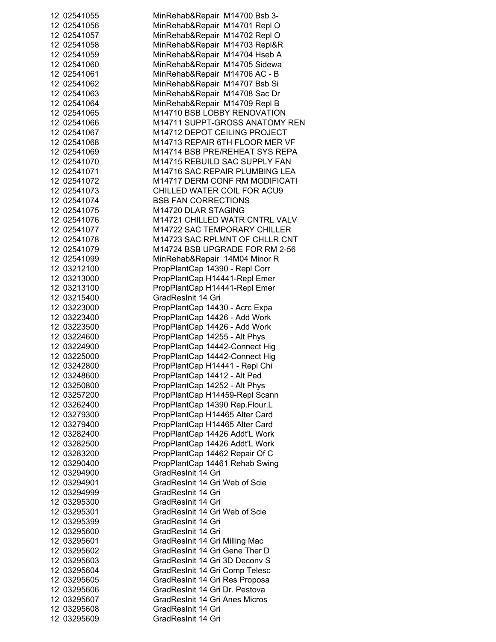| 12 02541055 | MinRehab&Repair M14700 Bsb 3-      |
|-------------|------------------------------------|
| 12 02541056 | MinRehab&Repair M14701 Repl O      |
| 12 02541057 | MinRehab&Repair M14702 Repl O      |
| 12 02541058 | MinRehab&Repair M14703 Repl&R      |
| 12 02541059 | MinRehab&Repair M14704 Hseb A      |
| 12 02541060 | MinRehab&Repair M14705 Sidewa      |
| 12 02541061 | MinRehab&Repair M14706 AC - B      |
| 12 02541062 | MinRehab&Repair M14707 Bsb Si      |
| 12 02541063 | MinRehab&Repair M14708 Sac Dr      |
| 12 02541064 | MinRehab&Repair M14709 Repl B      |
| 12 02541065 | M14710 BSB LOBBY RENOVATION        |
| 12 02541066 | M14711 SUPPT-GROSS ANATOMY REN     |
| 12 02541067 | M14712 DEPOT CEILING PROJECT       |
| 12 02541068 | M14713 REPAIR 6TH FLOOR MER VF     |
| 12 02541069 | M14714 BSB PRE/REHEAT SYS REPA     |
| 12 02541070 | M14715 REBUILD SAC SUPPLY FAN      |
| 12 02541071 | M14716 SAC REPAIR PLUMBING LEA     |
| 12 02541072 | M14717 DERM CONF RM MODIFICATI     |
| 12 02541073 | <b>CHILLED WATER COIL FOR ACU9</b> |
| 12 02541074 | <b>BSB FAN CORRECTIONS</b>         |
| 12 02541075 | M14720 DLAR STAGING                |
| 12 02541076 | M14721 CHILLED WATR CNTRL VALV     |
| 12 02541077 | M14722 SAC TEMPORARY CHILLER       |
| 12 02541078 | M14723 SAC RPLMNT OF CHLLR CNT     |
| 12 02541079 | M14724 BSB UPGRADE FOR RM 2-56     |
| 12 02541099 | MinRehab&Repair 14M04 Minor R      |
| 12 03212100 | PropPlantCap 14390 - Repl Corr     |
| 12 03213000 | PropPlantCap H14441-Repl Emer      |
| 12 03213100 | PropPlantCap H14441-Repl Emer      |
| 12 03215400 | GradResInit 14 Gri                 |
| 12 03223000 | PropPlantCap 14430 - Acrc Expa     |
| 12 03223400 | PropPlantCap 14426 - Add Work      |
| 12 03223500 | PropPlantCap 14426 - Add Work      |
| 12 03224600 | PropPlantCap 14255 - Alt Phys      |
| 12 03224900 | PropPlantCap 14442-Connect Hig     |
| 12 03225000 | PropPlantCap 14442-Connect Hig     |
| 12 03242800 | PropPlantCap H14441 - Repl Chi     |
| 12 03248600 | PropPlantCap 14412 - Alt Ped       |
| 12 03250800 | PropPlantCap 14252 - Alt Phys      |
| 12 03257200 | PropPlantCap H14459-Repl Scann     |
| 12 03262400 | PropPlantCap 14390 Rep.Flour.L     |
| 12 03279300 | PropPlantCap H14465 Alter Card     |
| 12 03279400 | PropPlantCap H14465 Alter Card     |
| 12 03282400 | PropPlantCap 14426 Addt'L Work     |
| 12 03282500 | PropPlantCap 14426 Addt'L Work     |
| 12 03283200 |                                    |
|             | PropPlantCap 14462 Repair Of C     |
| 12 03290400 | PropPlantCap 14461 Rehab Swing     |
| 12 03294900 | GradResInit 14 Gri                 |
| 12 03294901 | GradResInit 14 Gri Web of Scie     |
| 12 03294999 | GradResInit 14 Gri                 |
| 12 03295300 | GradResInit 14 Gri                 |
| 12 03295301 | GradResInit 14 Gri Web of Scie     |
| 12 03295399 | GradResInit 14 Gri                 |
| 12 03295600 | GradResInit 14 Gri                 |
| 12 03295601 | GradResInit 14 Gri Milling Mac     |
| 12 03295602 | GradResInit 14 Gri Gene Ther D     |
| 12 03295603 | GradResInit 14 Gri 3D Deconv S     |
| 12 03295604 | GradResInit 14 Gri Comp Telesc     |
| 12 03295605 | GradResInit 14 Gri Res Proposa     |
| 12 03295606 | GradResInit 14 Gri Dr. Pestova     |
| 12 03295607 | GradResInit 14 Gri Anes Micros     |
| 12 03295608 | GradResInit 14 Gri                 |
| 12 03295609 | GradResInit 14 Gri                 |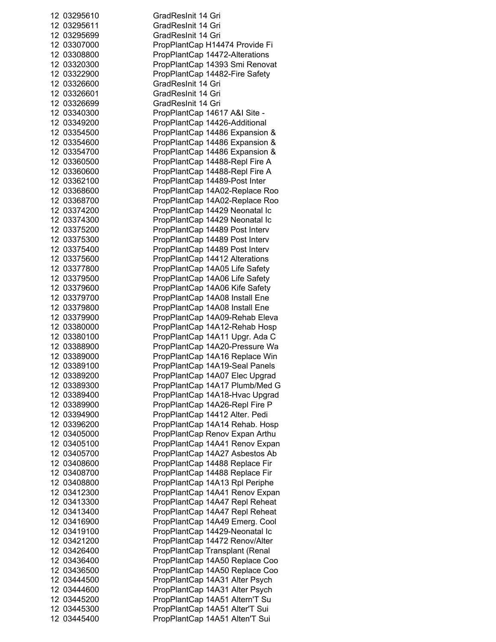| 12 03295610 | GradResInit 14 Gri             |
|-------------|--------------------------------|
| 12 03295611 | GradResInit 14 Gri             |
| 12 03295699 | GradResInit 14 Gri             |
| 12 03307000 | PropPlantCap H14474 Provide Fi |
| 12 03308800 | PropPlantCap 14472-Alterations |
| 12 03320300 | PropPlantCap 14393 Smi Renovat |
| 12 03322900 | PropPlantCap 14482-Fire Safety |
| 12 03326600 | GradResInit 14 Gri             |
| 12 03326601 | GradResInit 14 Gri             |
| 12 03326699 | GradResInit 14 Gri             |
| 12 03340300 | PropPlantCap 14617 A&I Site -  |
| 12 03349200 | PropPlantCap 14426-Additional  |
| 12 03354500 | PropPlantCap 14486 Expansion & |
| 12 03354600 | PropPlantCap 14486 Expansion & |
| 12 03354700 | PropPlantCap 14486 Expansion & |
| 12 03360500 | PropPlantCap 14488-Repl Fire A |
| 12 03360600 | PropPlantCap 14488-Repl Fire A |
| 12 03362100 | PropPlantCap 14489-Post Inter  |
| 12 03368600 | PropPlantCap 14A02-Replace Roo |
| 12 03368700 | PropPlantCap 14A02-Replace Roo |
| 12 03374200 | PropPlantCap 14429 Neonatal Ic |
| 12 03374300 | PropPlantCap 14429 Neonatal Ic |
| 12 03375200 | PropPlantCap 14489 Post Interv |
| 12 03375300 | PropPlantCap 14489 Post Interv |
| 12 03375400 | PropPlantCap 14489 Post Interv |
| 12 03375600 | PropPlantCap 14412 Alterations |
| 12 03377800 |                                |
| 12 03379500 | PropPlantCap 14A05 Life Safety |
| 12 03379600 | PropPlantCap 14A06 Life Safety |
| 12 03379700 | PropPlantCap 14A06 Kife Safety |
| 12 03379800 | PropPlantCap 14A08 Install Ene |
|             | PropPlantCap 14A08 Install Ene |
| 12 03379900 | PropPlantCap 14A09-Rehab Eleva |
| 12 03380000 | PropPlantCap 14A12-Rehab Hosp  |
| 12 03380100 | PropPlantCap 14A11 Upgr. Ada C |
| 12 03388900 | PropPlantCap 14A20-Pressure Wa |
| 12 03389000 | PropPlantCap 14A16 Replace Win |
| 12 03389100 | PropPlantCap 14A19-Seal Panels |
| 12 03389200 | PropPlantCap 14A07 Elec Upgrad |
| 12 03389300 | PropPlantCap 14A17 Plumb/Med G |
| 12 03389400 | PropPlantCap 14A18-Hvac Upgrad |
| 12 03389900 | PropPlantCap 14A26-Repl Fire P |
| 12 03394900 | PropPlantCap 14412 Alter. Pedi |
| 12 03396200 | PropPlantCap 14A14 Rehab. Hosp |
| 12 03405000 | PropPlantCap Renov Expan Arthu |
| 12 03405100 | PropPlantCap 14A41 Renov Expan |
| 12 03405700 | PropPlantCap 14A27 Asbestos Ab |
| 12 03408600 | PropPlantCap 14488 Replace Fir |
| 12 03408700 | PropPlantCap 14488 Replace Fir |
| 12 03408800 | PropPlantCap 14A13 Rpl Periphe |
| 12 03412300 | PropPlantCap 14A41 Renov Expan |
| 12 03413300 | PropPlantCap 14A47 Repl Reheat |
| 12 03413400 | PropPlantCap 14A47 Repl Reheat |
| 12 03416900 | PropPlantCap 14A49 Emerg. Cool |
| 12 03419100 | PropPlantCap 14429-Neonatal Ic |
| 12 03421200 | PropPlantCap 14472 Renov/Alter |
| 12 03426400 | PropPlantCap Transplant (Renal |
| 12 03436400 | PropPlantCap 14A50 Replace Coo |
| 12 03436500 | PropPlantCap 14A50 Replace Coo |
| 12 03444500 | PropPlantCap 14A31 Alter Psych |
| 12 03444600 | PropPlantCap 14A31 Alter Psych |
| 12 03445200 | PropPlantCap 14A51 Altern'T Su |
| 12 03445300 | PropPlantCap 14A51 Alter'T Sui |
| 12 03445400 | PropPlantCap 14A51 Alten'T Sui |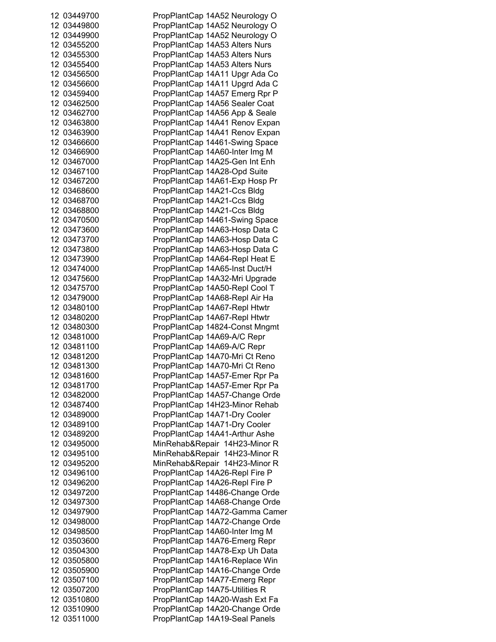| 12 03449700                | PropPlantCap 14A52 Neurology O                                   |
|----------------------------|------------------------------------------------------------------|
| 12 03449800                | PropPlantCap 14A52 Neurology O                                   |
| 12 03449900                | PropPlantCap 14A52 Neurology O                                   |
| 12 03455200                | PropPlantCap 14A53 Alters Nurs                                   |
| 12 03455300                | PropPlantCap 14A53 Alters Nurs                                   |
| 12 03455400                | PropPlantCap 14A53 Alters Nurs                                   |
| 12 03456500                | PropPlantCap 14A11 Upgr Ada Co                                   |
| 12 03456600                | PropPlantCap 14A11 Upgrd Ada C                                   |
| 12 03459400                | PropPlantCap 14A57 Emerg Rpr P                                   |
| 12 03462500                | PropPlantCap 14A56 Sealer Coat                                   |
| 12 03462700                | PropPlantCap 14A56 App & Seale                                   |
| 12 03463800                | PropPlantCap 14A41 Renov Expan                                   |
| 12 03463900                | PropPlantCap 14A41 Renov Expan                                   |
| 12 03466600                | PropPlantCap 14461-Swing Space                                   |
| 12 03466900                | PropPlantCap 14A60-Inter Img M                                   |
| 12 03467000                | PropPlantCap 14A25-Gen Int Enh                                   |
| 12 03467100                | PropPlantCap 14A28-Opd Suite                                     |
| 12 03467200                | PropPlantCap 14A61-Exp Hosp Pr                                   |
| 12 03468600                | PropPlantCap 14A21-Ccs Bldg                                      |
| 12 03468700                | PropPlantCap 14A21-Ccs Bldg                                      |
| 12 03468800                | PropPlantCap 14A21-Ccs Bldg                                      |
| 12 03470500                | PropPlantCap 14461-Swing Space                                   |
| 12 03473600                | PropPlantCap 14A63-Hosp Data C                                   |
| 12 03473700                | PropPlantCap 14A63-Hosp Data C                                   |
| 12 03473800                | PropPlantCap 14A63-Hosp Data C                                   |
| 12 03473900                | PropPlantCap 14A64-Repl Heat E                                   |
| 12 03474000                | PropPlantCap 14A65-Inst Duct/H                                   |
| 12 03475600                | PropPlantCap 14A32-Mri Upgrade                                   |
| 12 03475700                | PropPlantCap 14A50-Repl Cool T                                   |
| 12 03479000                | PropPlantCap 14A68-Repl Air Ha                                   |
| 12 03480100                | PropPlantCap 14A67-Repl Htwtr                                    |
| 12 03480200                | PropPlantCap 14A67-Repl Htwtr                                    |
| 12 03480300                | PropPlantCap 14824-Const Mngmt                                   |
| 12 03481000                | PropPlantCap 14A69-A/C Repr                                      |
| 12 03481100                | PropPlantCap 14A69-A/C Repr                                      |
| 12 03481200                | PropPlantCap 14A70-Mri Ct Reno                                   |
| 12 03481300                | PropPlantCap 14A70-Mri Ct Reno                                   |
| 12 03481600                | PropPlantCap 14A57-Emer Rpr Pa                                   |
| 12 03481700                | PropPlantCap 14A57-Emer Rpr Pa                                   |
| 12 03482000                | PropPlantCap 14A57-Change Orde                                   |
| 12 03487400                | PropPlantCap 14H23-Minor Rehab                                   |
| 12 03489000                | PropPlantCap 14A71-Dry Cooler                                    |
| 12 03489100                | PropPlantCap 14A71-Dry Cooler                                    |
| 12 03489200                | PropPlantCap 14A41-Arthur Ashe                                   |
| 12 03495000                | MinRehab&Repair 14H23-Minor R                                    |
| 12 03495100                | MinRehab&Repair 14H23-Minor R                                    |
| 12 03495200                | MinRehab&Repair 14H23-Minor R                                    |
| 12 03496100                | PropPlantCap 14A26-Repl Fire P                                   |
| 12 03496200                | PropPlantCap 14A26-Repl Fire P                                   |
| 12 03497200                | PropPlantCap 14486-Change Orde                                   |
| 12 03497300                | PropPlantCap 14A68-Change Orde                                   |
| 12 03497900                | PropPlantCap 14A72-Gamma Camer                                   |
| 12 03498000                | PropPlantCap 14A72-Change Orde                                   |
| 12 03498500                | PropPlantCap 14A60-Inter Img M                                   |
| 12 03503600                | PropPlantCap 14A76-Emerg Repr                                    |
| 12 03504300                | PropPlantCap 14A78-Exp Uh Data                                   |
| 12 03505800                | PropPlantCap 14A16-Replace Win                                   |
| 12 03505900                | PropPlantCap 14A16-Change Orde                                   |
| 12 03507100                | PropPlantCap 14A77-Emerg Repr                                    |
| 12 03507200                | PropPlantCap 14A75-Utilities R                                   |
| 12 03510800                | PropPlantCap 14A20-Wash Ext Fa                                   |
| 12 03510900<br>12 03511000 | PropPlantCap 14A20-Change Orde<br>PropPlantCap 14A19-Seal Panels |
|                            |                                                                  |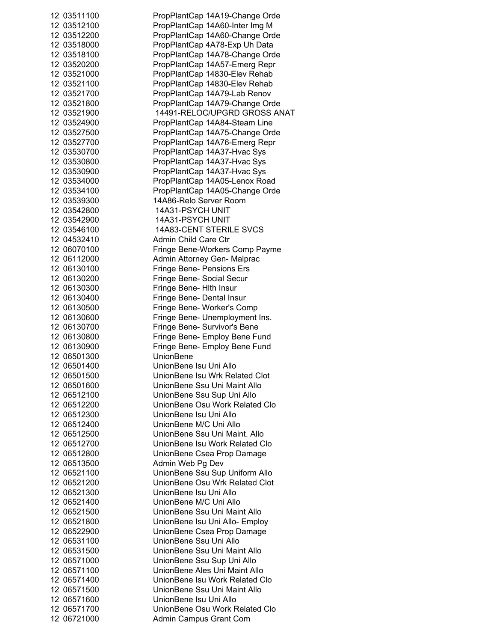| 12 03511100 | PropPlantCap 14A19-Change Orde |
|-------------|--------------------------------|
| 12 03512100 | PropPlantCap 14A60-Inter Img M |
| 12 03512200 | PropPlantCap 14A60-Change Orde |
| 12 03518000 | PropPlantCap 4A78-Exp Uh Data  |
| 12 03518100 | PropPlantCap 14A78-Change Orde |
| 12 03520200 | PropPlantCap 14A57-Emerg Repr  |
|             |                                |
| 12 03521000 | PropPlantCap 14830-Elev Rehab  |
| 12 03521100 | PropPlantCap 14830-Elev Rehab  |
| 12 03521700 | PropPlantCap 14A79-Lab Renov   |
| 12 03521800 | PropPlantCap 14A79-Change Orde |
| 12 03521900 | 14491-RELOC/UPGRD GROSS ANAT   |
| 12 03524900 | PropPlantCap 14A84-Steam Line  |
| 12 03527500 | PropPlantCap 14A75-Change Orde |
| 12 03527700 | PropPlantCap 14A76-Emerg Repr  |
| 12 03530700 | PropPlantCap 14A37-Hvac Sys    |
| 12 03530800 | PropPlantCap 14A37-Hvac Sys    |
| 12 03530900 | PropPlantCap 14A37-Hvac Sys    |
| 12 03534000 | PropPlantCap 14A05-Lenox Road  |
| 12 03534100 | PropPlantCap 14A05-Change Orde |
| 12 03539300 | 14A86-Relo Server Room         |
| 12 03542800 | 14A31-PSYCH UNIT               |
| 12 03542900 | 14A31-PSYCH UNIT               |
| 12 03546100 | 14A83-CENT STERILE SVCS        |
| 12 04532410 | <b>Admin Child Care Ctr</b>    |
|             |                                |
| 12 06070100 | Fringe Bene-Workers Comp Payme |
| 12 06112000 | Admin Attorney Gen- Malprac    |
| 12 06130100 | Fringe Bene- Pensions Ers      |
| 12 06130200 | Fringe Bene- Social Secur      |
| 12 06130300 | Fringe Bene- Hith Insur        |
| 12 06130400 | Fringe Bene- Dental Insur      |
| 12 06130500 | Fringe Bene- Worker's Comp     |
| 12 06130600 | Fringe Bene- Unemployment Ins. |
| 12 06130700 | Fringe Bene- Survivor's Bene   |
| 12 06130800 | Fringe Bene- Employ Bene Fund  |
| 12 06130900 | Fringe Bene- Employ Bene Fund  |
| 12 06501300 | <b>UnionBene</b>               |
| 12 06501400 | UnionBene Isu Uni Allo         |
| 12 06501500 | UnionBene Isu Wrk Related Clot |
| 12 06501600 | UnionBene Ssu Uni Maint Allo   |
| 12 06512100 | UnionBene Ssu Sup Uni Allo     |
| 12 06512200 | UnionBene Osu Work Related Clo |
| 12 06512300 | UnionBene Isu Uni Allo         |
| 12 06512400 | UnionBene M/C Uni Allo         |
| 12 06512500 | UnionBene Ssu Uni Maint, Allo  |
| 12 06512700 | UnionBene Isu Work Related Clo |
| 12 06512800 |                                |
|             | UnionBene Csea Prop Damage     |
| 12 06513500 | Admin Web Pg Dev               |
| 12 06521100 | UnionBene Ssu Sup Uniform Allo |
| 12 06521200 | UnionBene Osu Wrk Related Clot |
| 12 06521300 | UnionBene Isu Uni Allo         |
| 12 06521400 | UnionBene M/C Uni Allo         |
| 12 06521500 | UnionBene Ssu Uni Maint Allo   |
| 12 06521800 | UnionBene Isu Uni Allo- Employ |
| 12 06522900 | UnionBene Csea Prop Damage     |
| 12 06531100 | UnionBene Ssu Uni Allo         |
| 12 06531500 | UnionBene Ssu Uni Maint Allo   |
| 12 06571000 | UnionBene Ssu Sup Uni Allo     |
| 12 06571100 | UnionBene Ales Uni Maint Allo  |
| 12 06571400 | UnionBene Isu Work Related Clo |
| 12 06571500 | UnionBene Ssu Uni Maint Allo   |
| 12 06571600 | UnionBene Isu Uni Allo         |
| 12 06571700 | UnionBene Osu Work Related Clo |
| 12 06721000 | Admin Campus Grant Com         |
|             |                                |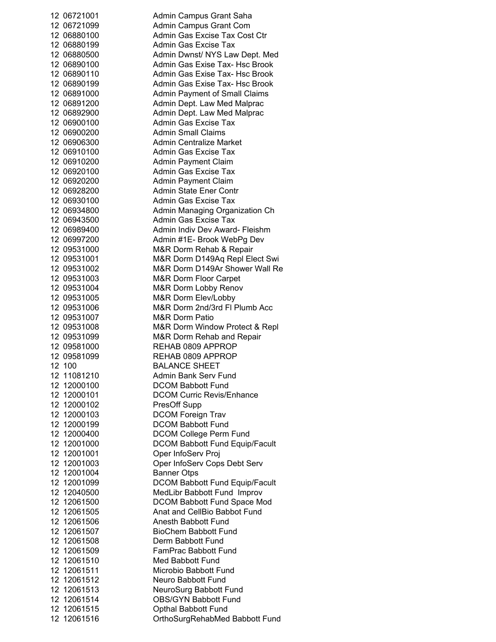| 12 06721001                | Admin Campus Grant Saha                                          |
|----------------------------|------------------------------------------------------------------|
| 12 06721099                | Admin Campus Grant Com                                           |
| 12 06880100                | Admin Gas Excise Tax Cost Ctr                                    |
| 12 06880199                | Admin Gas Excise Tax                                             |
| 12 06880500                | Admin Dwnst/ NYS Law Dept. Med                                   |
| 12 06890100                | Admin Gas Exise Tax- Hsc Brook                                   |
| 12 06890110                | Admin Gas Exise Tax- Hsc Brook                                   |
| 12 06890199                | Admin Gas Exise Tax- Hsc Brook                                   |
| 12 06891000                | <b>Admin Payment of Small Claims</b>                             |
| 12 06891200                | Admin Dept. Law Med Malprac                                      |
| 12 06892900                | Admin Dept. Law Med Malprac                                      |
| 12 06900100                | <b>Admin Gas Excise Tax</b>                                      |
| 12 06900200                | <b>Admin Small Claims</b>                                        |
| 12 06906300                | <b>Admin Centralize Market</b>                                   |
| 12 06910100                | Admin Gas Excise Tax                                             |
| 12 06910200                | <b>Admin Payment Claim</b>                                       |
| 12 06920100                | <b>Admin Gas Excise Tax</b>                                      |
| 12 06920200                | <b>Admin Payment Claim</b>                                       |
| 12 06928200                | <b>Admin State Ener Contr</b>                                    |
| 12 06930100                | Admin Gas Excise Tax                                             |
| 12 06934800                | Admin Managing Organization Ch                                   |
| 12 06943500                | Admin Gas Excise Tax                                             |
| 12 06989400                | Admin Indiv Dev Award- Fleishm                                   |
| 12 06997200                |                                                                  |
| 12 09531000                | Admin #1E- Brook WebPg Dev                                       |
|                            | M&R Dorm Rehab & Repair                                          |
| 12 09531001<br>12 09531002 | M&R Dorm D149Aq Repl Elect Swi<br>M&R Dorm D149Ar Shower Wall Re |
| 12 09531003                |                                                                  |
| 12 09531004                | M&R Dorm Floor Carpet                                            |
|                            | M&R Dorm Lobby Renov                                             |
| 12 09531005                | M&R Dorm Elev/Lobby<br>M&R Dorm 2nd/3rd FI Plumb Acc             |
| 12 09531006<br>12 09531007 | M&R Dorm Patio                                                   |
| 12 09531008                |                                                                  |
| 12 09531099                | M&R Dorm Window Protect & Repl                                   |
| 12 09581000                | M&R Dorm Rehab and Repair<br>REHAB 0809 APPROP                   |
| 12 09581099                | REHAB 0809 APPROP                                                |
| 12 100                     | <b>BALANCE SHEET</b>                                             |
| 12 11081210                | Admin Bank Serv Fund                                             |
| 12 12000100                | <b>DCOM Babbott Fund</b>                                         |
| 12 12000101                | <b>DCOM Curric Revis/Enhance</b>                                 |
| 12 12000102                | PresOff Supp                                                     |
| 12 12000103                |                                                                  |
| 12 12000199                | <b>DCOM Foreign Trav</b><br><b>DCOM Babbott Fund</b>             |
| 12 12000400                |                                                                  |
|                            | DCOM College Perm Fund                                           |
| 12 12001000<br>12 12001001 | <b>DCOM Babbott Fund Equip/Facult</b><br>Oper InfoServ Proj      |
| 12 12001003                | Oper InfoServ Cops Debt Serv                                     |
| 12 12001004                | <b>Banner Otps</b>                                               |
| 12 12001099                | <b>DCOM Babbott Fund Equip/Facult</b>                            |
|                            |                                                                  |
| 12 12040500                | MedLibr Babbott Fund Improv                                      |
| 12 12061500                | DCOM Babbott Fund Space Mod                                      |
| 12 12061505                | Anat and CellBio Babbot Fund                                     |
| 12 12061506                | Anesth Babbott Fund                                              |
| 12 12061507                | <b>BioChem Babbott Fund</b>                                      |
| 12 12061508                | Derm Babbott Fund                                                |
| 12 12061509                | FamPrac Babbott Fund                                             |
| 12 12061510                | Med Babbott Fund                                                 |
| 12 12061511                | Microbio Babbott Fund                                            |
| 12 12061512                | Neuro Babbott Fund                                               |
| 12 12061513                |                                                                  |
|                            | NeuroSurg Babbott Fund                                           |
| 12 12061514                | <b>OBS/GYN Babbott Fund</b>                                      |
| 12 12061515<br>12 12061516 | <b>Opthal Babbott Fund</b><br>OrthoSurgRehabMed Babbott Fund     |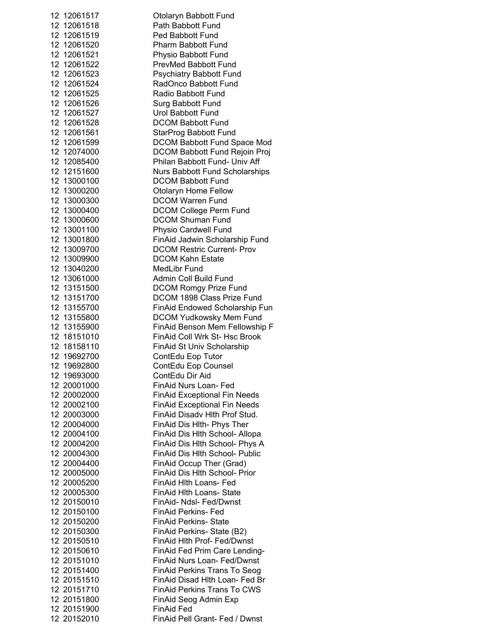| 12 12061517 | Otolaryn Babbott Fund                 |
|-------------|---------------------------------------|
| 12 12061518 | Path Babbott Fund                     |
| 12 12061519 | Ped Babbott Fund                      |
| 12 12061520 | <b>Pharm Babbott Fund</b>             |
| 12 12061521 | Physio Babbott Fund                   |
| 12 12061522 | <b>PrevMed Babbott Fund</b>           |
| 12 12061523 | Psychiatry Babbott Fund               |
| 12 12061524 | RadOnco Babbott Fund                  |
| 12 12061525 | <b>Radio Babbott Fund</b>             |
| 12 12061526 | Surg Babbott Fund                     |
| 12 12061527 | Urol Babbott Fund                     |
| 12 12061528 |                                       |
| 12 12061561 | <b>DCOM Babbott Fund</b>              |
|             | StarProg Babbott Fund                 |
| 12 12061599 | DCOM Babbott Fund Space Mod           |
| 12 12074000 | DCOM Babbott Fund Rejoin Proj         |
| 12 12085400 | Philan Babbott Fund- Univ Aff         |
| 12 12151600 | <b>Nurs Babbott Fund Scholarships</b> |
| 12 13000100 | <b>DCOM Babbott Fund</b>              |
| 12 13000200 | Otolaryn Home Fellow                  |
| 12 13000300 | <b>DCOM Warren Fund</b>               |
| 12 13000400 | DCOM College Perm Fund                |
| 12 13000600 | <b>DCOM Shuman Fund</b>               |
| 12 13001100 | Physio Cardwell Fund                  |
| 12 13001800 | FinAid Jadwin Scholarship Fund        |
| 12 13009700 | <b>DCOM Restric Current- Prov</b>     |
| 12 13009900 | <b>DCOM Kahn Estate</b>               |
| 12 13040200 | MedLibr Fund                          |
| 12 13061000 | Admin Coll Build Fund                 |
| 12 13151500 | <b>DCOM Romgy Prize Fund</b>          |
| 12 13151700 | DCOM 1898 Class Prize Fund            |
| 12 13155700 | FinAid Endowed Scholarship Fun        |
| 12 13155800 | <b>DCOM Yudkowsky Mem Fund</b>        |
| 12 13155900 | FinAid Benson Mem Fellowship F        |
| 12 18151010 | FinAid Coll Wrk St- Hsc Brook         |
| 12 18158110 | FinAid St Univ Scholarship            |
| 12 19692700 | ContEdu Eop Tutor                     |
| 12 19692800 | ContEdu Eop Counsel                   |
| 12 19693000 | ContEdu Dir Aid                       |
| 12 20001000 | FinAid Nurs Loan- Fed                 |
| 12 20002000 | <b>FinAid Exceptional Fin Needs</b>   |
| 12 20002100 | <b>FinAid Exceptional Fin Needs</b>   |
| 12 20003000 | FinAid Disadv Hlth Prof Stud.         |
| 12 20004000 | FinAid Dis Hlth- Phys Ther            |
| 12 20004100 | FinAid Dis Hlth School- Allopa        |
| 12 20004200 | FinAid Dis Hlth School- Phys A        |
| 12 20004300 | FinAid Dis Hlth School- Public        |
| 12 20004400 | FinAid Occup Ther (Grad)              |
| 12 20005000 | FinAid Dis Hith School- Prior         |
| 12 20005200 | FinAid Hith Loans- Fed                |
| 12 20005300 | <b>FinAid HIth Loans- State</b>       |
| 12 20150010 | FinAid- Ndsl- Fed/Dwnst               |
| 12 20150100 | <b>FinAid Perkins- Fed</b>            |
| 12 20150200 | <b>FinAid Perkins- State</b>          |
| 12 20150300 | FinAid Perkins- State (B2)            |
| 12 20150510 | FinAid Hith Prof- Fed/Dwnst           |
| 12 20150610 | FinAid Fed Prim Care Lending-         |
| 12 20151010 | FinAid Nurs Loan- Fed/Dwnst           |
| 12 20151400 | <b>FinAid Perkins Trans To Seog</b>   |
| 12 20151510 | FinAid Disad Hith Loan- Fed Br        |
| 12 20151710 | <b>FinAid Perkins Trans To CWS</b>    |
| 12 20151800 | FinAid Seog Admin Exp                 |
| 12 20151900 | FinAid Fed                            |
| 12 20152010 | FinAid Pell Grant- Fed / Dwnst        |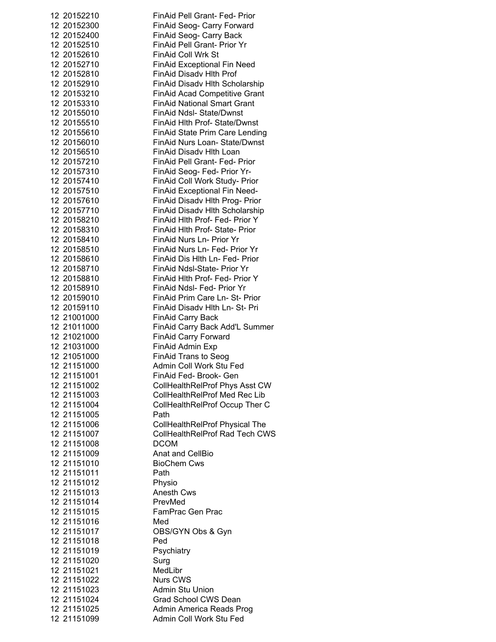| 12 20152210 | FinAid Pell Grant- Fed- Prior        |
|-------------|--------------------------------------|
|             |                                      |
| 12 20152300 | FinAid Seog- Carry Forward           |
| 12 20152400 | FinAid Seog- Carry Back              |
| 12 20152510 | FinAid Pell Grant- Prior Yr          |
| 12 20152610 | <b>FinAid Coll Wrk St</b>            |
| 12 20152710 | <b>FinAid Exceptional Fin Need</b>   |
| 12 20152810 | FinAid Disadv Hlth Prof              |
| 12 20152910 |                                      |
|             | FinAid Disadv Hlth Scholarship       |
| 12 20153210 | <b>FinAid Acad Competitive Grant</b> |
| 12 20153310 | <b>FinAid National Smart Grant</b>   |
| 12 20155010 | <b>FinAid Ndsl- State/Dwnst</b>      |
| 12 20155510 | FinAid Hith Prof- State/Dwnst        |
| 12 20155610 | FinAid State Prim Care Lending       |
| 12 20156010 | FinAid Nurs Loan-State/Dwnst         |
| 12 20156510 | FinAid Disady Hith Loan              |
| 12 20157210 | FinAid Pell Grant- Fed- Prior        |
|             |                                      |
| 12 20157310 | FinAid Seog- Fed- Prior Yr-          |
| 12 20157410 | FinAid Coll Work Study- Prior        |
| 12 20157510 | FinAid Exceptional Fin Need-         |
| 12 20157610 | FinAid Disadv Hlth Prog- Prior       |
| 12 20157710 | FinAid Disadv Hlth Scholarship       |
| 12 20158210 | FinAid Hith Prof- Fed- Prior Y       |
| 12 20158310 | FinAid Hith Prof- State- Prior       |
|             |                                      |
| 12 20158410 | FinAid Nurs Ln- Prior Yr             |
| 12 20158510 | FinAid Nurs Ln- Fed- Prior Yr        |
| 12 20158610 | FinAid Dis Hlth Ln- Fed- Prior       |
| 12 20158710 | FinAid Ndsl-State- Prior Yr          |
| 12 20158810 | FinAid Hith Prof- Fed- Prior Y       |
| 12 20158910 | FinAid Ndsl- Fed- Prior Yr           |
| 12 20159010 | FinAid Prim Care Ln- St- Prior       |
| 12 20159110 | FinAid Disady Hith Ln- St- Pri       |
|             |                                      |
| 12 21001000 | <b>FinAid Carry Back</b>             |
| 12 21011000 | FinAid Carry Back Add'L Summer       |
| 12 21021000 | FinAid Carry Forward                 |
| 12 21031000 | FinAid Admin Exp                     |
| 12 21051000 | <b>FinAid Trans to Seog</b>          |
| 12 21151000 | Admin Coll Work Stu Fed              |
| 12 21151001 | FinAid Fed- Brook- Gen               |
| 12 21151002 | CollHealthRelProf Phys Asst CW       |
| 12 21151003 | CollHealthRelProf Med Rec Lib        |
|             |                                      |
| 12 21151004 | CollHealthRelProf Occup Ther C       |
| 12 21151005 | Path                                 |
| 12 21151006 | CollHealthRelProf Physical The       |
| 12 21151007 | CollHealthRelProf Rad Tech CWS       |
| 12 21151008 | <b>DCOM</b>                          |
| 12 21151009 | Anat and CellBio                     |
| 12 21151010 | <b>BioChem Cws</b>                   |
| 12 21151011 | Path                                 |
| 12 21151012 |                                      |
|             | Physio                               |
| 12 21151013 | <b>Anesth Cws</b>                    |
| 12 21151014 | PrevMed                              |
| 12 21151015 | FamPrac Gen Prac                     |
| 12 21151016 | Med                                  |
| 12 21151017 | OBS/GYN Obs & Gyn                    |
| 12 21151018 | Ped                                  |
| 12 21151019 | Psychiatry                           |
|             |                                      |
| 12 21151020 | Surg                                 |
| 12 21151021 | MedLibr                              |
| 12 21151022 | <b>Nurs CWS</b>                      |
| 12 21151023 | Admin Stu Union                      |
| 12 21151024 | Grad School CWS Dean                 |
| 12 21151025 | Admin America Reads Prog             |
| 12 21151099 | Admin Coll Work Stu Fed              |
|             |                                      |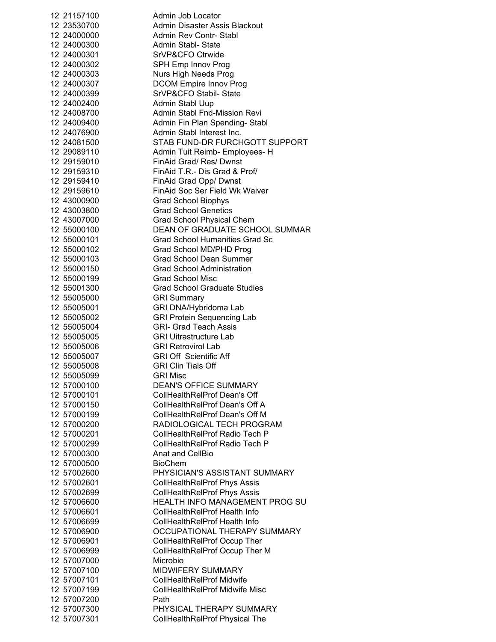| 12 21157100 | Admin Job Locator                     |
|-------------|---------------------------------------|
| 12 23530700 | Admin Disaster Assis Blackout         |
| 12 24000000 | Admin Rev Contr- Stabl                |
| 12 24000300 | Admin Stabl- State                    |
| 12 24000301 | SrVP&CFO Ctrwide                      |
| 12 24000302 | SPH Emp Innov Prog                    |
| 12 24000303 | Nurs High Needs Prog                  |
| 12 24000307 | <b>DCOM Empire Innov Prog</b>         |
| 12 24000399 | SrVP&CFO Stabil- State                |
| 12 24002400 | Admin Stabl Uup                       |
| 12 24008700 | Admin Stabl Fnd-Mission Revi          |
| 12 24009400 | Admin Fin Plan Spending-Stabl         |
| 12 24076900 | Admin Stabl Interest Inc.             |
| 12 24081500 | STAB FUND-DR FURCHGOTT SUPPORT        |
| 12 29089110 | Admin Tuit Reimb- Employees- H        |
| 12 29159010 | FinAid Grad/ Res/ Dwnst               |
| 12 29159310 | FinAid T.R.- Dis Grad & Prof/         |
| 12 29159410 | FinAid Grad Opp/ Dwnst                |
| 12 29159610 | FinAid Soc Ser Field Wk Waiver        |
| 12 43000900 | <b>Grad School Biophys</b>            |
| 12 43003800 | <b>Grad School Genetics</b>           |
| 12 43007000 |                                       |
|             | <b>Grad School Physical Chem</b>      |
| 12 55000100 | DEAN OF GRADUATE SCHOOL SUMMAR        |
| 12 55000101 | Grad School Humanities Grad Sc        |
| 12 55000102 | Grad School MD/PHD Prog               |
| 12 55000103 | Grad School Dean Summer               |
| 12 55000150 | Grad School Administration            |
| 12 55000199 | <b>Grad School Misc</b>               |
| 12 55001300 | <b>Grad School Graduate Studies</b>   |
| 12 55005000 | <b>GRI Summary</b>                    |
| 12 55005001 | GRI DNA/Hybridoma Lab                 |
| 12 55005002 | <b>GRI Protein Sequencing Lab</b>     |
| 12 55005004 | <b>GRI- Grad Teach Assis</b>          |
| 12 55005005 | <b>GRI Uitrastructure Lab</b>         |
| 12 55005006 | <b>GRI Retrovirol Lab</b>             |
| 12 55005007 | <b>GRI Off Scientific Aff</b>         |
| 12 55005008 | <b>GRI Clin Tials Off</b>             |
| 12 55005099 | GRI Misc                              |
| 12 57000100 | <b>DEAN'S OFFICE SUMMARY</b>          |
| 12 57000101 | CollHealthRelProf Dean's Off          |
| 12 57000150 | CollHealthRelProf Dean's Off A        |
| 12 57000199 | CollHealthRelProf Dean's Off M        |
| 12 57000200 | RADIOLOGICAL TECH PROGRAM             |
| 12 57000201 | CollHealthRelProf Radio Tech P        |
| 12 57000299 | CollHealthRelProf Radio Tech P        |
| 12 57000300 | Anat and CellBio                      |
| 12 57000500 | <b>BioChem</b>                        |
| 12 57002600 | PHYSICIAN'S ASSISTANT SUMMARY         |
| 12 57002601 | <b>CollHealthRelProf Phys Assis</b>   |
| 12 57002699 | <b>CollHealthRelProf Phys Assis</b>   |
| 12 57006600 | HEALTH INFO MANAGEMENT PROG SU        |
| 12 57006601 | CollHealthRelProf Health Info         |
| 12 57006699 | CollHealthRelProf Health Info         |
| 12 57006900 | OCCUPATIONAL THERAPY SUMMARY          |
| 12 57006901 | CollHealthRelProf Occup Ther          |
| 12 57006999 | CollHealthRelProf Occup Ther M        |
| 12 57007000 | Microbio                              |
| 12 57007100 | <b>MIDWIFERY SUMMARY</b>              |
| 12 57007101 | <b>CollHealthRelProf Midwife</b>      |
| 12 57007199 | <b>CollHealthRelProf Midwife Misc</b> |
| 12 57007200 | Path                                  |
| 12 57007300 | PHYSICAL THERAPY SUMMARY              |
| 12 57007301 | CollHealthRelProf Physical The        |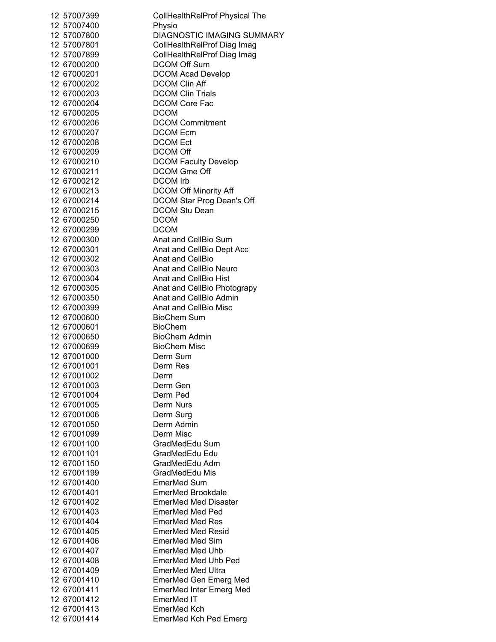| 12 57007399 | CollHealthRelProf Physical The    |
|-------------|-----------------------------------|
| 12 57007400 | Physio                            |
| 12 57007800 | <b>DIAGNOSTIC IMAGING SUMMARY</b> |
| 12 57007801 | CollHealthRelProf Diag Imag       |
| 12 57007899 | CollHealthRelProf Diag Imag       |
| 12 67000200 | <b>DCOM Off Sum</b>               |
| 12 67000201 | <b>DCOM Acad Develop</b>          |
| 12 67000202 | <b>DCOM Clin Aff</b>              |
| 12 67000203 | <b>DCOM Clin Trials</b>           |
| 12 67000204 | DCOM Core Fac                     |
| 12 67000205 | <b>DCOM</b>                       |
| 12 67000206 | <b>DCOM Commitment</b>            |
| 12 67000207 | <b>DCOM Ecm</b>                   |
| 12 67000208 | <b>DCOM Ect</b>                   |
| 12 67000209 | DCOM Off                          |
| 12 67000210 | <b>DCOM Faculty Develop</b>       |
| 12 67000211 | DCOM Gme Off                      |
| 12 67000212 | <b>DCOM Irb</b>                   |
| 12 67000213 | <b>DCOM Off Minority Aff</b>      |
| 12 67000214 | DCOM Star Prog Dean's Off         |
| 12 67000215 | <b>DCOM Stu Dean</b>              |
| 12 67000250 | <b>DCOM</b>                       |
| 12 67000299 | <b>DCOM</b>                       |
| 12 67000300 | Anat and CellBio Sum              |
| 12 67000301 | Anat and CellBio Dept Acc         |
| 12 67000302 | Anat and CellBio                  |
| 12 67000303 | Anat and CellBio Neuro            |
| 12 67000304 | Anat and CellBio Hist             |
| 12 67000305 | Anat and CellBio Photograpy       |
| 12 67000350 | Anat and CellBio Admin            |
| 12 67000399 | Anat and CellBio Misc             |
| 12 67000600 | <b>BioChem Sum</b>                |
| 12 67000601 | <b>BioChem</b>                    |
| 12 67000650 | <b>BioChem Admin</b>              |
| 12 67000699 | <b>BioChem Misc</b>               |
| 12 67001000 | Derm Sum                          |
| 12 67001001 | Derm Res                          |
| 12 67001002 | Derm                              |
| 12 67001003 | Derm Gen                          |
| 12 67001004 | Derm Ped                          |
| 12 67001005 | Derm Nurs                         |
| 12 67001006 | Derm Surg                         |
| 12 67001050 | Derm Admin                        |
| 12 67001099 | Derm Misc                         |
| 12 67001100 | GradMedEdu Sum                    |
| 12 67001101 | GradMedEdu Edu                    |
| 12 67001150 | GradMedEdu Adm                    |
| 12 67001199 | GradMedEdu Mis                    |
| 12 67001400 | <b>EmerMed Sum</b>                |
| 12 67001401 | <b>EmerMed Brookdale</b>          |
| 12 67001402 | <b>EmerMed Med Disaster</b>       |
|             | EmerMed Med Ped                   |
| 12 67001403 | <b>EmerMed Med Res</b>            |
| 12 67001404 |                                   |
| 12 67001405 | EmerMed Med Resid                 |
| 12 67001406 | <b>EmerMed Med Sim</b>            |
| 12 67001407 | EmerMed Med Uhb                   |
| 12 67001408 | EmerMed Med Uhb Ped               |
| 12 67001409 | <b>EmerMed Med Ultra</b>          |
| 12 67001410 | EmerMed Gen Emerg Med             |
| 12 67001411 | <b>EmerMed Inter Emerg Med</b>    |
| 12 67001412 | EmerMed IT                        |
| 12 67001413 | EmerMed Kch                       |
| 12 67001414 | EmerMed Kch Ped Emerg             |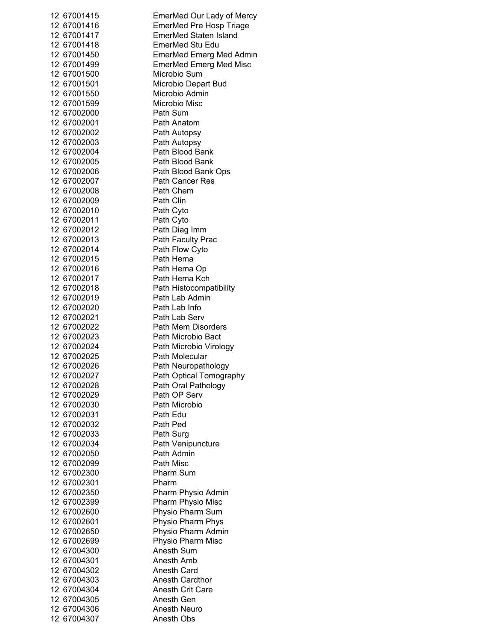| 12 67001415                | EmerMed Our Lady of Mercy      |
|----------------------------|--------------------------------|
| 12 67001416                | <b>EmerMed Pre Hosp Triage</b> |
| 12 67001417                | <b>EmerMed Staten Island</b>   |
| 12 67001418                | <b>EmerMed Stu Edu</b>         |
| 12 67001450                | <b>EmerMed Emerg Med Admin</b> |
| 12 67001499                | <b>EmerMed Emerg Med Misc</b>  |
| 12 67001500                | Microbio Sum                   |
| 12 67001501                | Microbio Depart Bud            |
| 12 67001550                | Microbio Admin                 |
| 12 67001599                | Microbio Misc                  |
| 12 67002000                | Path Sum                       |
| 12 67002001                | Path Anatom                    |
| 12 67002002                | Path Autopsy                   |
| 12 67002003                | Path Autopsy                   |
| 12 67002004                | Path Blood Bank                |
| 12 67002005                | Path Blood Bank                |
| 12 67002006                | Path Blood Bank Ops            |
| 12 67002007                | <b>Path Cancer Res</b>         |
| 12 67002008                | Path Chem                      |
| 12 67002009                | Path Clin                      |
| 12 67002010                | Path Cyto                      |
| 12 67002011                | Path Cyto                      |
| 12 67002012                | Path Diag Imm                  |
| 12 67002013                | Path Faculty Prac              |
| 12 67002014                | Path Flow Cyto                 |
| 12 67002015                | Path Hema                      |
| 12 67002016                | Path Hema Op                   |
| 12 67002017                | Path Hema Kch                  |
| 12 67002018                | Path Histocompatibility        |
| 12 67002019                | Path Lab Admin                 |
| 12 67002020                | Path Lab Info                  |
| 12 67002021                | Path Lab Serv                  |
| 12 67002022                | <b>Path Mem Disorders</b>      |
| 12 67002023                | Path Microbio Bact             |
| 12 67002024                | Path Microbio Virology         |
| 12 67002025                | Path Molecular                 |
| 12 67002026                | Path Neuropathology            |
| 12 67002027                | Path Optical Tomography        |
| 12 67002028<br>12 67002029 | Path Oral Pathology            |
| 12 67002030                | Path OP Serv<br>Path Microbio  |
| 12 67002031                | Path Edu                       |
| 12 67002032                | Path Ped                       |
| 12 67002033                | Path Surg                      |
| 12 67002034                | Path Venipuncture              |
| 12 67002050                | Path Admin                     |
| 12 67002099                | Path Misc                      |
| 12 67002300                | <b>Pharm Sum</b>               |
| 12 67002301                | Pharm                          |
| 12 67002350                | Pharm Physio Admin             |
| 12 67002399                | <b>Pharm Physio Misc</b>       |
| 12 67002600                | Physio Pharm Sum               |
| 12 67002601                | Physio Pharm Phys              |
| 12 67002650                | Physio Pharm Admin             |
| 12 67002699                | Physio Pharm Misc              |
| 12 67004300                | Anesth Sum                     |
| 12 67004301                | Anesth Amb                     |
| 12 67004302                | <b>Anesth Card</b>             |
| 12 67004303                | <b>Anesth Cardthor</b>         |
| 12 67004304                | <b>Anesth Crit Care</b>        |
| 12 67004305                | Anesth Gen                     |
| 12 67004306                | <b>Anesth Neuro</b>            |
| 12 67004307                | <b>Anesth Obs</b>              |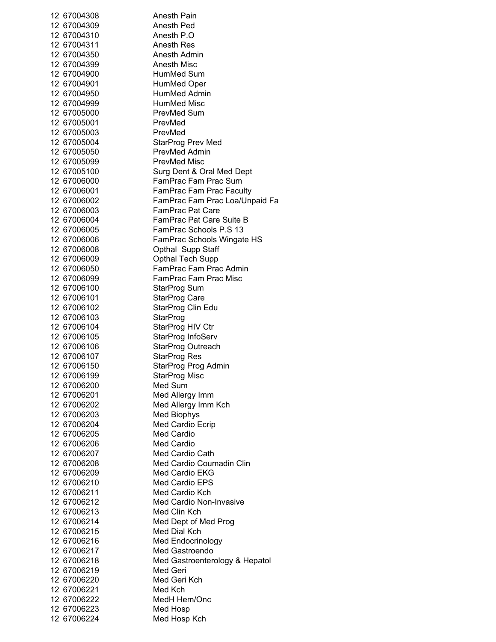| 12 67004308 | Anesth Pain                     |
|-------------|---------------------------------|
| 12 67004309 | Anesth Ped                      |
| 12 67004310 | Anesth P.O                      |
| 12 67004311 | Anesth Res                      |
| 12 67004350 | Anesth Admin                    |
| 12 67004399 | Anesth Misc                     |
| 12 67004900 | HumMed Sum                      |
| 12 67004901 | HumMed Oper                     |
| 12 67004950 | HumMed Admin                    |
| 12 67004999 | HumMed Misc                     |
| 12 67005000 | PrevMed Sum                     |
| 12 67005001 | PrevMed                         |
|             |                                 |
| 12 67005003 | PrevMed                         |
| 12 67005004 | <b>StarProg Prev Med</b>        |
| 12 67005050 | PrevMed Admin                   |
| 12 67005099 | <b>PrevMed Misc</b>             |
| 12 67005100 | Surg Dent & Oral Med Dept       |
| 12 67006000 | FamPrac Fam Prac Sum            |
| 12 67006001 | FamPrac Fam Prac Faculty        |
| 12 67006002 | FamPrac Fam Prac Loa/Unpaid Fa  |
| 12 67006003 | FamPrac Pat Care                |
| 12 67006004 | <b>FamPrac Pat Care Suite B</b> |
| 12 67006005 | FamPrac Schools P.S 13          |
| 12 67006006 | FamPrac Schools Wingate HS      |
| 12 67006008 | Opthal Supp Staff               |
| 12 67006009 | <b>Opthal Tech Supp</b>         |
| 12 67006050 | FamPrac Fam Prac Admin          |
| 12 67006099 | FamPrac Fam Prac Misc           |
| 12 67006100 | StarProg Sum                    |
| 12 67006101 | StarProg Care                   |
| 12 67006102 | StarProg Clin Edu               |
| 12 67006103 | StarProg                        |
| 12 67006104 | StarProg HIV Ctr                |
| 12 67006105 | StarProg InfoServ               |
| 12 67006106 | StarProg Outreach               |
| 12 67006107 | StarProg Res                    |
| 12 67006150 | StarProg Prog Admin             |
| 12 67006199 | <b>StarProg Misc</b>            |
| 12 67006200 | Med Sum                         |
| 12 67006201 | Med Allergy Imm                 |
| 12 67006202 | Med Allergy Imm Kch             |
| 12 67006203 | <b>Med Biophys</b>              |
| 12 67006204 | Med Cardio Ecrip                |
| 12 67006205 | Med Cardio                      |
| 12 67006206 | Med Cardio                      |
| 12 67006207 | Med Cardio Cath                 |
| 12 67006208 | Med Cardio Coumadin Clin        |
| 12 67006209 | <b>Med Cardio EKG</b>           |
| 12 67006210 | <b>Med Cardio EPS</b>           |
| 12 67006211 | Med Cardio Kch                  |
| 12 67006212 | Med Cardio Non-Invasive         |
| 12 67006213 | Med Clin Kch                    |
| 12 67006214 | Med Dept of Med Prog            |
| 12 67006215 | Med Dial Kch                    |
| 12 67006216 | Med Endocrinology               |
| 12 67006217 | Med Gastroendo                  |
| 12 67006218 | Med Gastroenterology & Hepatol  |
| 12 67006219 | Med Geri                        |
| 12 67006220 | Med Geri Kch                    |
| 12 67006221 | Med Kch                         |
| 12 67006222 | MedH Hem/Onc                    |
| 12 67006223 | Med Hosp                        |
| 12 67006224 | Med Hosp Kch                    |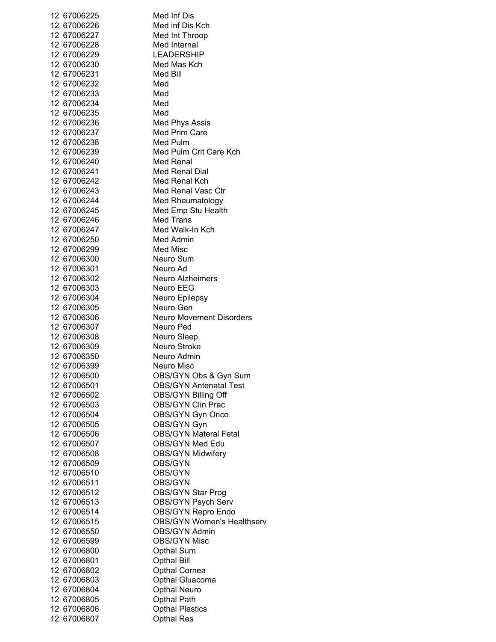| 12 67006225 | Med Inf Dis                       |
|-------------|-----------------------------------|
| 12 67006226 | Med inf Dis Kch                   |
| 12 67006227 | Med Int Throop                    |
| 12 67006228 | Med Internal                      |
| 12 67006229 | LEADERSHIP                        |
|             |                                   |
| 12 67006230 | Med Mas Kch                       |
| 12 67006231 | Med Bill                          |
| 12 67006232 | Med                               |
| 12 67006233 | Med                               |
| 12 67006234 | Med                               |
| 12 67006235 | Med                               |
|             |                                   |
| 12 67006236 | Med Phys Assis                    |
| 12 67006237 | Med Prim Care                     |
| 12 67006238 | Med Pulm                          |
| 12 67006239 | Med Pulm Crit Care Kch            |
| 12 67006240 | Med Renal                         |
| 12 67006241 | Med Renal Dial                    |
|             |                                   |
| 12 67006242 | Med Renal Kch                     |
| 12 67006243 | Med Renal Vasc Ctr                |
| 12 67006244 | Med Rheumatology                  |
| 12 67006245 | Med Emp Stu Health                |
| 12 67006246 | <b>Med Trans</b>                  |
| 12 67006247 | Med Walk-In Kch                   |
|             |                                   |
| 12 67006250 | Med Admin                         |
| 12 67006299 | Med Misc                          |
| 12 67006300 | Neuro Sum                         |
| 12 67006301 | Neuro Ad                          |
| 12 67006302 | Neuro Alzheimers                  |
| 12 67006303 | Neuro EEG                         |
| 12 67006304 |                                   |
|             | Neuro Epilepsy                    |
| 12 67006305 | Neuro Gen                         |
| 12 67006306 | Neuro Movement Disorders          |
| 12 67006307 | Neuro Ped                         |
| 12 67006308 | Neuro Sleep                       |
| 12 67006309 | Neuro Stroke                      |
| 12 67006350 | Neuro Admin                       |
| 12 67006399 | Neuro Misc                        |
| 12 67006500 |                                   |
|             | OBS/GYN Obs & Gyn Sum             |
| 12 67006501 | <b>OBS/GYN Antenatal Test</b>     |
| 12 67006502 | OBS/GYN Billing Off               |
| 12 67006503 | <b>OBS/GYN Clin Prac</b>          |
| 12 67006504 | OBS/GYN Gyn Onco                  |
| 12 67006505 | OBS/GYN Gyn                       |
| 12 67006506 | <b>OBS/GYN Materal Fetal</b>      |
|             |                                   |
| 12 67006507 | <b>OBS/GYN Med Edu</b>            |
| 12 67006508 | <b>OBS/GYN Midwifery</b>          |
| 12 67006509 | OBS/GYN                           |
| 12 67006510 | OBS/GYN                           |
| 12 67006511 | OBS/GYN                           |
| 12 67006512 | <b>OBS/GYN Star Prog</b>          |
| 12 67006513 | <b>OBS/GYN Psych Serv</b>         |
|             |                                   |
| 12 67006514 | <b>OBS/GYN Repro Endo</b>         |
| 12 67006515 | <b>OBS/GYN Women's Healthserv</b> |
| 12 67006550 | OBS/GYN Admin                     |
| 12 67006599 | OBS/GYN Misc                      |
| 12 67006800 | <b>Opthal Sum</b>                 |
| 12 67006801 | <b>Opthal Bill</b>                |
| 12 67006802 | Opthal Cornea                     |
|             |                                   |
| 12 67006803 | Opthal Gluacoma                   |
| 12 67006804 | <b>Opthal Neuro</b>               |
| 12 67006805 | <b>Opthal Path</b>                |
| 12 67006806 | <b>Opthal Plastics</b>            |
| 12 67006807 | <b>Opthal Res</b>                 |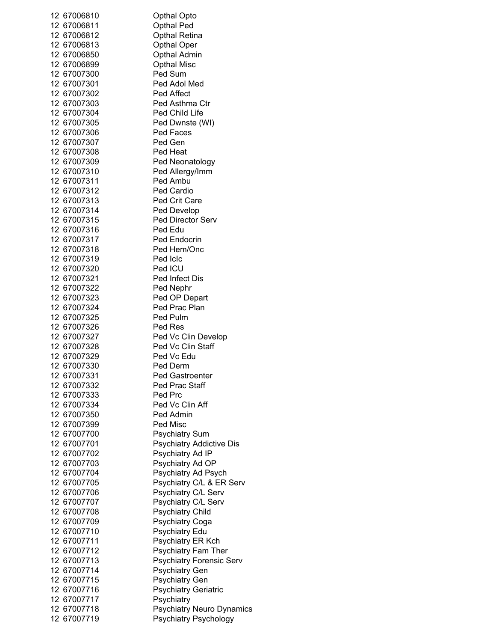| 12 67006810 | <b>Opthal Opto</b>               |
|-------------|----------------------------------|
|             |                                  |
| 12 67006811 | <b>Opthal Ped</b>                |
| 12 67006812 | <b>Opthal Retina</b>             |
| 12 67006813 | <b>Opthal Oper</b>               |
| 12 67006850 | <b>Opthal Admin</b>              |
|             |                                  |
| 12 67006899 | <b>Opthal Misc</b>               |
| 12 67007300 | Ped Sum                          |
| 12 67007301 | Ped Adol Med                     |
|             |                                  |
| 12 67007302 | Ped Affect                       |
| 12 67007303 | Ped Asthma Ctr                   |
| 12 67007304 | Ped Child Life                   |
|             |                                  |
| 12 67007305 | Ped Dwnste (WI)                  |
| 12 67007306 | Ped Faces                        |
| 12 67007307 | Ped Gen                          |
| 12 67007308 | Ped Heat                         |
|             |                                  |
| 12 67007309 | Ped Neonatology                  |
| 12 67007310 | Ped Allergy/Imm                  |
| 12 67007311 | Ped Ambu                         |
|             |                                  |
| 12 67007312 | Ped Cardio                       |
| 12 67007313 | Ped Crit Care                    |
| 12 67007314 | Ped Develop                      |
| 12 67007315 | Ped Director Serv                |
|             |                                  |
| 12 67007316 | Ped Edu                          |
| 12 67007317 | Ped Endocrin                     |
| 12 67007318 | Ped Hem/Onc                      |
|             |                                  |
| 12 67007319 | Ped IcIc                         |
| 12 67007320 | Ped ICU                          |
| 12 67007321 | Ped Infect Dis                   |
| 12 67007322 | Ped Nephr                        |
|             |                                  |
| 12 67007323 | Ped OP Depart                    |
| 12 67007324 | Ped Prac Plan                    |
| 12 67007325 | Ped Pulm                         |
| 12 67007326 | Ped Res                          |
|             |                                  |
| 12 67007327 | Ped Vc Clin Develop              |
| 12 67007328 | Ped Vc Clin Staff                |
| 12 67007329 | Ped Vc Edu                       |
|             | Ped Derm                         |
| 12 67007330 |                                  |
| 12 67007331 | <b>Ped Gastroenter</b>           |
| 12 67007332 | Ped Prac Staff                   |
| 12 67007333 | Ped Prc                          |
|             |                                  |
| 12 67007334 | Ped Vc Clin Aff                  |
| 12 67007350 | Ped Admin                        |
| 12 67007399 | Ped Misc                         |
| 12 67007700 | <b>Psychiatry Sum</b>            |
|             |                                  |
| 12 67007701 | <b>Psychiatry Addictive Dis</b>  |
| 12 67007702 | Psychiatry Ad IP                 |
| 12 67007703 | Psychiatry Ad OP                 |
| 12 67007704 | Psychiatry Ad Psych              |
|             |                                  |
| 12 67007705 | Psychiatry C/L & ER Serv         |
| 12 67007706 | Psychiatry C/L Serv              |
| 12 67007707 | Psychiatry C/L Serv              |
| 12 67007708 |                                  |
|             | <b>Psychiatry Child</b>          |
| 12 67007709 | <b>Psychiatry Coga</b>           |
| 12 67007710 | <b>Psychiatry Edu</b>            |
| 12 67007711 | Psychiatry ER Kch                |
|             |                                  |
| 12 67007712 | Psychiatry Fam Ther              |
| 12 67007713 | <b>Psychiatry Forensic Serv</b>  |
| 12 67007714 | <b>Psychiatry Gen</b>            |
| 12 67007715 | <b>Psychiatry Gen</b>            |
|             |                                  |
| 12 67007716 | <b>Psychiatry Geriatric</b>      |
| 12 67007717 | Psychiatry                       |
| 12 67007718 | <b>Psychiatry Neuro Dynamics</b> |
|             |                                  |
| 12 67007719 | <b>Psychiatry Psychology</b>     |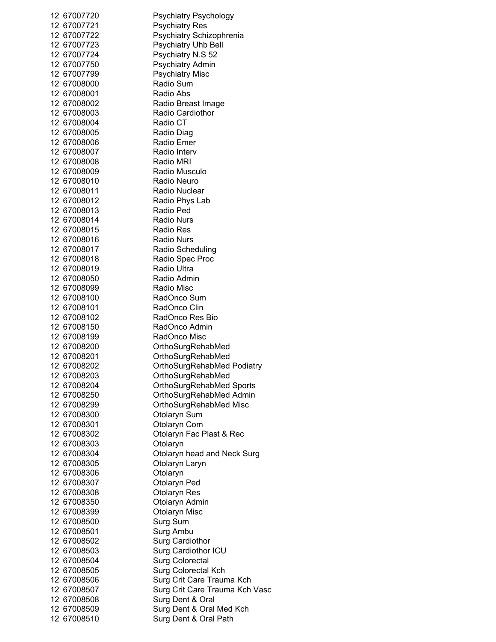| 12 67007720 | <b>Psychiatry Psychology</b>   |
|-------------|--------------------------------|
| 12 67007721 | <b>Psychiatry Res</b>          |
| 12 67007722 |                                |
|             | Psychiatry Schizophrenia       |
| 12 67007723 | <b>Psychiatry Uhb Bell</b>     |
| 12 67007724 | Psychiatry N.S 52              |
| 12 67007750 | Psychiatry Admin               |
| 12 67007799 | <b>Psychiatry Misc</b>         |
| 12 67008000 | Radio Sum                      |
| 12 67008001 | Radio Abs                      |
| 12 67008002 | Radio Breast Image             |
| 12 67008003 | Radio Cardiothor               |
|             |                                |
| 12 67008004 | Radio CT                       |
| 12 67008005 | Radio Diag                     |
| 12 67008006 | Radio Emer                     |
| 12 67008007 | Radio Interv                   |
| 12 67008008 | Radio MRI                      |
| 12 67008009 | Radio Musculo                  |
| 12 67008010 | Radio Neuro                    |
| 12 67008011 | Radio Nuclear                  |
| 12 67008012 |                                |
|             | Radio Phys Lab                 |
| 12 67008013 | Radio Ped                      |
| 12 67008014 | <b>Radio Nurs</b>              |
| 12 67008015 | <b>Radio Res</b>               |
| 12 67008016 | <b>Radio Nurs</b>              |
| 12 67008017 | Radio Scheduling               |
| 12 67008018 | Radio Spec Proc                |
| 12 67008019 | Radio Ultra                    |
| 12 67008050 | Radio Admin                    |
|             |                                |
| 12 67008099 | Radio Misc                     |
| 12 67008100 | RadOnco Sum                    |
| 12 67008101 | RadOnco Clin                   |
| 12 67008102 | RadOnco Res Bio                |
| 12 67008150 | RadOnco Admin                  |
| 12 67008199 | RadOnco Misc                   |
| 12 67008200 | OrthoSurgRehabMed              |
| 12 67008201 | OrthoSurgRehabMed              |
| 12 67008202 | OrthoSurgRehabMed Podiatry     |
|             |                                |
| 12 67008203 | OrthoSurgRehabMed              |
| 12 67008204 | OrthoSurgRehabMed Sports       |
| 12 67008250 | OrthoSurgRehabMed Admin        |
| 12 67008299 | OrthoSurgRehabMed Misc         |
| 12 67008300 | Otolaryn Sum                   |
| 12 67008301 | Otolaryn Com                   |
| 12 67008302 | Otolaryn Fac Plast & Rec       |
| 12 67008303 | Otolaryn                       |
| 12 67008304 | Otolaryn head and Neck Surg    |
|             |                                |
| 12 67008305 | Otolaryn Laryn                 |
| 12 67008306 | Otolaryn                       |
| 12 67008307 | Otolaryn Ped                   |
| 12 67008308 | Otolaryn Res                   |
| 12 67008350 | Otolaryn Admin                 |
| 12 67008399 | Otolaryn Misc                  |
| 12 67008500 | Surg Sum                       |
| 12 67008501 | Surg Ambu                      |
| 12 67008502 | Surg Cardiothor                |
|             |                                |
| 12 67008503 | Surg Cardiothor ICU            |
| 12 67008504 | <b>Surg Colorectal</b>         |
| 12 67008505 | Surg Colorectal Kch            |
| 12 67008506 | Surg Crit Care Trauma Kch      |
| 12 67008507 | Surg Crit Care Trauma Kch Vasc |
| 12 67008508 | Surg Dent & Oral               |
| 12 67008509 | Surg Dent & Oral Med Kch       |
| 12 67008510 | Surg Dent & Oral Path          |
|             |                                |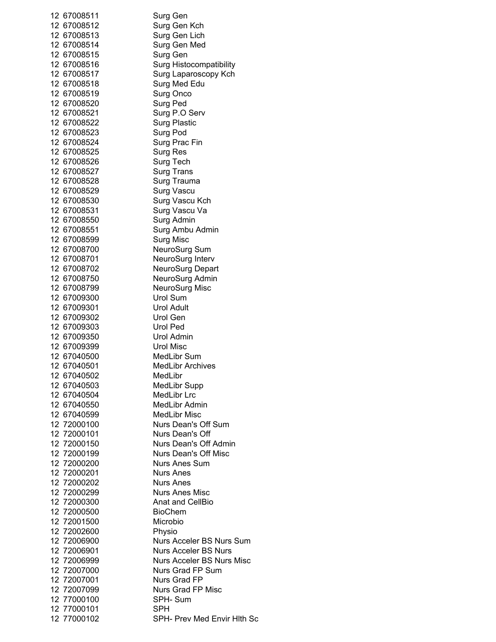| 12 67008511 | Surg Gen                       |
|-------------|--------------------------------|
|             |                                |
| 12 67008512 | Surg Gen Kch                   |
| 12 67008513 | Surg Gen Lich                  |
|             |                                |
| 12 67008514 | Surg Gen Med                   |
| 12 67008515 | Surg Gen                       |
| 12 67008516 | <b>Surg Histocompatibility</b> |
|             |                                |
| 12 67008517 | Surg Laparoscopy Kch           |
| 12 67008518 | Surg Med Edu                   |
| 12 67008519 | Surg Onco                      |
|             |                                |
| 12 67008520 | Surg Ped                       |
| 12 67008521 | Surg P.O Serv                  |
| 12 67008522 |                                |
|             | <b>Surg Plastic</b>            |
| 12 67008523 | Surg Pod                       |
| 12 67008524 | Surg Prac Fin                  |
| 12 67008525 | <b>Surg Res</b>                |
|             |                                |
| 12 67008526 | Surg Tech                      |
| 12 67008527 | <b>Surg Trans</b>              |
|             |                                |
| 12 67008528 | Surg Trauma                    |
| 12 67008529 | Surg Vascu                     |
| 12 67008530 | Surg Vascu Kch                 |
|             |                                |
| 12 67008531 | Surg Vascu Va                  |
| 12 67008550 | Surg Admin                     |
| 12 67008551 | Surg Ambu Admin                |
|             |                                |
| 12 67008599 | Surg Misc                      |
| 12 67008700 | NeuroSurg Sum                  |
| 12 67008701 | NeuroSurg Interv               |
|             |                                |
| 12 67008702 | NeuroSurg Depart               |
| 12 67008750 | NeuroSurg Admin                |
| 12 67008799 | NeuroSurg Misc                 |
|             |                                |
| 12 67009300 | Urol Sum                       |
| 12 67009301 | <b>Urol Adult</b>              |
| 12 67009302 | Urol Gen                       |
| 12 67009303 | Urol Ped                       |
|             |                                |
| 12 67009350 | Urol Admin                     |
| 12 67009399 | Urol Misc                      |
| 12 67040500 | MedLibr Sum                    |
|             |                                |
| 12 67040501 | <b>MedLibr Archives</b>        |
| 12 67040502 | MedLibr                        |
| 12 67040503 | <b>MedLibr Supp</b>            |
|             |                                |
| 12 67040504 | MedLibr Lrc                    |
| 12 67040550 | MedLibr Admin                  |
| 12 67040599 | MedLibr Misc                   |
|             |                                |
| 12 72000100 | Nurs Dean's Off Sum            |
| 12 72000101 | Nurs Dean's Off                |
| 12 72000150 | Nurs Dean's Off Admin          |
| 12 72000199 | Nurs Dean's Off Misc           |
|             |                                |
| 12 72000200 | <b>Nurs Anes Sum</b>           |
| 12 72000201 | Nurs Anes                      |
| 12 72000202 | Nurs Anes                      |
|             |                                |
| 12 72000299 | <b>Nurs Anes Misc</b>          |
| 12 72000300 | Anat and CellBio               |
| 12 72000500 | <b>BioChem</b>                 |
|             |                                |
| 12 72001500 | Microbio                       |
| 12 72002600 | Physio                         |
| 12 72006900 | Nurs Acceler BS Nurs Sum       |
|             |                                |
| 12 72006901 | <b>Nurs Acceler BS Nurs</b>    |
| 12 72006999 | Nurs Acceler BS Nurs Misc      |
| 12 72007000 | Nurs Grad FP Sum               |
|             |                                |
| 12 72007001 | Nurs Grad FP                   |
| 12 72007099 | <b>Nurs Grad FP Misc</b>       |
| 12 77000100 | SPH-Sum                        |
|             |                                |
| 12 77000101 | <b>SPH</b>                     |
| 12 77000102 | SPH- Prev Med Envir Hlth Sc    |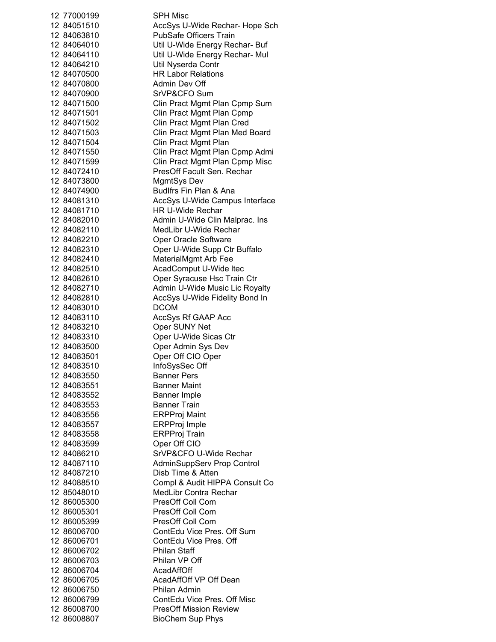| 12 77000199 | <b>SPH Misc</b>                |
|-------------|--------------------------------|
|             |                                |
| 12 84051510 | AccSys U-Wide Rechar- Hope Sch |
| 12 84063810 | <b>PubSafe Officers Train</b>  |
| 12 84064010 | Util U-Wide Energy Rechar- Buf |
| 12 84064110 | Util U-Wide Energy Rechar- Mul |
| 12 84064210 | Util Nyserda Contr             |
| 12 84070500 | <b>HR Labor Relations</b>      |
| 12 84070800 | Admin Dev Off                  |
|             |                                |
| 12 84070900 | SrVP&CFO Sum                   |
| 12 84071500 | Clin Pract Mgmt Plan Cpmp Sum  |
| 12 84071501 | Clin Pract Mgmt Plan Cpmp      |
| 12 84071502 | Clin Pract Mgmt Plan Cred      |
| 12 84071503 | Clin Pract Mgmt Plan Med Board |
| 12 84071504 | Clin Pract Mgmt Plan           |
| 12 84071550 | Clin Pract Mgmt Plan Cpmp Admi |
| 12 84071599 | Clin Pract Mgmt Plan Cpmp Misc |
| 12 84072410 | PresOff Facult Sen. Rechar     |
|             |                                |
| 12 84073800 | <b>MgmtSys Dev</b>             |
| 12 84074900 | Budlfrs Fin Plan & Ana         |
| 12 84081310 | AccSys U-Wide Campus Interface |
| 12 84081710 | HR U-Wide Rechar               |
| 12 84082010 | Admin U-Wide Clin Malprac. Ins |
| 12 84082110 | MedLibr U-Wide Rechar          |
| 12 84082210 | Oper Oracle Software           |
| 12 84082310 | Oper U-Wide Supp Ctr Buffalo   |
|             |                                |
| 12 84082410 | MaterialMgmt Arb Fee           |
| 12 84082510 | AcadComput U-Wide Itec         |
| 12 84082610 | Oper Syracuse Hsc Train Ctr    |
| 12 84082710 | Admin U-Wide Music Lic Royalty |
| 12 84082810 | AccSys U-Wide Fidelity Bond In |
| 12 84083010 | <b>DCOM</b>                    |
| 12 84083110 | AccSys Rf GAAP Acc             |
| 12 84083210 | Oper SUNY Net                  |
| 12 84083310 | Oper U-Wide Sicas Ctr          |
|             |                                |
| 12 84083500 | Oper Admin Sys Dev             |
| 12 84083501 | Oper Off CIO Oper              |
| 12 84083510 | InfoSysSec Off                 |
| 12 84083550 | <b>Banner Pers</b>             |
| 12 84083551 | Banner Maint                   |
| 12 84083552 | <b>Banner Imple</b>            |
| 12 84083553 | <b>Banner Train</b>            |
| 12 84083556 | <b>ERPProj Maint</b>           |
| 12 84083557 | <b>ERPProj Imple</b>           |
|             |                                |
| 12 84083558 | <b>ERPProj Train</b>           |
| 12 84083599 | Oper Off CIO                   |
| 12 84086210 | SrVP&CFO U-Wide Rechar         |
| 12 84087110 | AdminSuppServ Prop Control     |
| 12 84087210 | Disb Time & Atten              |
| 12 84088510 | Compl & Audit HIPPA Consult Co |
| 12 85048010 | <b>MedLibr Contra Rechar</b>   |
| 12 86005300 | PresOff Coll Com               |
| 12 86005301 | PresOff Coll Com               |
|             |                                |
| 12 86005399 | PresOff Coll Com               |
| 12 86006700 | ContEdu Vice Pres. Off Sum     |
| 12 86006701 | ContEdu Vice Pres. Off         |
| 12 86006702 | <b>Philan Staff</b>            |
| 12 86006703 | Philan VP Off                  |
| 12 86006704 | AcadAffOff                     |
| 12 86006705 | AcadAffOff VP Off Dean         |
| 12 86006750 | Philan Admin                   |
| 12 86006799 | ContEdu Vice Pres, Off Misc    |
| 12 86008700 | <b>PresOff Mission Review</b>  |
|             |                                |
| 12 86008807 | <b>BioChem Sup Phys</b>        |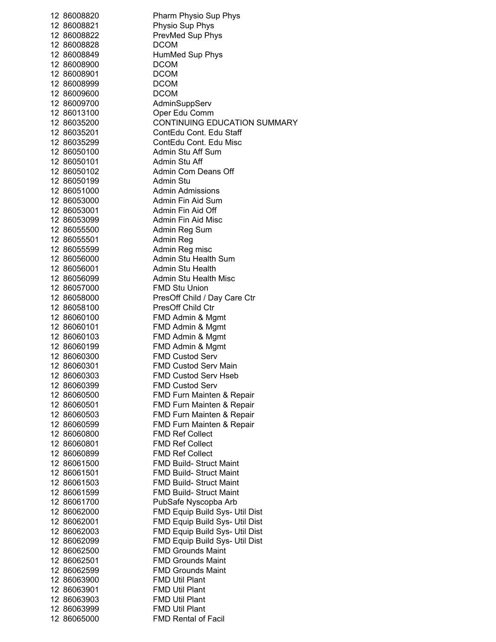| 12 86008820                | Pharm Physio Sup Phys                                            |
|----------------------------|------------------------------------------------------------------|
| 12 86008821                | Physio Sup Phys                                                  |
| 12 86008822                | PrevMed Sup Phys                                                 |
| 12 86008828                | <b>DCOM</b>                                                      |
| 12 86008849                | HumMed Sup Phys                                                  |
| 12 86008900                | <b>DCOM</b>                                                      |
| 12 86008901                | <b>DCOM</b>                                                      |
| 12 86008999                | <b>DCOM</b>                                                      |
| 12 86009600                | <b>DCOM</b>                                                      |
| 12 86009700                | AdminSuppServ                                                    |
| 12 86013100                | Oper Edu Comm                                                    |
| 12 86035200                | CONTINUING EDUCATION SUMMARY                                     |
| 12 86035201                | ContEdu Cont. Edu Staff                                          |
| 12 86035299                | ContEdu Cont. Edu Misc                                           |
| 12 86050100                | Admin Stu Aff Sum                                                |
| 12 86050101                | Admin Stu Aff                                                    |
| 12 86050102                | Admin Com Deans Off                                              |
| 12 86050199                | Admin Stu                                                        |
| 12 86051000                | <b>Admin Admissions</b>                                          |
| 12 86053000                | Admin Fin Aid Sum                                                |
| 12 86053001                | Admin Fin Aid Off                                                |
| 12 86053099                | Admin Fin Aid Misc                                               |
| 12 86055500                | Admin Reg Sum                                                    |
| 12 86055501                | Admin Reg                                                        |
| 12 86055599                | Admin Reg misc                                                   |
| 12 86056000                | Admin Stu Health Sum                                             |
| 12 86056001                | <b>Admin Stu Health</b>                                          |
| 12 86056099                | <b>Admin Stu Health Misc</b>                                     |
| 12 86057000                | <b>FMD Stu Union</b>                                             |
| 12 86058000                | PresOff Child / Day Care Ctr                                     |
| 12 86058100                | PresOff Child Ctr                                                |
| 12 86060100                | FMD Admin & Mgmt                                                 |
| 12 86060101                | FMD Admin & Mgmt                                                 |
| 12 86060103                | FMD Admin & Mgmt                                                 |
| 12 86060199                | FMD Admin & Mgmt                                                 |
| 12 86060300                | <b>FMD Custod Serv</b>                                           |
| 12 86060301                | <b>FMD Custod Serv Main</b>                                      |
| 12 86060303                | <b>FMD Custod Serv Hseb</b>                                      |
| 12 86060399                | <b>FMD Custod Serv</b>                                           |
| 12 86060500                | FMD Furn Mainten & Repair                                        |
| 12 86060501                | FMD Furn Mainten & Repair                                        |
| 12 86060503                | FMD Furn Mainten & Repair                                        |
| 12 86060599                | FMD Furn Mainten & Repair                                        |
| 12 86060800                | <b>FMD Ref Collect</b>                                           |
| 12 86060801                | <b>FMD Ref Collect</b>                                           |
| 12 86060899                | <b>FMD Ref Collect</b>                                           |
| 12 86061500<br>12 86061501 | <b>FMD Build-Struct Maint</b><br><b>FMD Build-Struct Maint</b>   |
|                            | <b>FMD Build-Struct Maint</b>                                    |
| 12 86061503                | <b>FMD Build- Struct Maint</b>                                   |
| 12 86061599                |                                                                  |
| 12 86061700<br>12 86062000 | PubSafe Nyscopba Arb                                             |
| 12 86062001                | FMD Equip Build Sys- Util Dist<br>FMD Equip Build Sys- Util Dist |
| 12 86062003                | FMD Equip Build Sys- Util Dist                                   |
| 12 86062099                | FMD Equip Build Sys- Util Dist                                   |
| 12 86062500                | <b>FMD Grounds Maint</b>                                         |
| 12 86062501                | <b>FMD Grounds Maint</b>                                         |
| 12 86062599                | <b>FMD Grounds Maint</b>                                         |
| 12 86063900                | <b>FMD Util Plant</b>                                            |
| 12 86063901                | <b>FMD Util Plant</b>                                            |
| 12 86063903                | <b>FMD Util Plant</b>                                            |
| 12 86063999                | <b>FMD Util Plant</b>                                            |
| 12 86065000                | <b>FMD Rental of Facil</b>                                       |
|                            |                                                                  |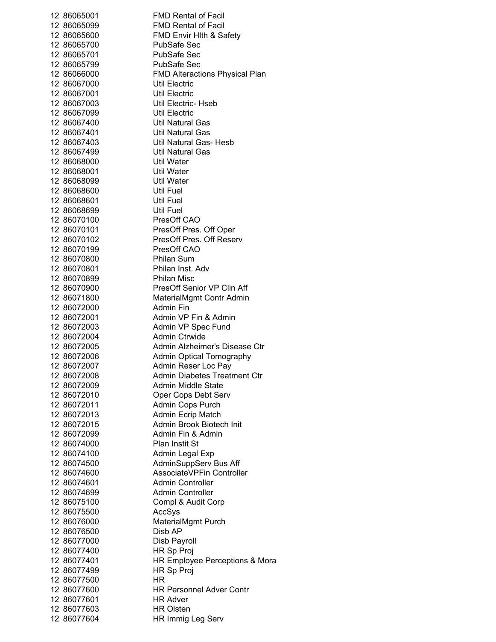| 12 86065001                | <b>FMD Rental of Facil</b>                         |
|----------------------------|----------------------------------------------------|
| 12 86065099                | <b>FMD Rental of Facil</b>                         |
| 12 86065600                | <b>FMD Envir Hith &amp; Safety</b>                 |
| 12 86065700                | PubSafe Sec                                        |
| 12 86065701                | PubSafe Sec                                        |
| 12 86065799                | <b>PubSafe Sec</b>                                 |
| 12 86066000                | <b>FMD Alteractions Physical Plan</b>              |
| 12 86067000                | Util Electric                                      |
| 12 86067001                | Util Electric                                      |
| 12 86067003                | Util Electric- Hseb                                |
| 12 86067099                | Util Electric                                      |
| 12 86067400                | <b>Util Natural Gas</b>                            |
| 12 86067401                | Util Natural Gas                                   |
| 12 86067403                | Util Natural Gas- Hesb                             |
| 12 86067499                | Util Natural Gas                                   |
| 12 86068000                | <b>Util Water</b>                                  |
| 12 86068001                | <b>Util Water</b>                                  |
| 12 86068099                | <b>Util Water</b>                                  |
| 12 86068600                | Util Fuel                                          |
| 12 86068601                | <b>Util Fuel</b>                                   |
| 12 86068699                | Util Fuel                                          |
|                            | PresOff CAO                                        |
| 12 86070100<br>12 86070101 |                                                    |
|                            | PresOff Pres. Off Oper<br>PresOff Pres. Off Reserv |
| 12 86070102                |                                                    |
| 12 86070199                | PresOff CAO                                        |
| 12 86070800                | <b>Philan Sum</b>                                  |
| 12 86070801                | Philan Inst. Adv                                   |
| 12 86070899                | <b>Philan Misc</b><br>PresOff Senior VP Clin Aff   |
| 12 86070900                |                                                    |
| 12 86071800                | MaterialMgmt Contr Admin<br>Admin Fin              |
| 12 86072000                |                                                    |
| 12 86072001                | Admin VP Fin & Admin                               |
| 12 86072003                | Admin VP Spec Fund                                 |
| 12 86072004                | Admin Ctrwide                                      |
| 12 86072005                | Admin Alzheimer's Disease Ctr                      |
| 12 86072006                | <b>Admin Optical Tomography</b>                    |
| 12 86072007                | Admin Reser Loc Pay                                |
| 12 86072008                | Admin Diabetes Treatment Ctr                       |
| 12 86072009                | Admin Middle State                                 |
| 12 86072010                | Oper Cops Debt Serv                                |
| 12 86072011                | Admin Cops Purch                                   |
| 12 86072013                | <b>Admin Ecrip Match</b>                           |
| 12 86072015                | Admin Brook Biotech Init                           |
| 12 86072099                | Admin Fin & Admin                                  |
| 12 86074000                | Plan Instit St                                     |
| 12 86074100                | Admin Legal Exp                                    |
| 12 86074500                | AdminSuppServ Bus Aff                              |
| 12 86074600                | AssociateVPFin Controller                          |
| 12 86074601                | <b>Admin Controller</b>                            |
| 12 86074699                | <b>Admin Controller</b>                            |
| 12 86075100                | Compl & Audit Corp                                 |
| 12 86075500                | AccSys                                             |
| 12 86076000                | MaterialMgmt Purch                                 |
| 12 86076500                | Disb AP                                            |
| 12 86077000                | Disb Payroll                                       |
| 12 86077400                | HR Sp Proj                                         |
| 12 86077401                | HR Employee Perceptions & Mora                     |
| 12 86077499                | HR Sp Proj                                         |
| 12 86077500                | HR                                                 |
| 12 86077600                | <b>HR Personnel Adver Contr</b>                    |
| 12 86077601                | <b>HR Adver</b>                                    |
| 12 86077603                | <b>HR Olsten</b>                                   |
| 12 86077604                | HR Immig Leg Serv                                  |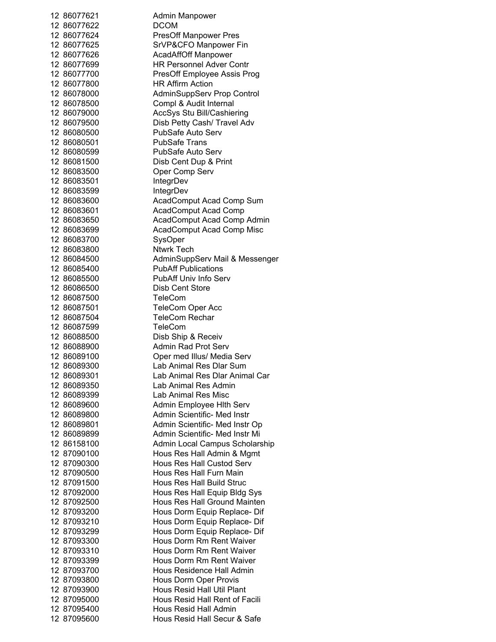| 12 86077621 | Admin Manpower                   |
|-------------|----------------------------------|
| 12 86077622 | <b>DCOM</b>                      |
| 12 86077624 | <b>PresOff Manpower Pres</b>     |
| 12 86077625 | SrVP&CFO Manpower Fin            |
| 12 86077626 | <b>AcadAffOff Manpower</b>       |
| 12 86077699 | <b>HR Personnel Adver Contr</b>  |
| 12 86077700 | PresOff Employee Assis Prog      |
| 12 86077800 | <b>HR Affirm Action</b>          |
| 12 86078000 | AdminSuppServ Prop Control       |
| 12 86078500 | Compl & Audit Internal           |
| 12 86079000 | AccSys Stu Bill/Cashiering       |
| 12 86079500 | Disb Petty Cash/ Travel Adv      |
| 12 86080500 | PubSafe Auto Serv                |
| 12 86080501 | <b>PubSafe Trans</b>             |
| 12 86080599 | PubSafe Auto Serv                |
| 12 86081500 | Disb Cent Dup & Print            |
| 12 86083500 | Oper Comp Serv                   |
| 12 86083501 | IntegrDev                        |
| 12 86083599 | IntegrDev                        |
|             |                                  |
| 12 86083600 | <b>AcadComput Acad Comp Sum</b>  |
| 12 86083601 | <b>AcadComput Acad Comp</b>      |
| 12 86083650 | AcadComput Acad Comp Admin       |
| 12 86083699 | <b>AcadComput Acad Comp Misc</b> |
| 12 86083700 | SysOper                          |
| 12 86083800 | <b>Ntwrk Tech</b>                |
| 12 86084500 | AdminSuppServ Mail & Messenger   |
| 12 86085400 | <b>PubAff Publications</b>       |
| 12 86085500 | PubAff Univ Info Serv            |
| 12 86086500 | Disb Cent Store                  |
| 12 86087500 | TeleCom                          |
| 12 86087501 | <b>TeleCom Oper Acc</b>          |
| 12 86087504 | <b>TeleCom Rechar</b>            |
| 12 86087599 | TeleCom                          |
| 12 86088500 | Disb Ship & Receiv               |
| 12 86088900 | Admin Rad Prot Serv              |
| 12 86089100 | Oper med Illus/ Media Serv       |
| 12 86089300 | Lab Animal Res Dlar Sum          |
| 12 86089301 | Lab Animal Res Dlar Animal Car   |
| 12 86089350 | Lab Animal Res Admin             |
| 12 86089399 | Lab Animal Res Misc              |
| 12 86089600 | Admin Employee Hith Serv         |
| 12 86089800 | Admin Scientific- Med Instr      |
| 12 86089801 | Admin Scientific- Med Instr Op   |
| 12 86089899 | Admin Scientific- Med Instr Mi   |
| 12 86158100 | Admin Local Campus Scholarship   |
| 12 87090100 | Hous Res Hall Admin & Mgmt       |
| 12 87090300 | Hous Res Hall Custod Serv        |
| 12 87090500 | Hous Res Hall Furn Main          |
| 12 87091500 | Hous Res Hall Build Struc        |
| 12 87092000 | Hous Res Hall Equip Bldg Sys     |
| 12 87092500 | Hous Res Hall Ground Mainten     |
| 12 87093200 | Hous Dorm Equip Replace- Dif     |
| 12 87093210 | Hous Dorm Equip Replace- Dif     |
| 12 87093299 | Hous Dorm Equip Replace- Dif     |
| 12 87093300 | Hous Dorm Rm Rent Waiver         |
| 12 87093310 | Hous Dorm Rm Rent Waiver         |
| 12 87093399 | Hous Dorm Rm Rent Waiver         |
| 12 87093700 | Hous Residence Hall Admin        |
| 12 87093800 | Hous Dorm Oper Provis            |
| 12 87093900 | Hous Resid Hall Util Plant       |
| 12 87095000 | Hous Resid Hall Rent of Facili   |
| 12 87095400 | Hous Resid Hall Admin            |
| 12 87095600 | Hous Resid Hall Secur & Safe     |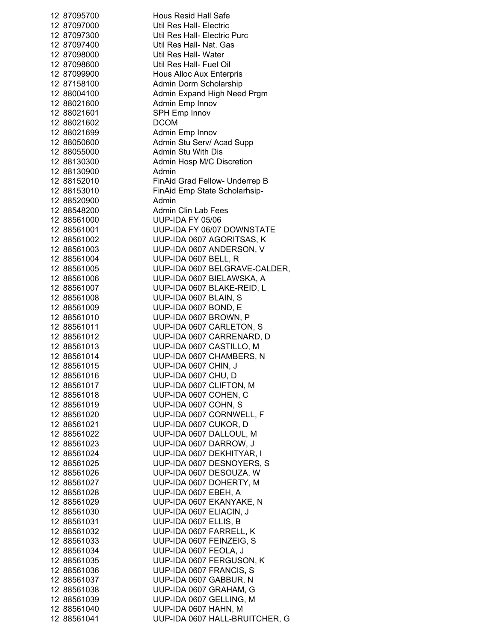| 12 87095700 | <b>Hous Resid Hall Safe</b>    |
|-------------|--------------------------------|
| 12 87097000 | Util Res Hall- Electric        |
| 12 87097300 | Util Res Hall- Electric Purc   |
| 12 87097400 | Util Res Hall- Nat. Gas        |
| 12 87098000 | Util Res Hall- Water           |
| 12 87098600 | Util Res Hall- Fuel Oil        |
| 12 87099900 | Hous Alloc Aux Enterpris       |
| 12 87158100 | Admin Dorm Scholarship         |
| 12 88004100 | Admin Expand High Need Prgm    |
| 12 88021600 | Admin Emp Innov                |
| 12 88021601 | <b>SPH Emp Innov</b>           |
| 12 88021602 | <b>DCOM</b>                    |
| 12 88021699 | Admin Emp Innov                |
| 12 88050600 | Admin Stu Serv/ Acad Supp      |
| 12 88055000 | Admin Stu With Dis             |
| 12 88130300 | Admin Hosp M/C Discretion      |
| 12 88130900 | Admin                          |
| 12 88152010 | FinAid Grad Fellow- Underrep B |
| 12 88153010 | FinAid Emp State Scholarhsip-  |
| 12 88520900 | Admin                          |
| 12 88548200 | <b>Admin Clin Lab Fees</b>     |
| 12 88561000 | <b>UUP-IDA FY 05/06</b>        |
| 12 88561001 | UUP-IDA FY 06/07 DOWNSTATE     |
| 12 88561002 | UUP-IDA 0607 AGORITSAS, K      |
| 12 88561003 | UUP-IDA 0607 ANDERSON, V       |
| 12 88561004 | UUP-IDA 0607 BELL, R           |
| 12 88561005 | UUP-IDA 0607 BELGRAVE-CALDER,  |
| 12 88561006 | UUP-IDA 0607 BIELAWSKA, A      |
| 12 88561007 | UUP-IDA 0607 BLAKE-REID, L     |
| 12 88561008 | UUP-IDA 0607 BLAIN, S          |
| 12 88561009 | UUP-IDA 0607 BOND, E           |
| 12 88561010 | UUP-IDA 0607 BROWN, P          |
| 12 88561011 | UUP-IDA 0607 CARLETON, S       |
| 12 88561012 | UUP-IDA 0607 CARRENARD, D      |
| 12 88561013 | UUP-IDA 0607 CASTILLO, M       |
| 12 88561014 | UUP-IDA 0607 CHAMBERS, N       |
| 12 88561015 | UUP-IDA 0607 CHIN, J           |
| 12 88561016 | UUP-IDA 0607 CHU, D            |
| 12 88561017 | UUP-IDA 0607 CLIFTON, M        |
| 12 88561018 | UUP-IDA 0607 COHEN, C          |
| 12 88561019 | UUP-IDA 0607 COHN, S           |
| 12 88561020 | UUP-IDA 0607 CORNWELL, F       |
| 12 88561021 | UUP-IDA 0607 CUKOR, D          |
| 12 88561022 | UUP-IDA 0607 DALLOUL, M        |
| 12 88561023 | UUP-IDA 0607 DARROW, J         |
| 12 88561024 | UUP-IDA 0607 DEKHITYAR, I      |
| 12 88561025 | UUP-IDA 0607 DESNOYERS, S      |
| 12 88561026 | UUP-IDA 0607 DESOUZA, W        |
| 12 88561027 | UUP-IDA 0607 DOHERTY, M        |
| 12 88561028 | UUP-IDA 0607 EBEH, A           |
| 12 88561029 | UUP-IDA 0607 EKANYAKE, N       |
| 12 88561030 | UUP-IDA 0607 ELIACIN, J        |
| 12 88561031 | UUP-IDA 0607 ELLIS, B          |
| 12 88561032 | UUP-IDA 0607 FARRELL, K        |
| 12 88561033 | UUP-IDA 0607 FEINZEIG, S       |
| 12 88561034 | UUP-IDA 0607 FEOLA, J          |
| 12 88561035 | UUP-IDA 0607 FERGUSON, K       |
| 12 88561036 | UUP-IDA 0607 FRANCIS, S        |
| 12 88561037 | UUP-IDA 0607 GABBUR, N         |
| 12 88561038 | UUP-IDA 0607 GRAHAM, G         |
| 12 88561039 | UUP-IDA 0607 GELLING, M        |
| 12 88561040 | UUP-IDA 0607 HAHN, M           |
| 12 88561041 | UUP-IDA 0607 HALL-BRUITCHER, G |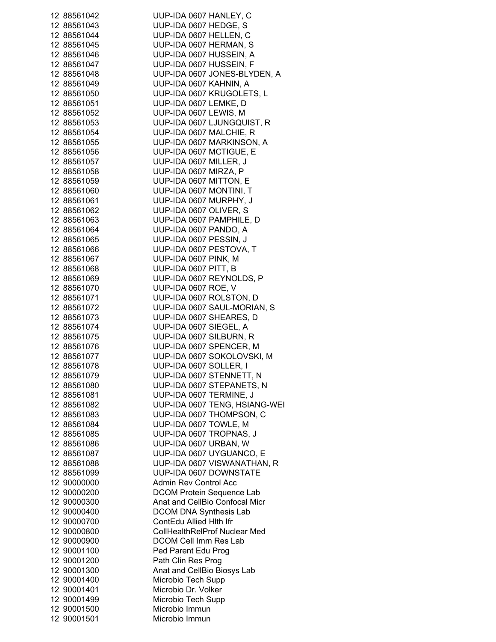| 12 88561042 | UUP-IDA 0607 HANLEY, C               |
|-------------|--------------------------------------|
| 12 88561043 | UUP-IDA 0607 HEDGE, S                |
| 12 88561044 | UUP-IDA 0607 HELLEN, C               |
| 12 88561045 | UUP-IDA 0607 HERMAN, S               |
| 12 88561046 | UUP-IDA 0607 HUSSEIN, A              |
| 12 88561047 | UUP-IDA 0607 HUSSEIN, F              |
| 12 88561048 | UUP-IDA 0607 JONES-BLYDEN, A         |
| 12 88561049 | UUP-IDA 0607 KAHNIN, A               |
| 12 88561050 | UUP-IDA 0607 KRUGOLETS, L            |
| 12 88561051 | UUP-IDA 0607 LEMKE, D                |
| 12 88561052 | UUP-IDA 0607 LEWIS, M                |
| 12 88561053 | UUP-IDA 0607 LJUNGQUIST, R           |
| 12 88561054 | UUP-IDA 0607 MALCHIE, R              |
| 12 88561055 | UUP-IDA 0607 MARKINSON, A            |
| 12 88561056 | UUP-IDA 0607 MCTIGUE, E              |
| 12 88561057 | UUP-IDA 0607 MILLER, J               |
| 12 88561058 | UUP-IDA 0607 MIRZA, P                |
| 12 88561059 | UUP-IDA 0607 MITTON, E               |
| 12 88561060 | UUP-IDA 0607 MONTINI, T              |
| 12 88561061 | UUP-IDA 0607 MURPHY, J               |
| 12 88561062 | UUP-IDA 0607 OLIVER, S               |
| 12 88561063 | UUP-IDA 0607 PAMPHILE, D             |
| 12 88561064 | UUP-IDA 0607 PANDO, A                |
| 12 88561065 | UUP-IDA 0607 PESSIN, J               |
| 12 88561066 | UUP-IDA 0607 PESTOVA, T              |
| 12 88561067 | UUP-IDA 0607 PINK, M                 |
| 12 88561068 | UUP-IDA 0607 PITT, B                 |
| 12 88561069 | UUP-IDA 0607 REYNOLDS, P             |
| 12 88561070 | UUP-IDA 0607 ROE, V                  |
| 12 88561071 | UUP-IDA 0607 ROLSTON, D              |
| 12 88561072 | UUP-IDA 0607 SAUL-MORIAN, S          |
| 12 88561073 | UUP-IDA 0607 SHEARES, D              |
| 12 88561074 | UUP-IDA 0607 SIEGEL, A               |
| 12 88561075 | UUP-IDA 0607 SILBURN, R              |
| 12 88561076 | UUP-IDA 0607 SPENCER, M              |
| 12 88561077 | UUP-IDA 0607 SOKOLOVSKI, M           |
| 12 88561078 | UUP-IDA 0607 SOLLER, I               |
| 12 88561079 | UUP-IDA 0607 STENNETT, N             |
| 12 88561080 | UUP-IDA 0607 STEPANETS, N            |
| 12 88561081 | UUP-IDA 0607 TERMINE, J              |
| 12 88561082 | UUP-IDA 0607 TENG, HSIANG-WEI        |
| 12 88561083 | UUP-IDA 0607 THOMPSON, C             |
| 12 88561084 | UUP-IDA 0607 TOWLE, M                |
| 12 88561085 | UUP-IDA 0607 TROPNAS, J              |
| 12 88561086 | UUP-IDA 0607 URBAN, W                |
| 12 88561087 | UUP-IDA 0607 UYGUANCO, E             |
| 12 88561088 | UUP-IDA 0607 VISWANATHAN, R          |
| 12 88561099 | UUP-IDA 0607 DOWNSTATE               |
| 12 90000000 | <b>Admin Rev Control Acc</b>         |
| 12 90000200 | DCOM Protein Sequence Lab            |
| 12 90000300 | Anat and CellBio Confocal Micr       |
| 12 90000400 | DCOM DNA Synthesis Lab               |
| 12 90000700 | ContEdu Allied Hith Ifr              |
|             | <b>CollHealthRelProf Nuclear Med</b> |
| 12 90000800 |                                      |
| 12 90000900 | DCOM Cell Imm Res Lab                |
| 12 90001100 | Ped Parent Edu Prog                  |
| 12 90001200 | Path Clin Res Prog                   |
| 12 90001300 | Anat and CellBio Biosys Lab          |
| 12 90001400 | Microbio Tech Supp                   |
| 12 90001401 | Microbio Dr. Volker                  |
| 12 90001499 | Microbio Tech Supp                   |
| 12 90001500 | Microbio Immun                       |
| 12 90001501 | Microbio Immun                       |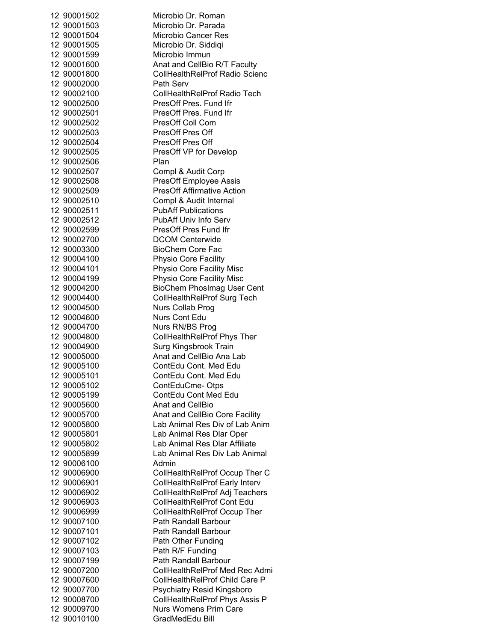| 12 90001502 | Microbio Dr. Roman                |
|-------------|-----------------------------------|
| 12 90001503 | Microbio Dr. Parada               |
| 12 90001504 | <b>Microbio Cancer Res</b>        |
| 12 90001505 | Microbio Dr. Siddiqi              |
| 12 90001599 | Microbio Immun                    |
| 12 90001600 | Anat and CellBio R/T Faculty      |
| 12 90001800 | CollHealthRelProf Radio Scienc    |
| 12 90002000 | Path Serv                         |
| 12 90002100 | CollHealthRelProf Radio Tech      |
| 12 90002500 | PresOff Pres. Fund Ifr            |
| 12 90002501 | PresOff Pres. Fund Ifr            |
| 12 90002502 | PresOff Coll Com                  |
| 12 90002503 | <b>PresOff Pres Off</b>           |
| 12 90002504 | <b>PresOff Pres Off</b>           |
| 12 90002505 | PresOff VP for Develop            |
| 12 90002506 | Plan                              |
| 12 90002507 | Compl & Audit Corp                |
| 12 90002508 | <b>PresOff Employee Assis</b>     |
| 12 90002509 | <b>PresOff Affirmative Action</b> |
| 12 90002510 | Compl & Audit Internal            |
| 12 90002511 | <b>PubAff Publications</b>        |
| 12 90002512 | PubAff Univ Info Serv             |
| 12 90002599 | <b>PresOff Pres Fund Ifr</b>      |
| 12 90002700 | <b>DCOM Centerwide</b>            |
| 12 90003300 | <b>BioChem Core Fac</b>           |
| 12 90004100 | Physio Core Facility              |
| 12 90004101 | <b>Physio Core Facility Misc</b>  |
| 12 90004199 | <b>Physio Core Facility Misc</b>  |
| 12 90004200 | <b>BioChem PhosImag User Cent</b> |
| 12 90004400 | CollHealthRelProf Surg Tech       |
| 12 90004500 | Nurs Collab Prog                  |
| 12 90004600 | Nurs Cont Edu                     |
| 12 90004700 | Nurs RN/BS Prog                   |
| 12 90004800 | CollHealthRelProf Phys Ther       |
| 12 90004900 | Surg Kingsbrook Train             |
| 12 90005000 | Anat and CellBio Ana Lab          |
| 12 90005100 | ContEdu Cont. Med Edu             |
| 12 90005101 | ContEdu Cont. Med Edu             |
| 12 90005102 | ContEduCme-Otps                   |
| 12 90005199 | ContEdu Cont Med Edu              |
| 12 90005600 | Anat and CellBio                  |
| 12 90005700 | Anat and CellBio Core Facility    |
| 12 90005800 | Lab Animal Res Div of Lab Anim    |
| 12 90005801 | Lab Animal Res Dlar Oper          |
| 12 90005802 | Lab Animal Res Dlar Affiliate     |
| 12 90005899 | Lab Animal Res Div Lab Animal     |
| 12 90006100 | Admin                             |
| 12 90006900 | CollHealthRelProf Occup Ther C    |
| 12 90006901 | CollHealthRelProf Early Interv    |
| 12 90006902 | CollHealthRelProf Adj Teachers    |
| 12 90006903 | CollHealthRelProf Cont Edu        |
| 12 90006999 | CollHealthRelProf Occup Ther      |
| 12 90007100 | Path Randall Barbour              |
| 12 90007101 | Path Randall Barbour              |
| 12 90007102 | Path Other Funding                |
| 12 90007103 | Path R/F Funding                  |
| 12 90007199 | Path Randall Barbour              |
| 12 90007200 | CollHealthRelProf Med Rec Admi    |
| 12 90007600 | CollHealthRelProf Child Care P    |
| 12 90007700 | Psychiatry Resid Kingsboro        |
| 12 90008700 | CollHealthRelProf Phys Assis P    |
| 12 90009700 | <b>Nurs Womens Prim Care</b>      |
| 12 90010100 | GradMedEdu Bill                   |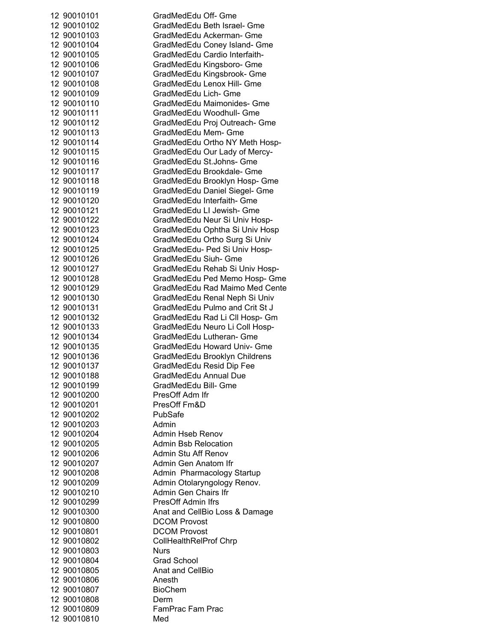| 12 90010101 | GradMedEdu Off- Gme            |
|-------------|--------------------------------|
| 12 90010102 | GradMedEdu Beth Israel- Gme    |
| 12 90010103 | GradMedEdu Ackerman- Gme       |
| 12 90010104 | GradMedEdu Coney Island- Gme   |
| 12 90010105 | GradMedEdu Cardio Interfaith-  |
| 12 90010106 | GradMedEdu Kingsboro- Gme      |
| 12 90010107 | GradMedEdu Kingsbrook- Gme     |
| 12 90010108 | GradMedEdu Lenox Hill- Gme     |
| 12 90010109 | GradMedEdu Lich- Gme           |
| 12 90010110 | GradMedEdu Maimonides- Gme     |
| 12 90010111 | GradMedEdu Woodhull- Gme       |
| 12 90010112 | GradMedEdu Proj Outreach- Gme  |
| 12 90010113 | GradMedEdu Mem- Gme            |
| 12 90010114 | GradMedEdu Ortho NY Meth Hosp- |
| 12 90010115 | GradMedEdu Our Lady of Mercy-  |
| 12 90010116 | GradMedEdu St.Johns- Gme       |
| 12 90010117 | GradMedEdu Brookdale- Gme      |
| 12 90010118 | GradMedEdu Brooklyn Hosp- Gme  |
| 12 90010119 | GradMedEdu Daniel Siegel- Gme  |
| 12 90010120 | GradMedEdu Interfaith- Gme     |
| 12 90010121 | GradMedEdu LI Jewish- Gme      |
| 12 90010122 | GradMedEdu Neur Si Univ Hosp-  |
| 12 90010123 | GradMedEdu Ophtha Si Univ Hosp |
| 12 90010124 | GradMedEdu Ortho Surg Si Univ  |
| 12 90010125 | GradMedEdu- Ped Si Univ Hosp-  |
| 12 90010126 | GradMedEdu Siuh- Gme           |
| 12 90010127 | GradMedEdu Rehab Si Univ Hosp- |
| 12 90010128 | GradMedEdu Ped Memo Hosp- Gme  |
| 12 90010129 | GradMedEdu Rad Maimo Med Cente |
| 12 90010130 | GradMedEdu Renal Neph Si Univ  |
| 12 90010131 | GradMedEdu Pulmo and Crit St J |
| 12 90010132 | GradMedEdu Rad Li Cll Hosp- Gm |
| 12 90010133 | GradMedEdu Neuro Li Coll Hosp- |
| 12 90010134 | GradMedEdu Lutheran- Gme       |
| 12 90010135 | GradMedEdu Howard Univ- Gme    |
| 12 90010136 | GradMedEdu Brooklyn Childrens  |
| 12 90010137 | GradMedEdu Resid Dip Fee       |
| 12 90010188 | GradMedEdu Annual Due          |
| 12 90010199 | GradMedEdu Bill- Gme           |
| 12 90010200 | PresOff Adm Ifr                |
| 12 90010201 | PresOff Fm&D                   |
| 12 90010202 | PubSafe                        |
| 12 90010203 | Admin                          |
| 12 90010204 | <b>Admin Hseb Renov</b>        |
| 12 90010205 | <b>Admin Bsb Relocation</b>    |
| 12 90010206 | Admin Stu Aff Renov            |
| 12 90010207 | Admin Gen Anatom Ifr           |
| 12 90010208 | Admin Pharmacology Startup     |
| 12 90010209 | Admin Otolaryngology Renov.    |
| 12 90010210 | Admin Gen Chairs Ifr           |
| 12 90010299 | PresOff Admin Ifrs             |
| 12 90010300 | Anat and CellBio Loss & Damage |
| 12 90010800 | <b>DCOM Provost</b>            |
| 12 90010801 | <b>DCOM Provost</b>            |
| 12 90010802 | CollHealthRelProf Chrp         |
| 12 90010803 | Nurs                           |
| 12 90010804 | <b>Grad School</b>             |
| 12 90010805 | Anat and CellBio               |
| 12 90010806 | Anesth                         |
| 12 90010807 | <b>BioChem</b>                 |
| 12 90010808 | Derm                           |
| 12 90010809 | <b>FamPrac Fam Prac</b>        |
| 12 90010810 | Med                            |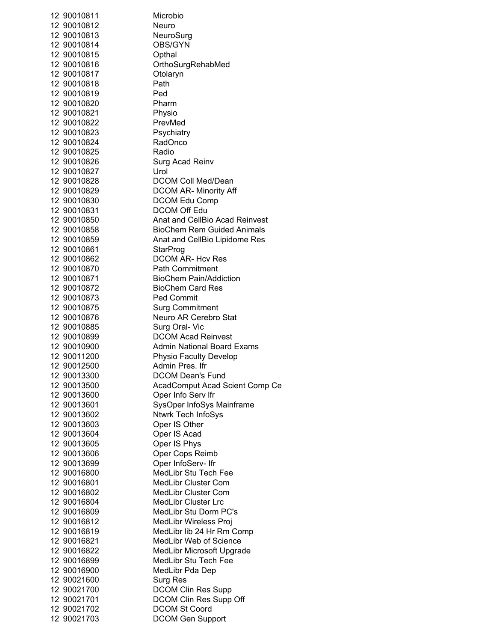| 12 90010811 | Microbio                       |
|-------------|--------------------------------|
| 12 90010812 | Neuro                          |
| 12 90010813 | NeuroSurg                      |
| 12 90010814 |                                |
|             | OBS/GYN                        |
| 12 90010815 | Opthal                         |
| 12 90010816 | OrthoSurgRehabMed              |
| 12 90010817 | Otolaryn                       |
| 12 90010818 | Path                           |
| 12 90010819 | Ped                            |
| 12 90010820 | Pharm                          |
| 12 90010821 | Physio                         |
| 12 90010822 | PrevMed                        |
| 12 90010823 | Psychiatry                     |
| 12 90010824 | RadOnco                        |
| 12 90010825 | Radio                          |
| 12 90010826 | Surg Acad Reinv                |
| 12 90010827 | Urol                           |
| 12 90010828 | DCOM Coll Med/Dean             |
| 12 90010829 |                                |
|             | DCOM AR- Minority Aff          |
| 12 90010830 | DCOM Edu Comp                  |
| 12 90010831 | <b>DCOM Off Edu</b>            |
| 12 90010850 | Anat and CellBio Acad Reinvest |
| 12 90010858 | BioChem Rem Guided Animals     |
| 12 90010859 | Anat and CellBio Lipidome Res  |
| 12 90010861 | StarProg                       |
| 12 90010862 | DCOM AR- Hcv Res               |
| 12 90010870 | <b>Path Commitment</b>         |
| 12 90010871 | <b>BioChem Pain/Addiction</b>  |
| 12 90010872 | <b>BioChem Card Res</b>        |
| 12 90010873 | Ped Commit                     |
| 12 90010875 | <b>Surg Commitment</b>         |
| 12 90010876 | Neuro AR Cerebro Stat          |
| 12 90010885 | Surg Oral- Vic                 |
| 12 90010899 | <b>DCOM Acad Reinvest</b>      |
|             |                                |
| 12 90010900 | Admin National Board Exams     |
| 12 90011200 | <b>Physio Faculty Develop</b>  |
| 12 90012500 | Admin Pres. Ifr                |
| 12 90013300 | <b>DCOM Dean's Fund</b>        |
| 12 90013500 | AcadComput Acad Scient Comp Ce |
| 12 90013600 | Oper Info Serv Ifr             |
| 12 90013601 | SysOper InfoSys Mainframe      |
| 12 90013602 | Ntwrk Tech InfoSys             |
| 12 90013603 | Oper IS Other                  |
| 12 90013604 | Oper IS Acad                   |
| 12 90013605 | Oper IS Phys                   |
| 12 90013606 | Oper Cops Reimb                |
| 12 90013699 | Oper InfoServ- Ifr             |
| 12 90016800 | MedLibr Stu Tech Fee           |
| 12 90016801 | <b>MedLibr Cluster Com</b>     |
| 12 90016802 | MedLibr Cluster Com            |
|             | <b>MedLibr Cluster Lrc</b>     |
| 12 90016804 |                                |
| 12 90016809 | MedLibr Stu Dorm PC's          |
| 12 90016812 | MedLibr Wireless Proj          |
| 12 90016819 | MedLibr lib 24 Hr Rm Comp      |
| 12 90016821 | MedLibr Web of Science         |
| 12 90016822 | MedLibr Microsoft Upgrade      |
| 12 90016899 | MedLibr Stu Tech Fee           |
| 12 90016900 | MedLibr Pda Dep                |
| 12 90021600 | Surg Res                       |
| 12 90021700 | <b>DCOM Clin Res Supp</b>      |
| 12 90021701 | DCOM Clin Res Supp Off         |
| 12 90021702 | <b>DCOM St Coord</b>           |
| 12 90021703 | <b>DCOM Gen Support</b>        |
|             |                                |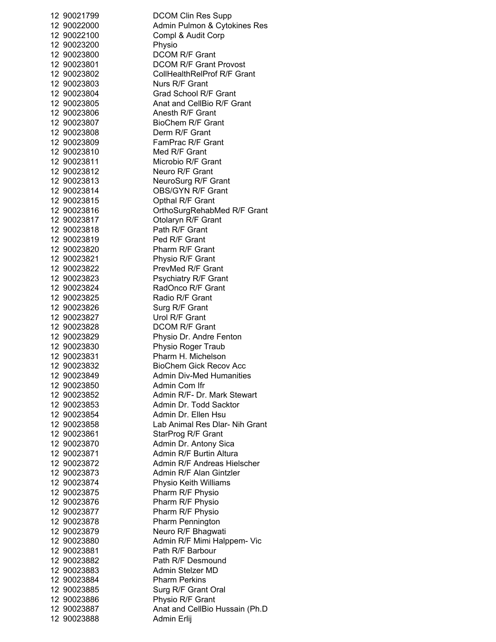| 12 90021799 | <b>DCOM Clin Res Supp</b>       |
|-------------|---------------------------------|
| 12 90022000 | Admin Pulmon & Cytokines Res    |
| 12 90022100 | Compl & Audit Corp              |
| 12 90023200 | Physio                          |
| 12 90023800 | <b>DCOM R/F Grant</b>           |
|             |                                 |
| 12 90023801 | <b>DCOM R/F Grant Provost</b>   |
| 12 90023802 | CollHealthRelProf R/F Grant     |
| 12 90023803 | Nurs R/F Grant                  |
| 12 90023804 | Grad School R/F Grant           |
| 12 90023805 | Anat and CellBio R/F Grant      |
|             | Anesth R/F Grant                |
| 12 90023806 |                                 |
| 12 90023807 | <b>BioChem R/F Grant</b>        |
| 12 90023808 | Derm R/F Grant                  |
| 12 90023809 | FamPrac R/F Grant               |
| 12 90023810 | Med R/F Grant                   |
| 12 90023811 | Microbio R/F Grant              |
|             | Neuro R/F Grant                 |
| 12 90023812 |                                 |
| 12 90023813 | NeuroSurg R/F Grant             |
| 12 90023814 | <b>OBS/GYN R/F Grant</b>        |
| 12 90023815 | Opthal R/F Grant                |
| 12 90023816 | OrthoSurgRehabMed R/F Grant     |
| 12 90023817 | Otolaryn R/F Grant              |
|             |                                 |
| 12 90023818 | Path R/F Grant                  |
| 12 90023819 | Ped R/F Grant                   |
| 12 90023820 | Pharm R/F Grant                 |
| 12 90023821 | Physio R/F Grant                |
| 12 90023822 | PrevMed R/F Grant               |
| 12 90023823 | Psychiatry R/F Grant            |
|             |                                 |
| 12 90023824 | RadOnco R/F Grant               |
| 12 90023825 | Radio R/F Grant                 |
| 12 90023826 | Surg R/F Grant                  |
| 12 90023827 | Urol R/F Grant                  |
| 12 90023828 | <b>DCOM R/F Grant</b>           |
| 12 90023829 | Physio Dr. Andre Fenton         |
|             |                                 |
| 12 90023830 | Physio Roger Traub              |
| 12 90023831 | Pharm H. Michelson              |
| 12 90023832 | <b>BioChem Gick Recov Acc</b>   |
| 12 90023849 | <b>Admin Div-Med Humanities</b> |
| 12 90023850 | Admin Com Ifr                   |
| 12 90023852 | Admin R/F- Dr. Mark Stewart     |
| 12 90023853 | Admin Dr. Todd Sacktor          |
|             |                                 |
| 12 90023854 | Admin Dr. Ellen Hsu             |
| 12 90023858 | Lab Animal Res Dlar- Nih Grant  |
| 12 90023861 | StarProg R/F Grant              |
| 12 90023870 | Admin Dr. Antony Sica           |
| 12 90023871 | Admin R/F Burtin Altura         |
| 12 90023872 | Admin R/F Andreas Hielscher     |
|             |                                 |
| 12 90023873 | Admin R/F Alan Gintzler         |
| 12 90023874 | <b>Physio Keith Williams</b>    |
| 12 90023875 | Pharm R/F Physio                |
| 12 90023876 | Pharm R/F Physio                |
| 12 90023877 | Pharm R/F Physio                |
| 12 90023878 | Pharm Pennington                |
|             |                                 |
| 12 90023879 | Neuro R/F Bhagwati              |
| 12 90023880 | Admin R/F Mimi Halppem- Vic     |
| 12 90023881 | Path R/F Barbour                |
| 12 90023882 | Path R/F Desmound               |
| 12 90023883 | Admin Stelzer MD                |
| 12 90023884 | <b>Pharm Perkins</b>            |
|             |                                 |
| 12 90023885 | Surg R/F Grant Oral             |
| 12 90023886 | Physio R/F Grant                |
| 12 90023887 | Anat and CellBio Hussain (Ph.D  |
|             | Admin Erlij                     |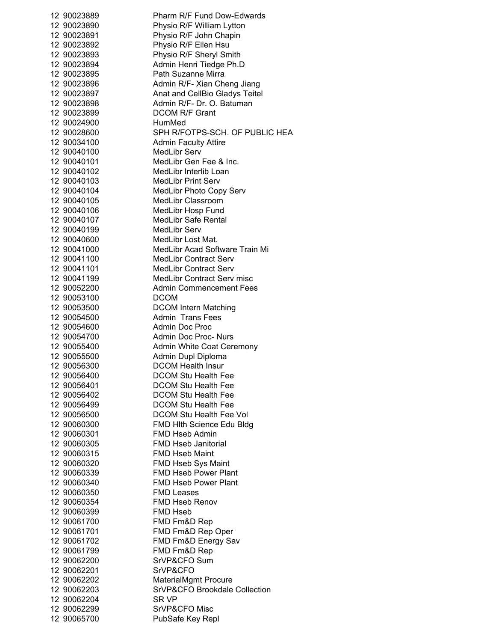| 12 90023889 | Pharm R/F Fund Dow-Edwards        |
|-------------|-----------------------------------|
| 12 90023890 | Physio R/F William Lytton         |
| 12 90023891 | Physio R/F John Chapin            |
| 12 90023892 | Physio R/F Ellen Hsu              |
| 12 90023893 | Physio R/F Sheryl Smith           |
| 12 90023894 | Admin Henri Tiedge Ph.D           |
| 12 90023895 | Path Suzanne Mirra                |
| 12 90023896 | Admin R/F- Xian Cheng Jiang       |
| 12 90023897 | Anat and CellBio Gladys Teitel    |
| 12 90023898 | Admin R/F- Dr. O. Batuman         |
| 12 90023899 | <b>DCOM R/F Grant</b>             |
| 12 90024900 | HumMed                            |
| 12 90028600 | SPH R/FOTPS-SCH. OF PUBLIC HEA    |
| 12 90034100 | <b>Admin Faculty Attire</b>       |
| 12 90040100 | MedLibr Serv                      |
| 12 90040101 | MedLibr Gen Fee & Inc.            |
| 12 90040102 | MedLibr Interlib Loan             |
| 12 90040103 | <b>MedLibr Print Serv</b>         |
| 12 90040104 | MedLibr Photo Copy Serv           |
| 12 90040105 | <b>MedLibr Classroom</b>          |
| 12 90040106 | MedLibr Hosp Fund                 |
| 12 90040107 | MedLibr Safe Rental               |
| 12 90040199 | MedLibr Serv                      |
| 12 90040600 | MedLibr Lost Mat.                 |
| 12 90041000 | MedLibr Acad Software Train Mi    |
| 12 90041100 | <b>MedLibr Contract Serv</b>      |
| 12 90041101 | <b>MedLibr Contract Serv</b>      |
| 12 90041199 | <b>MedLibr Contract Serv misc</b> |
| 12 90052200 | <b>Admin Commencement Fees</b>    |
| 12 90053100 | <b>DCOM</b>                       |
| 12 90053500 | <b>DCOM Intern Matching</b>       |
| 12 90054500 | <b>Admin Trans Fees</b>           |
| 12 90054600 | <b>Admin Doc Proc</b>             |
| 12 90054700 | Admin Doc Proc- Nurs              |
| 12 90055400 | <b>Admin White Coat Ceremony</b>  |
| 12 90055500 | Admin Dupl Diploma                |
| 12 90056300 | <b>DCOM Health Insur</b>          |
| 12 90056400 | <b>DCOM Stu Health Fee</b>        |
| 12 90056401 | DCOM Stu Health Fee               |
| 12 90056402 | <b>DCOM Stu Health Fee</b>        |
| 12 90056499 | <b>DCOM Stu Health Fee</b>        |
| 12 90056500 | <b>DCOM Stu Health Fee Vol</b>    |
| 12 90060300 | FMD HIth Science Edu Bldg         |
| 12 90060301 | <b>FMD Hseb Admin</b>             |
| 12 90060305 | <b>FMD Hseb Janitorial</b>        |
| 12 90060315 | <b>FMD Hseb Maint</b>             |
| 12 90060320 | FMD Hseb Sys Maint                |
| 12 90060339 | <b>FMD Hseb Power Plant</b>       |
| 12 90060340 | <b>FMD Hseb Power Plant</b>       |
| 12 90060350 | <b>FMD Leases</b>                 |
| 12 90060354 | <b>FMD Hseb Renov</b>             |
| 12 90060399 | <b>FMD Hseb</b>                   |
| 12 90061700 | FMD Fm&D Rep                      |
| 12 90061701 | FMD Fm&D Rep Oper                 |
| 12 90061702 | FMD Fm&D Energy Sav               |
| 12 90061799 | FMD Fm&D Rep                      |
| 12 90062200 | SrVP&CFO Sum                      |
| 12 90062201 | SrVP&CFO                          |
| 12 90062202 | <b>MaterialMgmt Procure</b>       |
| 12 90062203 | SrVP&CFO Brookdale Collection     |
| 12 90062204 | SR VP                             |
| 12 90062299 | SrVP&CFO Misc                     |
| 12 90065700 | PubSafe Key Repl                  |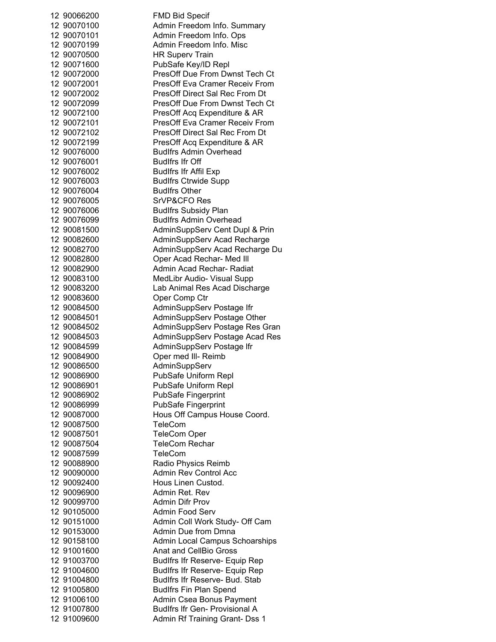| 12 90066200 | <b>FMD Bid Specif</b>                 |
|-------------|---------------------------------------|
| 12 90070100 | Admin Freedom Info. Summary           |
| 12 90070101 | Admin Freedom Info. Ops               |
| 12 90070199 | Admin Freedom Info. Misc              |
| 12 90070500 | <b>HR Superv Train</b>                |
| 12 90071600 |                                       |
|             | PubSafe Key/ID Repl                   |
| 12 90072000 | PresOff Due From Dwnst Tech Ct        |
| 12 90072001 | PresOff Eva Cramer Receiv From        |
| 12 90072002 | PresOff Direct Sal Rec From Dt        |
| 12 90072099 | PresOff Due From Dwnst Tech Ct        |
| 12 90072100 | PresOff Acq Expenditure & AR          |
| 12 90072101 | <b>PresOff Eva Cramer Receiv From</b> |
| 12 90072102 | PresOff Direct Sal Rec From Dt        |
| 12 90072199 | PresOff Acq Expenditure & AR          |
| 12 90076000 | <b>Budlfrs Admin Overhead</b>         |
| 12 90076001 | <b>Budlfrs Ifr Off</b>                |
| 12 90076002 | <b>Budlfrs Ifr Affil Exp</b>          |
| 12 90076003 | <b>Budlfrs Ctrwide Supp</b>           |
| 12 90076004 | <b>Budlfrs Other</b>                  |
| 12 90076005 | SrVP&CFO Res                          |
| 12 90076006 | <b>Budlfrs Subsidy Plan</b>           |
| 12 90076099 | <b>Budlfrs Admin Overhead</b>         |
| 12 90081500 | AdminSuppServ Cent Dupl & Prin        |
| 12 90082600 | AdminSuppServ Acad Recharge           |
| 12 90082700 | AdminSuppServ Acad Recharge Du        |
| 12 90082800 | Oper Acad Rechar- Med III             |
| 12 90082900 | Admin Acad Rechar- Radiat             |
| 12 90083100 |                                       |
|             | MedLibr Audio- Visual Supp            |
| 12 90083200 | Lab Animal Res Acad Discharge         |
| 12 90083600 | Oper Comp Ctr                         |
| 12 90084500 | AdminSuppServ Postage Ifr             |
| 12 90084501 | AdminSuppServ Postage Other           |
| 12 90084502 | AdminSuppServ Postage Res Gran        |
| 12 90084503 | AdminSuppServ Postage Acad Res        |
| 12 90084599 | AdminSuppServ Postage Ifr             |
| 12 90084900 | Oper med III- Reimb                   |
| 12 90086500 | AdminSuppServ                         |
| 12 90086900 | PubSafe Uniform Repl                  |
| 12 90086901 | PubSafe Uniform Repl                  |
| 12 90086902 | <b>PubSafe Fingerprint</b>            |
| 12 90086999 | <b>PubSafe Fingerprint</b>            |
| 12 90087000 | Hous Off Campus House Coord.          |
| 12 90087500 | TeleCom                               |
| 12 90087501 | <b>TeleCom Oper</b>                   |
| 12 90087504 | <b>TeleCom Rechar</b>                 |
| 12 90087599 | <b>TeleCom</b>                        |
| 12 90088900 | Radio Physics Reimb                   |
| 12 90090000 | <b>Admin Rev Control Acc</b>          |
| 12 90092400 | Hous Linen Custod.                    |
| 12 90096900 | Admin Ret. Rev                        |
| 12 90099700 | <b>Admin Difr Prov</b>                |
| 12 90105000 | Admin Food Serv                       |
| 12 90151000 | Admin Coll Work Study- Off Cam        |
| 12 90153000 | Admin Due from Dmna                   |
| 12 90158100 | Admin Local Campus Schoarships        |
| 12 91001600 | <b>Anat and CellBio Gross</b>         |
| 12 91003700 | <b>Budlfrs Ifr Reserve- Equip Rep</b> |
|             |                                       |
| 12 91004600 | <b>Budlfrs Ifr Reserve- Equip Rep</b> |
| 12 91004800 | <b>Budlfrs Ifr Reserve- Bud. Stab</b> |
| 12 91005800 | <b>Budlfrs Fin Plan Spend</b>         |
| 12 91006100 | Admin Csea Bonus Payment              |
| 12 91007800 | <b>Budlfrs Ifr Gen- Provisional A</b> |
| 12 91009600 | Admin Rf Training Grant- Dss 1        |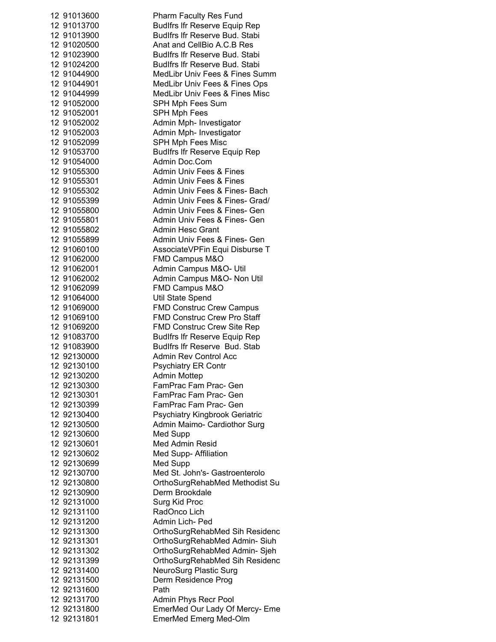| 12 91013600 | Pharm Faculty Res Fund                |
|-------------|---------------------------------------|
| 12 91013700 | <b>Budlfrs Ifr Reserve Equip Rep</b>  |
| 12 91013900 | Budlfrs Ifr Reserve Bud. Stabi        |
|             |                                       |
| 12 91020500 | Anat and CellBio A.C.B Res            |
| 12 91023900 | <b>Budlfrs Ifr Reserve Bud, Stabi</b> |
| 12 91024200 | <b>Budlfrs Ifr Reserve Bud, Stabi</b> |
|             |                                       |
| 12 91044900 | MedLibr Univ Fees & Fines Summ        |
| 12 91044901 | MedLibr Univ Fees & Fines Ops         |
| 12 91044999 | MedLibr Univ Fees & Fines Misc        |
| 12 91052000 | SPH Mph Fees Sum                      |
|             |                                       |
| 12 91052001 | SPH Mph Fees                          |
| 12 91052002 | Admin Mph- Investigator               |
| 12 91052003 | Admin Mph- Investigator               |
| 12 91052099 |                                       |
|             | SPH Mph Fees Misc                     |
| 12 91053700 | <b>Budlfrs Ifr Reserve Equip Rep</b>  |
| 12 91054000 | Admin Doc.Com                         |
| 12 91055300 | Admin Univ Fees & Fines               |
| 12 91055301 | Admin Univ Fees & Fines               |
|             |                                       |
| 12 91055302 | Admin Univ Fees & Fines-Bach          |
| 12 91055399 | Admin Univ Fees & Fines- Grad/        |
| 12 91055800 | Admin Univ Fees & Fines- Gen          |
| 12 91055801 | Admin Univ Fees & Fines- Gen          |
|             |                                       |
| 12 91055802 | Admin Hesc Grant                      |
| 12 91055899 | Admin Univ Fees & Fines- Gen          |
| 12 91060100 | AssociateVPFin Equi Disburse T        |
| 12 91062000 | FMD Campus M&O                        |
|             |                                       |
| 12 91062001 | Admin Campus M&O- Util                |
| 12 91062002 | Admin Campus M&O- Non Util            |
| 12 91062099 | FMD Campus M&O                        |
| 12 91064000 | <b>Util State Spend</b>               |
|             |                                       |
| 12 91069000 | <b>FMD Construc Crew Campus</b>       |
| 12 91069100 | <b>FMD Construc Crew Pro Staff</b>    |
| 12 91069200 | FMD Construc Crew Site Rep            |
| 12 91083700 | <b>Budlfrs Ifr Reserve Equip Rep</b>  |
| 12 91083900 | <b>Budlfrs Ifr Reserve Bud. Stab</b>  |
|             | Admin Rev Control Acc                 |
| 12 92130000 |                                       |
| 12 92130100 | <b>Psychiatry ER Contr</b>            |
| 12 92130200 | Admin Mottep                          |
| 12 92130300 | FamPrac Fam Prac- Gen                 |
| 12 92130301 | FamPrac Fam Prac- Gen                 |
| 12 92130399 | FamPrac Fam Prac- Gen                 |
|             |                                       |
| 12 92130400 | Psychiatry Kingbrook Geriatric        |
| 12 92130500 | Admin Maimo- Cardiothor Surg          |
| 12 92130600 | Med Supp                              |
| 12 92130601 | Med Admin Resid                       |
| 12 92130602 | Med Supp- Affiliation                 |
|             |                                       |
| 12 92130699 | Med Supp                              |
| 12 92130700 | Med St. John's- Gastroenterolo        |
| 12 92130800 | OrthoSurgRehabMed Methodist Su        |
| 12 92130900 | Derm Brookdale                        |
|             |                                       |
| 12 92131000 | Surg Kid Proc                         |
| 12 92131100 | RadOnco Lich                          |
| 12 92131200 | Admin Lich- Ped                       |
| 12 92131300 | OrthoSurgRehabMed Sih Residenc        |
| 12 92131301 | OrthoSurgRehabMed Admin-Siuh          |
|             |                                       |
| 12 92131302 | OrthoSurgRehabMed Admin- Sjeh         |
| 12 92131399 | OrthoSurgRehabMed Sih Residenc        |
| 12 92131400 | NeuroSurg Plastic Surg                |
| 12 92131500 | Derm Residence Prog                   |
|             |                                       |
| 12 92131600 | Path                                  |
| 12 92131700 | Admin Phys Recr Pool                  |
| 12 92131800 | EmerMed Our Lady Of Mercy- Eme        |
| 12 92131801 | EmerMed Emerg Med-Olm                 |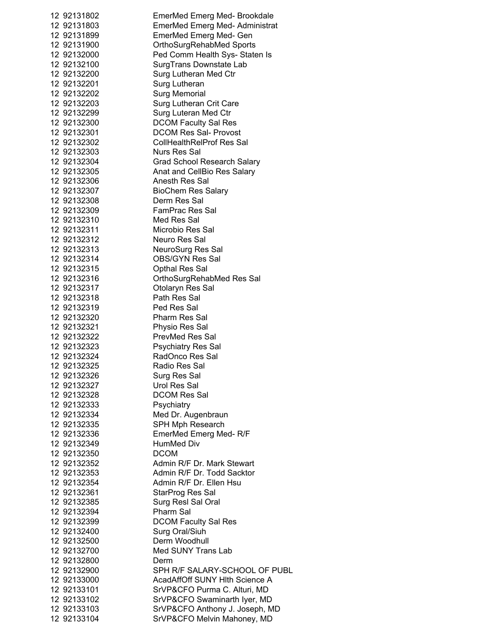| 12 92131802 | EmerMed Emerg Med- Brookdale          |
|-------------|---------------------------------------|
| 12 92131803 | <b>EmerMed Emerg Med- Administrat</b> |
|             |                                       |
| 12 92131899 | EmerMed Emerg Med- Gen                |
| 12 92131900 | OrthoSurgRehabMed Sports              |
| 12 92132000 | Ped Comm Health Sys- Staten Is        |
|             |                                       |
| 12 92132100 | SurgTrans Downstate Lab               |
| 12 92132200 | Surg Lutheran Med Ctr                 |
|             |                                       |
| 12 92132201 | Surg Lutheran                         |
| 12 92132202 | Surg Memorial                         |
| 12 92132203 | Surg Lutheran Crit Care               |
|             |                                       |
| 12 92132299 | Surg Luteran Med Ctr                  |
| 12 92132300 | <b>DCOM Faculty Sal Res</b>           |
| 12 92132301 | <b>DCOM Res Sal- Provost</b>          |
|             |                                       |
| 12 92132302 | <b>CollHealthRelProf Res Sal</b>      |
| 12 92132303 | Nurs Res Sal                          |
| 12 92132304 | <b>Grad School Research Salary</b>    |
|             |                                       |
| 12 92132305 | Anat and CellBio Res Salary           |
| 12 92132306 | Anesth Res Sal                        |
| 12 92132307 | <b>BioChem Res Salary</b>             |
|             |                                       |
| 12 92132308 | Derm Res Sal                          |
| 12 92132309 | <b>FamPrac Res Sal</b>                |
| 12 92132310 | Med Res Sal                           |
|             |                                       |
| 12 92132311 | Microbio Res Sal                      |
| 12 92132312 | Neuro Res Sal                         |
| 12 92132313 | NeuroSurg Res Sal                     |
|             |                                       |
| 12 92132314 | <b>OBS/GYN Res Sal</b>                |
| 12 92132315 | <b>Opthal Res Sal</b>                 |
| 12 92132316 | OrthoSurgRehabMed Res Sal             |
|             |                                       |
| 12 92132317 | Otolaryn Res Sal                      |
| 12 92132318 | Path Res Sal                          |
| 12 92132319 | Ped Res Sal                           |
|             |                                       |
| 12 92132320 | <b>Pharm Res Sal</b>                  |
| 12 92132321 | Physio Res Sal                        |
| 12 92132322 | <b>PrevMed Res Sal</b>                |
|             |                                       |
| 12 92132323 | <b>Psychiatry Res Sal</b>             |
| 12 92132324 | RadOnco Res Sal                       |
| 12 92132325 | Radio Res Sal                         |
| 12 92132326 |                                       |
|             | Surg Res Sal                          |
| 12 92132327 | Urol Res Sal                          |
| 12 92132328 | <b>DCOM Res Sal</b>                   |
| 12 92132333 | Psychiatry                            |
|             |                                       |
| 12 92132334 | Med Dr. Augenbraun                    |
| 12 92132335 | SPH Mph Research                      |
| 12 92132336 | EmerMed Emerg Med-R/F                 |
|             |                                       |
| 12 92132349 | HumMed Div                            |
| 12 92132350 | <b>DCOM</b>                           |
| 12 92132352 | Admin R/F Dr. Mark Stewart            |
|             |                                       |
| 12 92132353 | Admin R/F Dr. Todd Sacktor            |
| 12 92132354 | Admin R/F Dr. Ellen Hsu               |
| 12 92132361 | StarProg Res Sal                      |
|             |                                       |
| 12 92132385 | Surg Resl Sal Oral                    |
| 12 92132394 | Pharm Sal                             |
| 12 92132399 | <b>DCOM Faculty Sal Res</b>           |
| 12 92132400 | Surg Oral/Siuh                        |
|             |                                       |
| 12 92132500 | Derm Woodhull                         |
| 12 92132700 | Med SUNY Trans Lab                    |
| 12 92132800 | Derm                                  |
|             |                                       |
| 12 92132900 | SPH R/F SALARY-SCHOOL OF PUBL         |
| 12 92133000 | AcadAffOff SUNY HIth Science A        |
| 12 92133101 | SrVP&CFO Purma C. Alturi, MD          |
|             |                                       |
| 12 92133102 | SrVP&CFO Swaminarth Iyer, MD          |
| 12 92133103 | SrVP&CFO Anthony J. Joseph, MD        |
| 12 92133104 | SrVP&CFO Melvin Mahoney, MD           |
|             |                                       |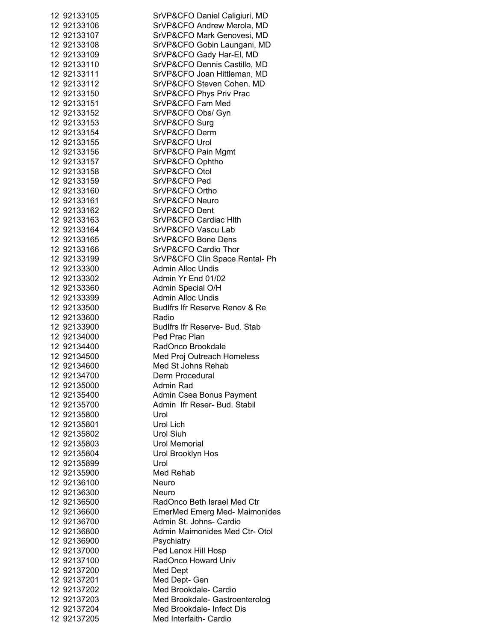| 12 92133105 | SrVP&CFO Daniel Caligiuri, MD         |
|-------------|---------------------------------------|
| 12 92133106 | SrVP&CFO Andrew Merola, MD            |
| 12 92133107 | SrVP&CFO Mark Genovesi, MD            |
|             |                                       |
| 12 92133108 | SrVP&CFO Gobin Laungani, MD           |
| 12 92133109 | SrVP&CFO Gady Har-El, MD              |
| 12 92133110 | SrVP&CFO Dennis Castillo, MD          |
|             |                                       |
| 12 92133111 | SrVP&CFO Joan Hittleman, MD           |
| 12 92133112 | SrVP&CFO Steven Cohen, MD             |
| 12 92133150 | SrVP&CFO Phys Priv Prac               |
|             |                                       |
| 12 92133151 | SrVP&CFO Fam Med                      |
| 12 92133152 | SrVP&CFO Obs/ Gyn                     |
| 12 92133153 | SrVP&CFO Surg                         |
| 12 92133154 | SrVP&CFO Derm                         |
|             |                                       |
| 12 92133155 | SrVP&CFO Urol                         |
| 12 92133156 | SrVP&CFO Pain Mgmt                    |
| 12 92133157 | SrVP&CFO Ophtho                       |
|             | SrVP&CFO Otol                         |
| 12 92133158 |                                       |
| 12 92133159 | SrVP&CFO Ped                          |
| 12 92133160 | SrVP&CFO Ortho                        |
| 12 92133161 | SrVP&CFO Neuro                        |
|             |                                       |
| 12 92133162 | SrVP&CFO Dent                         |
| 12 92133163 | SrVP&CFO Cardiac Hith                 |
| 12 92133164 | SrVP&CFO Vascu Lab                    |
|             |                                       |
| 12 92133165 | SrVP&CFO Bone Dens                    |
| 12 92133166 | SrVP&CFO Cardio Thor                  |
| 12 92133199 | SrVP&CFO Clin Space Rental- Ph        |
| 12 92133300 | Admin Alloc Undis                     |
|             |                                       |
| 12 92133302 | Admin Yr End 01/02                    |
| 12 92133360 | Admin Special O/H                     |
| 12 92133399 | <b>Admin Alloc Undis</b>              |
|             |                                       |
| 12 92133500 | Budlfrs Ifr Reserve Renov & Re        |
| 12 92133600 | Radio                                 |
| 12 92133900 | <b>Budlfrs Ifr Reserve- Bud. Stab</b> |
| 12 92134000 | Ped Prac Plan                         |
|             |                                       |
| 12 92134400 | RadOnco Brookdale                     |
| 12 92134500 | Med Proj Outreach Homeless            |
| 12 92134600 | Med St Johns Rehab                    |
| 12 92134700 | <b>Derm Procedural</b>                |
|             |                                       |
| 12 92135000 | Admin Rad                             |
| 12 92135400 | Admin Csea Bonus Payment              |
| 12 92135700 | Admin Ifr Reser- Bud. Stabil          |
| 12 92135800 | Urol                                  |
|             |                                       |
| 12 92135801 | Urol Lich                             |
| 12 92135802 | <b>Urol Siuh</b>                      |
| 12 92135803 | <b>Urol Memorial</b>                  |
| 12 92135804 | Urol Brooklyn Hos                     |
|             |                                       |
| 12 92135899 | Urol                                  |
| 12 92135900 | Med Rehab                             |
| 12 92136100 | Neuro                                 |
|             |                                       |
| 12 92136300 | Neuro                                 |
| 12 92136500 | RadOnco Beth Israel Med Ctr           |
| 12 92136600 | <b>EmerMed Emerg Med- Maimonides</b>  |
| 12 92136700 | Admin St. Johns- Cardio               |
|             |                                       |
| 12 92136800 | Admin Maimonides Med Ctr- Otol        |
| 12 92136900 | Psychiatry                            |
| 12 92137000 | Ped Lenox Hill Hosp                   |
| 12 92137100 |                                       |
|             |                                       |
|             | RadOnco Howard Univ                   |
| 12 92137200 | Med Dept                              |
| 12 92137201 | Med Dept- Gen                         |
|             |                                       |
| 12 92137202 | Med Brookdale- Cardio                 |
| 12 92137203 | Med Brookdale- Gastroenterolog        |
| 12 92137204 | Med Brookdale- Infect Dis             |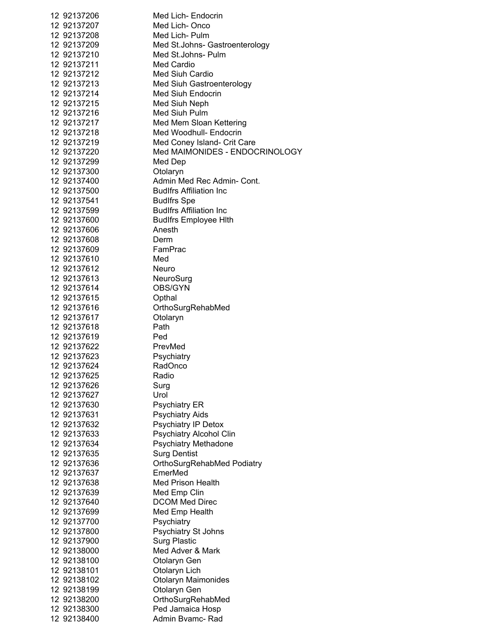| 12 92137206 | Med Lich- Endocrin             |
|-------------|--------------------------------|
| 12 92137207 | Med Lich-Onco                  |
| 12 92137208 | Med Lich-Pulm                  |
| 12 92137209 | Med St.Johns- Gastroenterology |
| 12 92137210 | Med St.Johns- Pulm             |
| 12 92137211 | <b>Med Cardio</b>              |
| 12 92137212 | <b>Med Siuh Cardio</b>         |
| 12 92137213 | Med Siuh Gastroenterology      |
| 12 92137214 | <b>Med Siuh Endocrin</b>       |
| 12 92137215 | Med Siuh Neph                  |
| 12 92137216 | Med Siuh Pulm                  |
| 12 92137217 | Med Mem Sloan Kettering        |
| 12 92137218 | Med Woodhull- Endocrin         |
| 12 92137219 | Med Coney Island- Crit Care    |
| 12 92137220 | Med MAIMONIDES - ENDOCRINOLOGY |
| 12 92137299 | Med Dep                        |
| 12 92137300 | Otolaryn                       |
| 12 92137400 | Admin Med Rec Admin- Cont.     |
| 12 92137500 | <b>Budlfrs Affiliation Inc</b> |
| 12 92137541 | <b>Budlfrs Spe</b>             |
| 12 92137599 | <b>Budlfrs Affiliation Inc</b> |
| 12 92137600 | <b>Budlfrs Employee Hith</b>   |
| 12 92137606 | Anesth                         |
| 12 92137608 | Derm                           |
| 12 92137609 | FamPrac                        |
| 12 92137610 | Med                            |
| 12 92137612 | Neuro                          |
| 12 92137613 | NeuroSurg                      |
| 12 92137614 | OBS/GYN                        |
| 12 92137615 | Opthal                         |
| 12 92137616 | OrthoSurgRehabMed              |
| 12 92137617 | Otolaryn                       |
| 12 92137618 | Path                           |
| 12 92137619 | Ped                            |
| 12 92137622 | PrevMed                        |
| 12 92137623 | Psychiatry                     |
| 12 92137624 | RadOnco                        |
| 12 92137625 | Radio                          |
| 12 92137626 | Surg                           |
| 12 92137627 | Urol                           |
| 12 92137630 | <b>Psychiatry ER</b>           |
| 12 92137631 | <b>Psychiatry Aids</b>         |
| 12 92137632 | <b>Psychiatry IP Detox</b>     |
| 12 92137633 | Psychiatry Alcohol Clin        |
| 12 92137634 | <b>Psychiatry Methadone</b>    |
| 12 92137635 | <b>Surg Dentist</b>            |
| 12 92137636 | OrthoSurgRehabMed Podiatry     |
| 12 92137637 | EmerMed                        |
| 12 92137638 | <b>Med Prison Health</b>       |
| 12 92137639 | Med Emp Clin                   |
| 12 92137640 | <b>DCOM Med Direc</b>          |
| 12 92137699 | Med Emp Health                 |
| 12 92137700 | Psychiatry                     |
| 12 92137800 | Psychiatry St Johns            |
| 12 92137900 | <b>Surg Plastic</b>            |
| 12 92138000 | Med Adver & Mark               |
| 12 92138100 | Otolaryn Gen                   |
| 12 92138101 | Otolaryn Lich                  |
| 12 92138102 |                                |
|             | Otolaryn Maimonides            |
| 12 92138199 | Otolaryn Gen                   |
| 12 92138200 | OrthoSurgRehabMed              |
| 12 92138300 | Ped Jamaica Hosp               |
| 12 92138400 | Admin Bvamc-Rad                |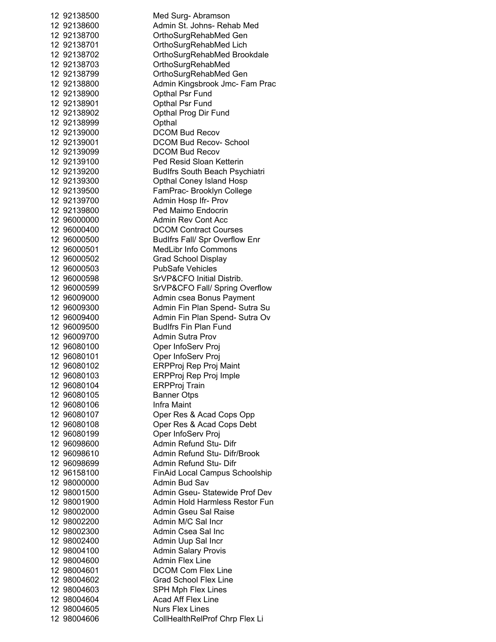| 12 92138500 | Med Surg-Abramson                     |
|-------------|---------------------------------------|
| 12 92138600 | Admin St. Johns- Rehab Med            |
| 12 92138700 | OrthoSurgRehabMed Gen                 |
| 12 92138701 | OrthoSurgRehabMed Lich                |
| 12 92138702 | OrthoSurgRehabMed Brookdale           |
| 12 92138703 | OrthoSurgRehabMed                     |
| 12 92138799 | OrthoSurgRehabMed Gen                 |
| 12 92138800 | Admin Kingsbrook Jmc- Fam Prac        |
| 12 92138900 | Opthal Psr Fund                       |
| 12 92138901 | Opthal Psr Fund                       |
| 12 92138902 | Opthal Prog Dir Fund                  |
| 12 92138999 | Opthal                                |
| 12 92139000 | <b>DCOM Bud Recov</b>                 |
| 12 92139001 | DCOM Bud Recov- School                |
| 12 92139099 | <b>DCOM Bud Recov</b>                 |
| 12 92139100 | Ped Resid Sloan Ketterin              |
| 12 92139200 | <b>Budlfrs South Beach Psychiatri</b> |
| 12 92139300 | Opthal Coney Island Hosp              |
| 12 92139500 | FamPrac- Brooklyn College             |
| 12 92139700 | Admin Hosp Ifr- Prov                  |
| 12 92139800 | Ped Maimo Endocrin                    |
| 12 96000000 | <b>Admin Rev Cont Acc</b>             |
| 12 96000400 | <b>DCOM Contract Courses</b>          |
| 12 96000500 | Budlfrs Fall/ Spr Overflow Enr        |
| 12 96000501 | <b>MedLibr Info Commons</b>           |
| 12 96000502 | <b>Grad School Display</b>            |
| 12 96000503 | <b>PubSafe Vehicles</b>               |
| 12 96000598 | SrVP&CFO Initial Distrib.             |
| 12 96000599 | SrVP&CFO Fall/ Spring Overflow        |
| 12 96009000 | Admin csea Bonus Payment              |
| 12 96009300 | Admin Fin Plan Spend- Sutra Su        |
| 12 96009400 | Admin Fin Plan Spend- Sutra Ov        |
| 12 96009500 | <b>Budlfrs Fin Plan Fund</b>          |
| 12 96009700 | <b>Admin Sutra Prov</b>               |
| 12 96080100 | Oper InfoServ Proj                    |
| 12 96080101 | Oper InfoServ Proj                    |
| 12 96080102 | <b>ERPProj Rep Proj Maint</b>         |
| 12 96080103 | ERPProj Rep Proj Imple                |
| 12 96080104 | <b>ERPProj Train</b>                  |
| 12 96080105 | <b>Banner Otps</b>                    |
| 12 96080106 | Infra Maint                           |
| 12 96080107 | Oper Res & Acad Cops Opp              |
| 12 96080108 | Oper Res & Acad Cops Debt             |
| 12 96080199 | Oper InfoServ Proj                    |
| 12 96098600 | Admin Refund Stu- Difr                |
| 12 96098610 | Admin Refund Stu- Difr/Brook          |
| 12 96098699 | Admin Refund Stu- Difr                |
| 12 96158100 | FinAid Local Campus Schoolship        |
| 12 98000000 | Admin Bud Sav                         |
| 12 98001500 | Admin Gseu- Statewide Prof Dev        |
| 12 98001900 | Admin Hold Harmless Restor Fun        |
| 12 98002000 | Admin Gseu Sal Raise                  |
| 12 98002200 | Admin M/C Sal Incr                    |
| 12 98002300 | Admin Csea Sal Inc                    |
| 12 98002400 | Admin Uup Sal Incr                    |
| 12 98004100 | <b>Admin Salary Provis</b>            |
| 12 98004600 | <b>Admin Flex Line</b>                |
| 12 98004601 | <b>DCOM Com Flex Line</b>             |
| 12 98004602 | <b>Grad School Flex Line</b>          |
| 12 98004603 | <b>SPH Mph Flex Lines</b>             |
| 12 98004604 | <b>Acad Aff Flex Line</b>             |
| 12 98004605 | <b>Nurs Flex Lines</b>                |
| 12 98004606 | CollHealthRelProf Chrp Flex Li        |